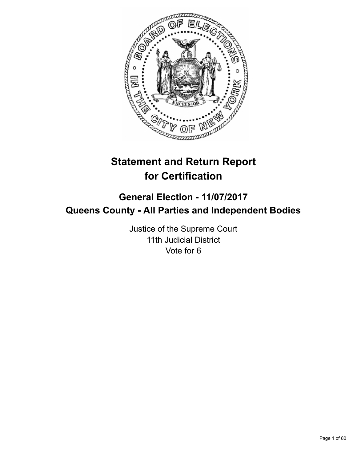

# **Statement and Return Report for Certification**

## **General Election - 11/07/2017 Queens County - All Parties and Independent Bodies**

Justice of the Supreme Court 11th Judicial District Vote for 6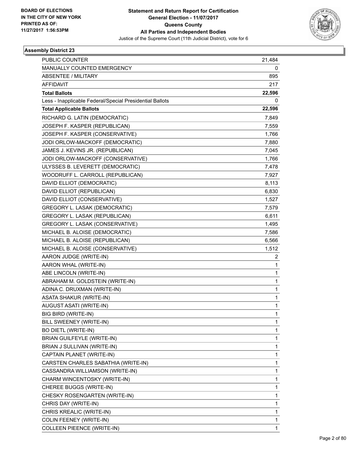

| PUBLIC COUNTER                                           | 21,484       |
|----------------------------------------------------------|--------------|
| MANUALLY COUNTED EMERGENCY                               | 0            |
| ABSENTEE / MILITARY                                      | 895          |
| <b>AFFIDAVIT</b>                                         | 217          |
| <b>Total Ballots</b>                                     | 22,596       |
| Less - Inapplicable Federal/Special Presidential Ballots | 0            |
| <b>Total Applicable Ballots</b>                          | 22,596       |
| RICHARD G. LATIN (DEMOCRATIC)                            | 7,849        |
| JOSEPH F. KASPER (REPUBLICAN)                            | 7,559        |
| JOSEPH F. KASPER (CONSERVATIVE)                          | 1,766        |
| JODI ORLOW-MACKOFF (DEMOCRATIC)                          | 7,880        |
| JAMES J. KEVINS JR. (REPUBLICAN)                         | 7,045        |
| JODI ORLOW-MACKOFF (CONSERVATIVE)                        | 1,766        |
| ULYSSES B. LEVERETT (DEMOCRATIC)                         | 7,478        |
| WOODRUFF L. CARROLL (REPUBLICAN)                         | 7,927        |
| DAVID ELLIOT (DEMOCRATIC)                                | 8,113        |
| DAVID ELLIOT (REPUBLICAN)                                | 6,830        |
| DAVID ELLIOT (CONSERVATIVE)                              | 1,527        |
| GREGORY L. LASAK (DEMOCRATIC)                            | 7,579        |
| GREGORY L. LASAK (REPUBLICAN)                            | 6,611        |
| GREGORY L. LASAK (CONSERVATIVE)                          | 1,495        |
| MICHAEL B. ALOISE (DEMOCRATIC)                           | 7,586        |
| MICHAEL B. ALOISE (REPUBLICAN)                           | 6,566        |
| MICHAEL B. ALOISE (CONSERVATIVE)                         | 1,512        |
| AARON JUDGE (WRITE-IN)                                   | 2            |
| AARON WHAL (WRITE-IN)                                    | $\mathbf{1}$ |
| ABE LINCOLN (WRITE-IN)                                   | 1            |
| ABRAHAM M. GOLDSTEIN (WRITE-IN)                          | 1            |
| ADINA C. DRUXMAN (WRITE-IN)                              | $\mathbf{1}$ |
| ASATA SHAKUR (WRITE-IN)                                  | 1            |
| AUGUST ASATI (WRITE-IN)                                  | $\mathbf{1}$ |
| <b>BIG BIRD (WRITE-IN)</b>                               | 1            |
| BILL SWEENEY (WRITE-IN)                                  | 1            |
| <b>BO DIETL (WRITE-IN)</b>                               | 1            |
| BRIAN GUILFEYLE (WRITE-IN)                               | $\mathbf{1}$ |
| BRIAN J SULLIVAN (WRITE-IN)                              | 1            |
| CAPTAIN PLANET (WRITE-IN)                                | 1            |
| CARSTEN CHARLES SABATHIA (WRITE-IN)                      | $\mathbf{1}$ |
| CASSANDRA WILLIAMSON (WRITE-IN)                          | 1            |
| CHARM WINCENTOSKY (WRITE-IN)                             | $\mathbf{1}$ |
| CHEREE BUGGS (WRITE-IN)                                  | $\mathbf{1}$ |
| CHESKY ROSENGARTEN (WRITE-IN)                            | 1            |
| CHRIS DAY (WRITE-IN)                                     | 1            |
| CHRIS KREALIC (WRITE-IN)                                 | $\mathbf{1}$ |
| COLIN FEENEY (WRITE-IN)                                  | 1            |
| COLLEEN PIEENCE (WRITE-IN)                               | $\mathbf{1}$ |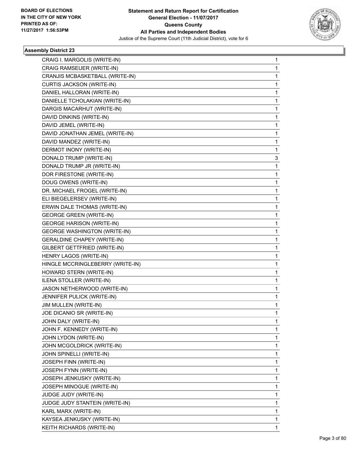

| CRAIG I. MARGOLIS (WRITE-IN)        | 1 |
|-------------------------------------|---|
| CRAIG RAMSEUER (WRITE-IN)           | 1 |
| CRANJIS MCBASKETBALL (WRITE-IN)     | 1 |
| CURTIS JACKSON (WRITE-IN)           | 1 |
| DANIEL HALLORAN (WRITE-IN)          | 1 |
| DANIELLE TCHOLAKIAN (WRITE-IN)      | 1 |
| DARGIS MACARHUT (WRITE-IN)          | 1 |
| DAVID DINKINS (WRITE-IN)            | 1 |
| DAVID JEMEL (WRITE-IN)              | 1 |
| DAVID JONATHAN JEMEL (WRITE-IN)     | 1 |
| DAVID MANDEZ (WRITE-IN)             | 1 |
| DERMOT INONY (WRITE-IN)             | 1 |
| DONALD TRUMP (WRITE-IN)             | 3 |
| DONALD TRUMP JR (WRITE-IN)          | 1 |
| DOR FIRESTONE (WRITE-IN)            | 1 |
| DOUG OWENS (WRITE-IN)               | 1 |
| DR. MICHAEL FROGEL (WRITE-IN)       | 1 |
| ELI BIEGELERSEV (WRITE-IN)          | 1 |
| ERWIN DALE THOMAS (WRITE-IN)        | 1 |
| <b>GEORGE GREEN (WRITE-IN)</b>      | 1 |
| <b>GEORGE HARISON (WRITE-IN)</b>    | 1 |
| <b>GEORGE WASHINGTON (WRITE-IN)</b> | 1 |
| <b>GERALDINE CHAPEY (WRITE-IN)</b>  | 1 |
| GILBERT GETTFRIED (WRITE-IN)        | 1 |
| HENRY LAGOS (WRITE-IN)              | 1 |
| HINGLE MCCRINGLEBERRY (WRITE-IN)    | 1 |
| HOWARD STERN (WRITE-IN)             | 1 |
| ILENA STOLLER (WRITE-IN)            | 1 |
| JASON NETHERWOOD (WRITE-IN)         | 1 |
| JENNIFER PULICK (WRITE-IN)          | 1 |
| JIM MULLEN (WRITE-IN)               | 1 |
| JOE DICANIO SR (WRITE-IN)           | 1 |
| JOHN DALY (WRITE-IN)                | 1 |
| JOHN F. KENNEDY (WRITE-IN)          | 1 |
| JOHN LYDON (WRITE-IN)               | 1 |
| JOHN MCGOLDRICK (WRITE-IN)          | 1 |
| JOHN SPINELLI (WRITE-IN)            | 1 |
| JOSEPH FINN (WRITE-IN)              | 1 |
| JOSEPH FYNN (WRITE-IN)              | 1 |
| JOSEPH JENKUSKY (WRITE-IN)          | 1 |
| JOSEPH MINOGUE (WRITE-IN)           | 1 |
| JUDGE JUDY (WRITE-IN)               | 1 |
| JUDGE JUDY STANTEIN (WRITE-IN)      | 1 |
| KARL MARX (WRITE-IN)                | 1 |
| KAYSEA JENKUSKY (WRITE-IN)          | 1 |
| KEITH RICHARDS (WRITE-IN)           | 1 |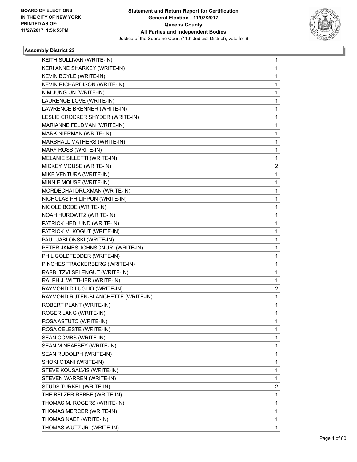

| KEITH SULLIVAN (WRITE-IN)           | 1              |
|-------------------------------------|----------------|
| KERI ANNE SHARKEY (WRITE-IN)        | 1              |
| KEVIN BOYLE (WRITE-IN)              | 1              |
| KEVIN RICHARDISON (WRITE-IN)        | 1              |
| KIM JUNG UN (WRITE-IN)              | 1              |
| LAURENCE LOVE (WRITE-IN)            | 1              |
| LAWRENCE BRENNER (WRITE-IN)         | 1              |
| LESLIE CROCKER SHYDER (WRITE-IN)    | 1              |
| MARIANNE FELDMAN (WRITE-IN)         | 1              |
| MARK NIERMAN (WRITE-IN)             | 1              |
| MARSHALL MATHERS (WRITE-IN)         | 1              |
| MARY ROSS (WRITE-IN)                | 1              |
| MELANIE SILLETTI (WRITE-IN)         | 1              |
| MICKEY MOUSE (WRITE-IN)             | $\overline{2}$ |
| MIKE VENTURA (WRITE-IN)             | 1              |
| MINNIE MOUSE (WRITE-IN)             | 1              |
| MORDECHAI DRUXMAN (WRITE-IN)        | 1              |
| NICHOLAS PHILIPPON (WRITE-IN)       | 1              |
| NICOLE BODE (WRITE-IN)              | 1              |
| NOAH HUROWITZ (WRITE-IN)            | 1              |
| PATRICK HEDLUND (WRITE-IN)          | 1              |
| PATRICK M. KOGUT (WRITE-IN)         | 1              |
| PAUL JABLONSKI (WRITE-IN)           | 1              |
| PETER JAMES JOHNSON JR. (WRITE-IN)  | 1              |
| PHIL GOLDFEDDER (WRITE-IN)          | 1              |
| PINCHES TRACKERBERG (WRITE-IN)      | 1              |
| RABBI TZVI SELENGUT (WRITE-IN)      | 1              |
| RALPH J. WITTHIER (WRITE-IN)        | 1              |
| RAYMOND DILUGLIO (WRITE-IN)         | 2              |
| RAYMOND RUTEN-BLANCHETTE (WRITE-IN) | 1              |
| ROBERT PLANT (WRITE-IN)             | 1              |
| ROGER LANG (WRITE-IN)               | 1              |
| ROSA ASTUTO (WRITE-IN)              | 1              |
| ROSA CELESTE (WRITE-IN)             | 1              |
| SEAN COMBS (WRITE-IN)               | 1              |
| SEAN M NEAFSEY (WRITE-IN)           | 1              |
| SEAN RUDOLPH (WRITE-IN)             | 1              |
| SHOKI OTANI (WRITE-IN)              | 1              |
| STEVE KOUSALVIS (WRITE-IN)          | 1              |
| STEVEN WARREN (WRITE-IN)            | 1              |
| STUDS TURKEL (WRITE-IN)             | 2              |
| THE BELZER REBBE (WRITE-IN)         | 1              |
| THOMAS M. ROGERS (WRITE-IN)         | 1              |
| THOMAS MERCER (WRITE-IN)            | 1              |
| THOMAS NAEF (WRITE-IN)              | 1              |
| THOMAS WUTZ JR. (WRITE-IN)          | 1              |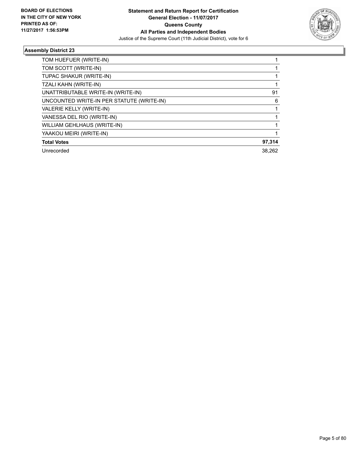

| TOM HUEFUER (WRITE-IN)                    |        |
|-------------------------------------------|--------|
| TOM SCOTT (WRITE-IN)                      |        |
| TUPAC SHAKUR (WRITE-IN)                   |        |
| TZALI KAHN (WRITE-IN)                     |        |
| UNATTRIBUTABLE WRITE-IN (WRITE-IN)        | 91     |
| UNCOUNTED WRITE-IN PER STATUTE (WRITE-IN) | 6      |
| VALERIE KELLY (WRITE-IN)                  |        |
| VANESSA DEL RIO (WRITE-IN)                |        |
| WILLIAM GEHLHAUS (WRITE-IN)               |        |
| YAAKOU MEIRI (WRITE-IN)                   |        |
| <b>Total Votes</b>                        | 97,314 |
| Unrecorded                                | 38.262 |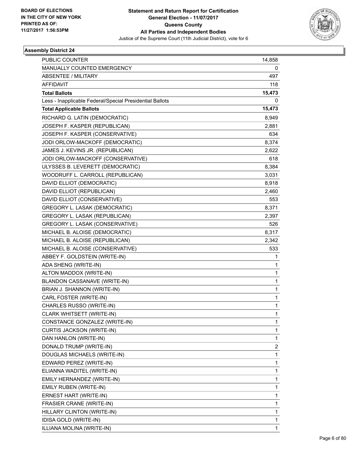

| <b>PUBLIC COUNTER</b>                                    | 14,858 |
|----------------------------------------------------------|--------|
| MANUALLY COUNTED EMERGENCY                               | 0      |
| ABSENTEE / MILITARY                                      | 497    |
| <b>AFFIDAVIT</b>                                         | 118    |
| <b>Total Ballots</b>                                     | 15,473 |
| Less - Inapplicable Federal/Special Presidential Ballots | 0      |
| <b>Total Applicable Ballots</b>                          | 15,473 |
| RICHARD G. LATIN (DEMOCRATIC)                            | 8,949  |
| JOSEPH F. KASPER (REPUBLICAN)                            | 2,881  |
| JOSEPH F. KASPER (CONSERVATIVE)                          | 634    |
| JODI ORLOW-MACKOFF (DEMOCRATIC)                          | 8,374  |
| JAMES J. KEVINS JR. (REPUBLICAN)                         | 2,622  |
| JODI ORLOW-MACKOFF (CONSERVATIVE)                        | 618    |
| ULYSSES B. LEVERETT (DEMOCRATIC)                         | 8,384  |
| WOODRUFF L. CARROLL (REPUBLICAN)                         | 3,031  |
| DAVID ELLIOT (DEMOCRATIC)                                | 8,918  |
| DAVID ELLIOT (REPUBLICAN)                                | 2,460  |
| DAVID ELLIOT (CONSERVATIVE)                              | 553    |
| GREGORY L. LASAK (DEMOCRATIC)                            | 8,371  |
| GREGORY L. LASAK (REPUBLICAN)                            | 2,397  |
| GREGORY L. LASAK (CONSERVATIVE)                          | 526    |
| MICHAEL B. ALOISE (DEMOCRATIC)                           | 8,317  |
| MICHAEL B. ALOISE (REPUBLICAN)                           | 2,342  |
| MICHAEL B. ALOISE (CONSERVATIVE)                         | 533    |
| ABBEY F. GOLDSTEIN (WRITE-IN)                            | 1      |
| ADA SHENG (WRITE-IN)                                     | 1      |
| ALTON MADDOX (WRITE-IN)                                  | 1      |
| BLANDON CASSANAVE (WRITE-IN)                             | 1      |
| BRIAN J. SHANNON (WRITE-IN)                              | 1      |
| CARL FOSTER (WRITE-IN)                                   | 1      |
| CHARLES RUSSO (WRITE-IN)                                 | 1      |
| CLARK WHITSETT (WRITE-IN)                                | 1      |
| CONSTANCE GONZALEZ (WRITE-IN)                            | 1      |
| CURTIS JACKSON (WRITE-IN)                                | 1      |
| DAN HANLON (WRITE-IN)                                    | 1      |
| DONALD TRUMP (WRITE-IN)                                  | 2      |
| DOUGLAS MICHAELS (WRITE-IN)                              | 1      |
| EDWARD PEREZ (WRITE-IN)                                  | 1      |
| ELIANNA WADITEL (WRITE-IN)                               | 1      |
| EMILY HERNANDEZ (WRITE-IN)                               | 1      |
| EMILY RUBEN (WRITE-IN)                                   | 1      |
| ERNEST HART (WRITE-IN)                                   | 1      |
| FRASIER CRANE (WRITE-IN)                                 | 1      |
| HILLARY CLINTON (WRITE-IN)                               | 1      |
| IDISA GOLD (WRITE-IN)                                    | 1      |
| ILLIANA MOLINA (WRITE-IN)                                | 1      |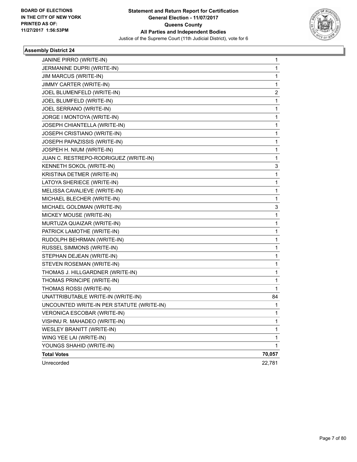

| JANINE PIRRO (WRITE-IN)                   | 1      |
|-------------------------------------------|--------|
| JERMANINE DUPRI (WRITE-IN)                | 1      |
| <b>JIM MARCUS (WRITE-IN)</b>              | 1      |
| JIMMY CARTER (WRITE-IN)                   | 1      |
| JOEL BLUMENFELD (WRITE-IN)                | 2      |
| JOEL BLUMFELD (WRITE-IN)                  | 1      |
| JOEL SERRANO (WRITE-IN)                   | 1      |
| JORGE I MONTOYA (WRITE-IN)                | 1      |
| JOSEPH CHIANTELLA (WRITE-IN)              | 1      |
| JOSEPH CRISTIANO (WRITE-IN)               | 1      |
| JOSEPH PAPAZISSIS (WRITE-IN)              | 1      |
| JOSPEH H. NIUM (WRITE-IN)                 | 1      |
| JUAN C. RESTREPO-RODRIGUEZ (WRITE-IN)     | 1      |
| KENNETH SOKOL (WRITE-IN)                  | 3      |
| KRISTINA DETMER (WRITE-IN)                | 1      |
| LATOYA SHERIECE (WRITE-IN)                | 1      |
| MELISSA CAVALIEVE (WRITE-IN)              | 1      |
| MICHAEL BLECHER (WRITE-IN)                | 1      |
| MICHAEL GOLDMAN (WRITE-IN)                | 3      |
| MICKEY MOUSE (WRITE-IN)                   | 1      |
| MURTUZA QUAIZAR (WRITE-IN)                | 1      |
| PATRICK LAMOTHE (WRITE-IN)                | 1      |
| RUDOLPH BEHRMAN (WRITE-IN)                | 1      |
| RUSSEL SIMMONS (WRITE-IN)                 | 1      |
| STEPHAN DEJEAN (WRITE-IN)                 | 1      |
| STEVEN ROSEMAN (WRITE-IN)                 | 1      |
| THOMAS J. HILLGARDNER (WRITE-IN)          | 1      |
| THOMAS PRINCIPE (WRITE-IN)                | 1      |
| THOMAS ROSSI (WRITE-IN)                   | 1      |
| UNATTRIBUTABLE WRITE-IN (WRITE-IN)        | 84     |
| UNCOUNTED WRITE-IN PER STATUTE (WRITE-IN) | 1      |
| <b>VERONICA ESCOBAR (WRITE-IN)</b>        | 1      |
| VISHNU R. MAHADEO (WRITE-IN)              | 1      |
| <b>WESLEY BRANITT (WRITE-IN)</b>          | 1      |
| WING YEE LAI (WRITE-IN)                   | 1      |
| YOUNGS SHAHID (WRITE-IN)                  | 1      |
| <b>Total Votes</b>                        | 70,057 |
| Unrecorded                                | 22,781 |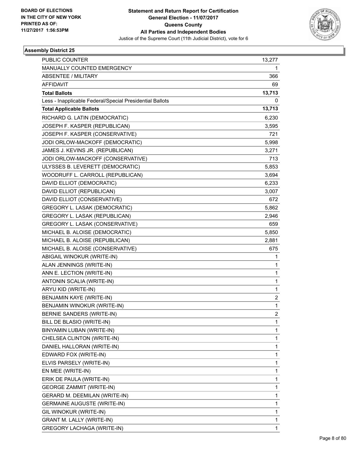

| PUBLIC COUNTER                                           | 13,277         |
|----------------------------------------------------------|----------------|
| MANUALLY COUNTED EMERGENCY                               | 1              |
| <b>ABSENTEE / MILITARY</b>                               | 366            |
| <b>AFFIDAVIT</b>                                         | 69             |
| <b>Total Ballots</b>                                     | 13,713         |
| Less - Inapplicable Federal/Special Presidential Ballots | 0              |
| <b>Total Applicable Ballots</b>                          | 13,713         |
| RICHARD G. LATIN (DEMOCRATIC)                            | 6,230          |
| JOSEPH F. KASPER (REPUBLICAN)                            | 3,595          |
| JOSEPH F. KASPER (CONSERVATIVE)                          | 721            |
| JODI ORLOW-MACKOFF (DEMOCRATIC)                          | 5,998          |
| JAMES J. KEVINS JR. (REPUBLICAN)                         | 3,271          |
| JODI ORLOW-MACKOFF (CONSERVATIVE)                        | 713            |
| ULYSSES B. LEVERETT (DEMOCRATIC)                         | 5,853          |
| WOODRUFF L. CARROLL (REPUBLICAN)                         | 3,694          |
| DAVID ELLIOT (DEMOCRATIC)                                | 6,233          |
| DAVID ELLIOT (REPUBLICAN)                                | 3,007          |
| DAVID ELLIOT (CONSERVATIVE)                              | 672            |
| <b>GREGORY L. LASAK (DEMOCRATIC)</b>                     | 5,862          |
| GREGORY L. LASAK (REPUBLICAN)                            | 2,946          |
| GREGORY L. LASAK (CONSERVATIVE)                          | 659            |
| MICHAEL B. ALOISE (DEMOCRATIC)                           | 5,850          |
| MICHAEL B. ALOISE (REPUBLICAN)                           | 2,881          |
| MICHAEL B. ALOISE (CONSERVATIVE)                         | 675            |
| ABIGAIL WINOKUR (WRITE-IN)                               | 1              |
| ALAN JENNINGS (WRITE-IN)                                 | $\mathbf{1}$   |
| ANN E. LECTION (WRITE-IN)                                | 1              |
| ANTONIN SCALIA (WRITE-IN)                                | 1              |
| ARYU KID (WRITE-IN)                                      | $\mathbf{1}$   |
| BENJAMIN KAYE (WRITE-IN)                                 | 2              |
| BENJAMIN WINOKUR (WRITE-IN)                              | 1              |
| BERNIE SANDERS (WRITE-IN)                                | $\overline{2}$ |
| BILL DE BLASIO (WRITE-IN)                                | 1              |
| BINYAMIN LUBAN (WRITE-IN)                                | 1              |
| CHELSEA CLINTON (WRITE-IN)                               | 1              |
| DANIEL HALLORAN (WRITE-IN)                               | 1              |
| EDWARD FOX (WRITE-IN)                                    | 1              |
| ELVIS PARSELY (WRITE-IN)                                 | 1              |
| EN MEE (WRITE-IN)                                        | 1              |
| ERIK DE PAULA (WRITE-IN)                                 | 1              |
| <b>GEORGE ZAMMIT (WRITE-IN)</b>                          | 1              |
| GERARD M. DEEMILAN (WRITE-IN)                            | 1              |
| <b>GERMAINE AUGUSTE (WRITE-IN)</b>                       | 1              |
| GIL WINOKUR (WRITE-IN)                                   | 1              |
| <b>GRANT M. LALLY (WRITE-IN)</b>                         | 1              |
| <b>GREGORY LACHAGA (WRITE-IN)</b>                        | 1              |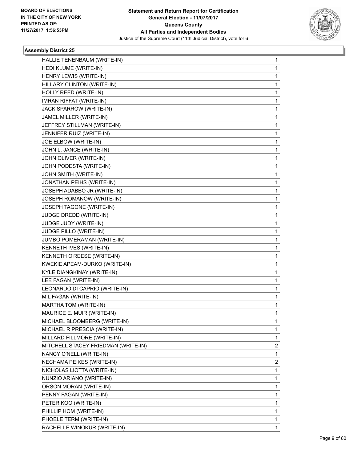

| HALLIE TENENBAUM (WRITE-IN)         | 1 |
|-------------------------------------|---|
| HEDI KLUME (WRITE-IN)               | 1 |
| HENRY LEWIS (WRITE-IN)              | 1 |
| HILLARY CLINTON (WRITE-IN)          | 1 |
| HOLLY REED (WRITE-IN)               | 1 |
| <b>IMRAN RIFFAT (WRITE-IN)</b>      | 1 |
| JACK SPARROW (WRITE-IN)             | 1 |
| JAMEL MILLER (WRITE-IN)             | 1 |
| JEFFREY STILLMAN (WRITE-IN)         | 1 |
| JENNIFER RUIZ (WRITE-IN)            | 1 |
| JOE ELBOW (WRITE-IN)                | 1 |
| JOHN L. JANCE (WRITE-IN)            | 1 |
| JOHN OLIVER (WRITE-IN)              | 1 |
| JOHN PODESTA (WRITE-IN)             | 1 |
| JOHN SMITH (WRITE-IN)               | 1 |
| JONATHAN PEIHS (WRITE-IN)           | 1 |
| JOSEPH ADABBO JR (WRITE-IN)         | 1 |
| JOSEPH ROMANOW (WRITE-IN)           | 1 |
| JOSEPH TAGONE (WRITE-IN)            | 1 |
| JUDGE DREDD (WRITE-IN)              | 1 |
| JUDGE JUDY (WRITE-IN)               | 1 |
| JUDGE PILLO (WRITE-IN)              | 1 |
| JUMBO POMERAMAN (WRITE-IN)          | 1 |
| KENNETH IVES (WRITE-IN)             | 1 |
| KENNETH O'REESE (WRITE-IN)          | 1 |
| KWEKIE APEAM-DURKO (WRITE-IN)       | 1 |
| KYLE DIANGKINAY (WRITE-IN)          | 1 |
| LEE FAGAN (WRITE-IN)                | 1 |
| LEONARDO DI CAPRIO (WRITE-IN)       | 1 |
| M.L FAGAN (WRITE-IN)                | 1 |
| MARTHA TOM (WRITE-IN)               | 1 |
| MAURICE E. MUIR (WRITE-IN)          | 1 |
| MICHAEL BLOOMBERG (WRITE-IN)        | 1 |
| MICHAEL R PRESCIA (WRITE-IN)        | 1 |
| MILLARD FILLMORE (WRITE-IN)         | 1 |
| MITCHELL STACEY FRIEDMAN (WRITE-IN) | 2 |
| NANCY O'NELL (WRITE-IN)             | 1 |
| NECHAMA PEIKES (WRITE-IN)           | 2 |
| NICHOLAS LIOTTA (WRITE-IN)          | 1 |
| NUNZIO ARIANO (WRITE-IN)            | 1 |
| <b>ORSON MORAN (WRITE-IN)</b>       | 1 |
| PENNY FAGAN (WRITE-IN)              | 1 |
| PETER KOO (WRITE-IN)                | 1 |
| PHILLIP HOM (WRITE-IN)              | 1 |
| PHOELE TERM (WRITE-IN)              | 1 |
| RACHELLE WINOKUR (WRITE-IN)         | 1 |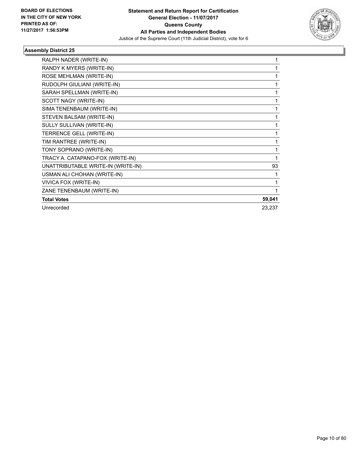

٠

| RALPH NADER (WRITE-IN)             | 1      |
|------------------------------------|--------|
| RANDY K MYERS (WRITE-IN)           | 1      |
| ROSE MEHLMAN (WRITE-IN)            | 1      |
| RUDOLPH GIULIANI (WRITE-IN)        | 1      |
| SARAH SPELLMAN (WRITE-IN)          | 1      |
| SCOTT NAGY (WRITE-IN)              |        |
| SIMA TENENBAUM (WRITE-IN)          |        |
| STEVEN BALSAM (WRITE-IN)           |        |
| SULLY SULLIVAN (WRITE-IN)          | 1      |
| TERRENCE GELL (WRITE-IN)           | 1      |
| TIM RANTREE (WRITE-IN)             | 1      |
| TONY SOPRANO (WRITE-IN)            | 1      |
| TRACY A. CATAPANO-FOX (WRITE-IN)   | 1      |
| UNATTRIBUTABLE WRITE-IN (WRITE-IN) | 93     |
| USMAN ALI CHOHAN (WRITE-IN)        |        |
| VIVICA FOX (WRITE-IN)              |        |
| ZANE TENENBAUM (WRITE-IN)          |        |
| <b>Total Votes</b>                 | 59,041 |
| Unrecorded                         | 23,237 |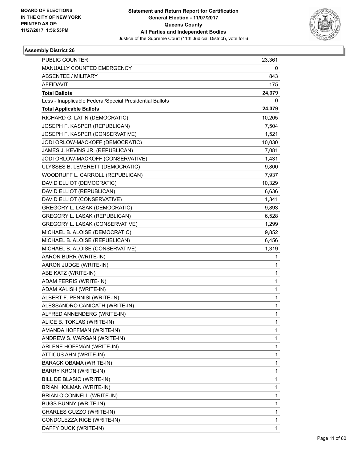

| <b>PUBLIC COUNTER</b>                                    | 23,361       |
|----------------------------------------------------------|--------------|
| MANUALLY COUNTED EMERGENCY                               | 0            |
| <b>ABSENTEE / MILITARY</b>                               | 843          |
| <b>AFFIDAVIT</b>                                         | 175          |
| <b>Total Ballots</b>                                     | 24,379       |
| Less - Inapplicable Federal/Special Presidential Ballots | 0            |
| <b>Total Applicable Ballots</b>                          | 24,379       |
| RICHARD G. LATIN (DEMOCRATIC)                            | 10,205       |
| JOSEPH F. KASPER (REPUBLICAN)                            | 7,504        |
| JOSEPH F. KASPER (CONSERVATIVE)                          | 1,521        |
| JODI ORLOW-MACKOFF (DEMOCRATIC)                          | 10,030       |
| JAMES J. KEVINS JR. (REPUBLICAN)                         | 7,081        |
| JODI ORLOW-MACKOFF (CONSERVATIVE)                        | 1,431        |
| ULYSSES B. LEVERETT (DEMOCRATIC)                         | 9,800        |
| WOODRUFF L. CARROLL (REPUBLICAN)                         | 7,937        |
| DAVID ELLIOT (DEMOCRATIC)                                | 10,329       |
| DAVID ELLIOT (REPUBLICAN)                                | 6,636        |
| DAVID ELLIOT (CONSERVATIVE)                              | 1,341        |
| GREGORY L. LASAK (DEMOCRATIC)                            | 9,893        |
| GREGORY L. LASAK (REPUBLICAN)                            | 6,528        |
| GREGORY L. LASAK (CONSERVATIVE)                          | 1,299        |
| MICHAEL B. ALOISE (DEMOCRATIC)                           | 9,852        |
| MICHAEL B. ALOISE (REPUBLICAN)                           | 6,456        |
| MICHAEL B. ALOISE (CONSERVATIVE)                         | 1,319        |
| AARON BURR (WRITE-IN)                                    | 1            |
| AARON JUDGE (WRITE-IN)                                   | $\mathbf{1}$ |
| ABE KATZ (WRITE-IN)                                      | 1            |
| ADAM FERRIS (WRITE-IN)                                   | $\mathbf{1}$ |
| ADAM KALISH (WRITE-IN)                                   | $\mathbf{1}$ |
| ALBERT F. PENNISI (WRITE-IN)                             | 1            |
| ALESSANDRO CANICATH (WRITE-IN)                           | $\mathbf{1}$ |
| ALFRED ANNENDERG (WRITE-IN)                              | $\mathbf{1}$ |
| ALICE B. TOKLAS (WRITE-IN)                               | 1            |
| AMANDA HOFFMAN (WRITE-IN)                                | $\mathbf{1}$ |
| ANDREW S. WARGAN (WRITE-IN)                              | $\mathbf{1}$ |
| ARLENE HOFFMAN (WRITE-IN)                                | 1            |
| ATTICUS AHN (WRITE-IN)                                   | $\mathbf{1}$ |
| BARACK OBAMA (WRITE-IN)                                  | $\mathbf{1}$ |
| <b>BARRY KRON (WRITE-IN)</b>                             | 1            |
| BILL DE BLASIO (WRITE-IN)                                | $\mathbf{1}$ |
| BRIAN HOLMAN (WRITE-IN)                                  | $\mathbf{1}$ |
| BRIAN O'CONNELL (WRITE-IN)                               | 1            |
| <b>BUGS BUNNY (WRITE-IN)</b>                             | $\mathbf{1}$ |
| CHARLES GUZZO (WRITE-IN)                                 | $\mathbf{1}$ |
| CONDOLEZZA RICE (WRITE-IN)                               | 1            |
| DAFFY DUCK (WRITE-IN)                                    | $\mathbf{1}$ |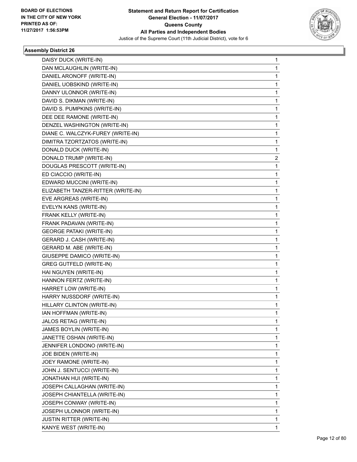

| DAISY DUCK (WRITE-IN)              | 1 |
|------------------------------------|---|
| DAN MCLAUGHLIN (WRITE-IN)          | 1 |
| DANIEL ARONOFF (WRITE-IN)          | 1 |
| DANIEL UOBSKIND (WRITE-IN)         | 1 |
| DANNY ULONNOR (WRITE-IN)           | 1 |
| DAVID S. DIKMAN (WRITE-IN)         | 1 |
| DAVID S. PUMPKINS (WRITE-IN)       | 1 |
| DEE DEE RAMONE (WRITE-IN)          | 1 |
| DENZEL WASHINGTON (WRITE-IN)       | 1 |
| DIANE C. WALCZYK-FUREY (WRITE-IN)  | 1 |
| DIMITRA TZORTZATOS (WRITE-IN)      | 1 |
| DONALD DUCK (WRITE-IN)             | 1 |
| DONALD TRUMP (WRITE-IN)            | 2 |
| DOUGLAS PRESCOTT (WRITE-IN)        | 1 |
| ED CIACCIO (WRITE-IN)              | 1 |
| EDWARD MUCCINI (WRITE-IN)          | 1 |
| ELIZABETH TANZER-RITTER (WRITE-IN) | 1 |
| EVE ARGREAS (WRITE-IN)             | 1 |
| EVELYN KANS (WRITE-IN)             | 1 |
| FRANK KELLY (WRITE-IN)             | 1 |
| FRANK PADAVAN (WRITE-IN)           | 1 |
| <b>GEORGE PATAKI (WRITE-IN)</b>    | 1 |
| GERARD J. CASH (WRITE-IN)          | 1 |
| GERARD M. ABE (WRITE-IN)           | 1 |
| GIUSEPPE DAMICO (WRITE-IN)         | 1 |
| <b>GREG GUTFELD (WRITE-IN)</b>     | 1 |
| HAI NGUYEN (WRITE-IN)              | 1 |
| HANNON FERTZ (WRITE-IN)            | 1 |
| HARRET LOW (WRITE-IN)              | 1 |
| HARRY NUSSDORF (WRITE-IN)          | 1 |
| HILLARY CLINTON (WRITE-IN)         | 1 |
| IAN HOFFMAN (WRITE-IN)             | 1 |
| JALOS RETAG (WRITE-IN)             | 1 |
| JAMES BOYLIN (WRITE-IN)            | 1 |
| JANETTE OSHAN (WRITE-IN)           | 1 |
| JENNIFER LONDONO (WRITE-IN)        | 1 |
| JOE BIDEN (WRITE-IN)               | 1 |
| JOEY RAMONE (WRITE-IN)             | 1 |
| JOHN J. SENTUCCI (WRITE-IN)        | 1 |
| JONATHAN HUI (WRITE-IN)            | 1 |
| JOSEPH CALLAGHAN (WRITE-IN)        | 1 |
| JOSEPH CHIANTELLA (WRITE-IN)       | 1 |
| JOSEPH CONWAY (WRITE-IN)           | 1 |
| JOSEPH ULONNOR (WRITE-IN)          | 1 |
| <b>JUSTIN RITTER (WRITE-IN)</b>    | 1 |
| KANYE WEST (WRITE-IN)              | 1 |
|                                    |   |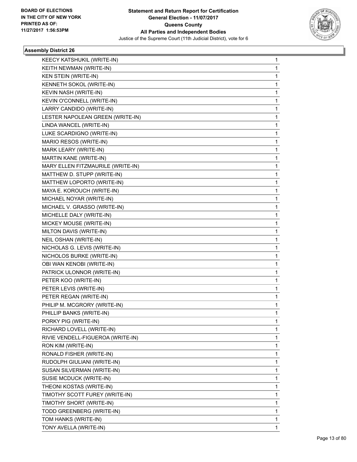

| KEECY KATSHUKIL (WRITE-IN)        | 1 |
|-----------------------------------|---|
| KEITH NEWMAN (WRITE-IN)           | 1 |
| <b>KEN STEIN (WRITE-IN)</b>       | 1 |
| KENNETH SOKOL (WRITE-IN)          | 1 |
| KEVIN NASH (WRITE-IN)             | 1 |
| KEVIN O'CONNELL (WRITE-IN)        | 1 |
| LARRY CANDIDO (WRITE-IN)          | 1 |
| LESTER NAPOLEAN GREEN (WRITE-IN)  | 1 |
| LINDA WANCEL (WRITE-IN)           | 1 |
| LUKE SCARDIGNO (WRITE-IN)         | 1 |
| MARIO RESOS (WRITE-IN)            | 1 |
| MARK LEARY (WRITE-IN)             | 1 |
| MARTIN KANE (WRITE-IN)            | 1 |
| MARY ELLEN FITZMAURILE (WRITE-IN) | 1 |
| MATTHEW D. STUPP (WRITE-IN)       | 1 |
| MATTHEW LOPORTO (WRITE-IN)        | 1 |
| MAYA E. KOROUCH (WRITE-IN)        | 1 |
| MICHAEL NOYAR (WRITE-IN)          | 1 |
| MICHAEL V. GRASSO (WRITE-IN)      | 1 |
| MICHELLE DALY (WRITE-IN)          | 1 |
| MICKEY MOUSE (WRITE-IN)           | 1 |
| MILTON DAVIS (WRITE-IN)           | 1 |
| NEIL OSHAN (WRITE-IN)             | 1 |
| NICHOLAS G. LEVIS (WRITE-IN)      | 1 |
| NICHOLOS BURKE (WRITE-IN)         | 1 |
| OBI WAN KENOBI (WRITE-IN)         | 1 |
| PATRICK ULONNOR (WRITE-IN)        | 1 |
| PETER KOO (WRITE-IN)              | 1 |
| PETER LEVIS (WRITE-IN)            | 1 |
| PETER REGAN (WRITE-IN)            | 1 |
| PHILIP M. MCGRORY (WRITE-IN)      | 1 |
| PHILLIP BANKS (WRITE-IN)          | 1 |
| PORKY PIG (WRITE-IN)              | 1 |
| RICHARD LOVELL (WRITE-IN)         | 1 |
| RIVIE VENDELL-FIGUEROA (WRITE-IN) | 1 |
| RON KIM (WRITE-IN)                | 1 |
| RONALD FISHER (WRITE-IN)          | 1 |
| RUDOLPH GIULIANI (WRITE-IN)       | 1 |
| SUSAN SILVERMAN (WRITE-IN)        | 1 |
| SUSIE MCDUCK (WRITE-IN)           | 1 |
| THEONI KOSTAS (WRITE-IN)          | 1 |
| TIMOTHY SCOTT FUREY (WRITE-IN)    | 1 |
| TIMOTHY SHORT (WRITE-IN)          | 1 |
| TODD GREENBERG (WRITE-IN)         | 1 |
| TOM HANKS (WRITE-IN)              | 1 |
| TONY AVELLA (WRITE-IN)            | 1 |
|                                   |   |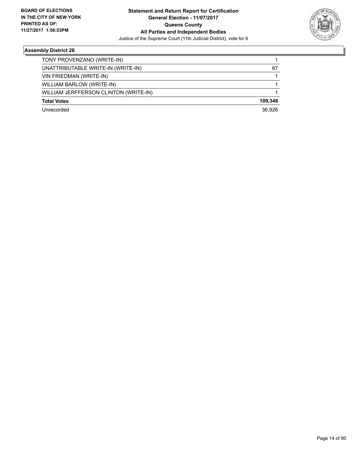

| TONY PROVENZANO (WRITE-IN)            |         |
|---------------------------------------|---------|
| UNATTRIBUTABLE WRITE-IN (WRITE-IN)    | 67      |
| VIN FRIEDMAN (WRITE-IN)               |         |
| WILLIAM BARLOW (WRITE-IN)             |         |
| WILLIAM JERFFERSON CLINTON (WRITE-IN) |         |
| <b>Total Votes</b>                    | 109,348 |
| Unrecorded                            | 36.926  |
|                                       |         |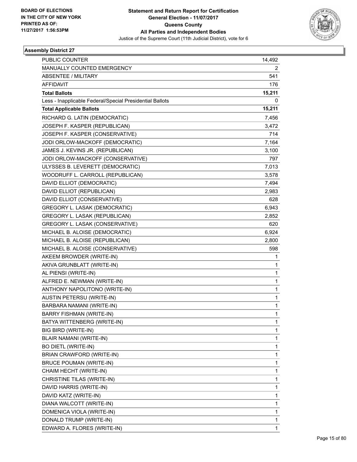

| <b>PUBLIC COUNTER</b>                                    | 14,492 |
|----------------------------------------------------------|--------|
| MANUALLY COUNTED EMERGENCY                               | 2      |
| ABSENTEE / MILITARY                                      | 541    |
| <b>AFFIDAVIT</b>                                         | 176    |
| <b>Total Ballots</b>                                     | 15,211 |
| Less - Inapplicable Federal/Special Presidential Ballots | 0      |
| <b>Total Applicable Ballots</b>                          | 15,211 |
| RICHARD G. LATIN (DEMOCRATIC)                            | 7,456  |
| JOSEPH F. KASPER (REPUBLICAN)                            | 3,472  |
| JOSEPH F. KASPER (CONSERVATIVE)                          | 714    |
| JODI ORLOW-MACKOFF (DEMOCRATIC)                          | 7,164  |
| JAMES J. KEVINS JR. (REPUBLICAN)                         | 3,100  |
| JODI ORLOW-MACKOFF (CONSERVATIVE)                        | 797    |
| ULYSSES B. LEVERETT (DEMOCRATIC)                         | 7,013  |
| WOODRUFF L. CARROLL (REPUBLICAN)                         | 3,578  |
| DAVID ELLIOT (DEMOCRATIC)                                | 7,494  |
| DAVID ELLIOT (REPUBLICAN)                                | 2,983  |
| DAVID ELLIOT (CONSERVATIVE)                              | 628    |
| <b>GREGORY L. LASAK (DEMOCRATIC)</b>                     | 6,943  |
| GREGORY L. LASAK (REPUBLICAN)                            | 2,852  |
| GREGORY L. LASAK (CONSERVATIVE)                          | 620    |
| MICHAEL B. ALOISE (DEMOCRATIC)                           | 6,924  |
| MICHAEL B. ALOISE (REPUBLICAN)                           | 2,800  |
| MICHAEL B. ALOISE (CONSERVATIVE)                         | 598    |
| AKEEM BROWDER (WRITE-IN)                                 | 1      |
| AKIVA GRUNBLATT (WRITE-IN)                               | 1      |
| AL PIENSI (WRITE-IN)                                     | 1      |
| ALFRED E. NEWMAN (WRITE-IN)                              | 1      |
| ANTHONY NAPOLITONO (WRITE-IN)                            | 1      |
| <b>AUSTIN PETERSU (WRITE-IN)</b>                         | 1      |
| BARBARA NAMANI (WRITE-IN)                                | 1      |
| <b>BARRY FISHMAN (WRITE-IN)</b>                          | 1      |
| BATYA WITTENBERG (WRITE-IN)                              | 1      |
| BIG BIRD (WRITE-IN)                                      | 1      |
| BLAIR NAMANI (WRITE-IN)                                  | 1      |
| <b>BO DIETL (WRITE-IN)</b>                               | 1      |
| BRIAN CRAWFORD (WRITE-IN)                                | 1      |
| BRUCE POUMAN (WRITE-IN)                                  | 1      |
| CHAIM HECHT (WRITE-IN)                                   | 1      |
| CHRISTINE TILAS (WRITE-IN)                               | 1      |
| DAVID HARRIS (WRITE-IN)                                  | 1      |
| DAVID KATZ (WRITE-IN)                                    | 1      |
| DIANA WALCOTT (WRITE-IN)                                 | 1      |
| DOMENICA VIOLA (WRITE-IN)                                | 1      |
| DONALD TRUMP (WRITE-IN)                                  | 1      |
| EDWARD A. FLORES (WRITE-IN)                              | 1      |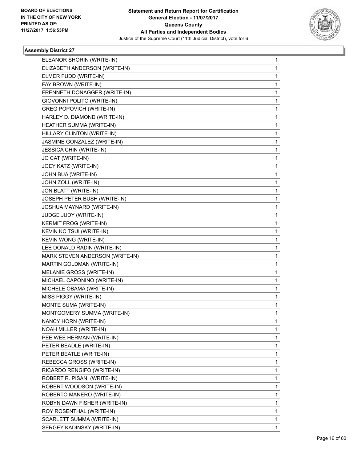

| ELEANOR SHORIN (WRITE-IN)       | 1 |
|---------------------------------|---|
| ELIZABETH ANDERSON (WRITE-IN)   | 1 |
| ELMER FUDD (WRITE-IN)           | 1 |
| FAY BROWN (WRITE-IN)            | 1 |
| FRENNETH DONAGGER (WRITE-IN)    | 1 |
| GIOVONNI POLITO (WRITE-IN)      | 1 |
| <b>GREG POPOVICH (WRITE-IN)</b> | 1 |
| HARLEY D. DIAMOND (WRITE-IN)    | 1 |
| HEATHER SUMMA (WRITE-IN)        | 1 |
| HILLARY CLINTON (WRITE-IN)      | 1 |
| JASMINE GONZALEZ (WRITE-IN)     | 1 |
| JESSICA CHIN (WRITE-IN)         | 1 |
| JO CAT (WRITE-IN)               | 1 |
| JOEY KATZ (WRITE-IN)            | 1 |
| JOHN BUA (WRITE-IN)             | 1 |
| JOHN ZOLL (WRITE-IN)            | 1 |
| JON BLATT (WRITE-IN)            | 1 |
| JOSEPH PETER BUSH (WRITE-IN)    | 1 |
| JOSHUA MAYNARD (WRITE-IN)       | 1 |
| JUDGE JUDY (WRITE-IN)           | 1 |
| <b>KERMIT FROG (WRITE-IN)</b>   | 1 |
| KEVIN KC TSUI (WRITE-IN)        | 1 |
| KEVIN WONG (WRITE-IN)           | 1 |
| LEE DONALD RADIN (WRITE-IN)     | 1 |
| MARK STEVEN ANDERSON (WRITE-IN) | 1 |
| MARTIN GOLDMAN (WRITE-IN)       | 1 |
| MELANIE GROSS (WRITE-IN)        | 1 |
| MICHAEL CAPONINO (WRITE-IN)     | 1 |
| MICHELE OBAMA (WRITE-IN)        | 1 |
| MISS PIGGY (WRITE-IN)           | 1 |
| MONTE SUMA (WRITE-IN)           | 1 |
| MONTGOMERY SUMMA (WRITE-IN)     | 1 |
| NANCY HORN (WRITE-IN)           | 1 |
| NOAH MILLER (WRITE-IN)          | 1 |
| PEE WEE HERMAN (WRITE-IN)       | 1 |
| PETER BEADLE (WRITE-IN)         | 1 |
| PETER BEATLE (WRITE-IN)         | 1 |
| REBECCA GROSS (WRITE-IN)        | 1 |
| RICARDO RENGIFO (WRITE-IN)      | 1 |
| ROBERT R. PISANI (WRITE-IN)     | 1 |
| ROBERT WOODSON (WRITE-IN)       | 1 |
| ROBERTO MANERO (WRITE-IN)       | 1 |
| ROBYN DAWN FISHER (WRITE-IN)    | 1 |
| ROY ROSENTHAL (WRITE-IN)        | 1 |
| SCARLETT SUMMA (WRITE-IN)       | 1 |
| SERGEY KADINSKY (WRITE-IN)      | 1 |
|                                 |   |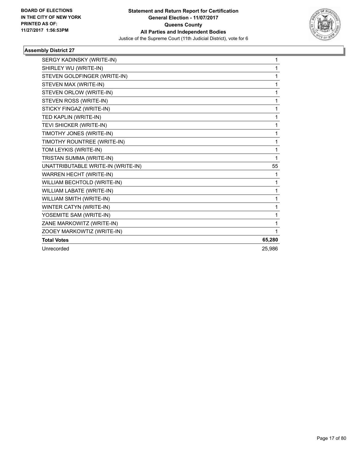

| SERGY KADINSKY (WRITE-IN)          | 1      |
|------------------------------------|--------|
| SHIRLEY WU (WRITE-IN)              | 1      |
| STEVEN GOLDFINGER (WRITE-IN)       | 1      |
| STEVEN MAX (WRITE-IN)              | 1      |
| STEVEN ORLOW (WRITE-IN)            | 1      |
| STEVEN ROSS (WRITE-IN)             | 1      |
| STICKY FINGAZ (WRITE-IN)           | 1      |
| TED KAPLIN (WRITE-IN)              | 1      |
| TEVI SHICKER (WRITE-IN)            | 1      |
| TIMOTHY JONES (WRITE-IN)           | 1      |
| TIMOTHY ROUNTREE (WRITE-IN)        | 1      |
| TOM LEYKIS (WRITE-IN)              | 1      |
| TRISTAN SUMMA (WRITE-IN)           | 1      |
| UNATTRIBUTABLE WRITE-IN (WRITE-IN) | 55     |
| WARREN HECHT (WRITE-IN)            | 1      |
| WILLIAM BECHTOLD (WRITE-IN)        | 1      |
| WILLIAM LABATE (WRITE-IN)          | 1      |
| WILLIAM SMITH (WRITE-IN)           | 1      |
| WINTER CATYN (WRITE-IN)            | 1      |
| YOSEMITE SAM (WRITE-IN)            | 1      |
| ZANE MARKOWITZ (WRITE-IN)          | 1      |
| ZOOEY MARKOWTIZ (WRITE-IN)         | 1      |
| <b>Total Votes</b>                 | 65,280 |
| Unrecorded                         | 25.986 |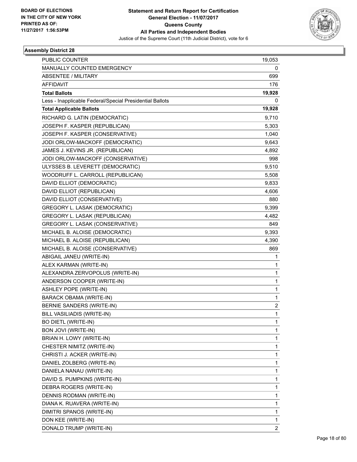

| <b>PUBLIC COUNTER</b>                                    | 19,053                  |
|----------------------------------------------------------|-------------------------|
| MANUALLY COUNTED EMERGENCY                               | 0                       |
| <b>ABSENTEE / MILITARY</b>                               | 699                     |
| <b>AFFIDAVIT</b>                                         | 176                     |
| <b>Total Ballots</b>                                     | 19,928                  |
| Less - Inapplicable Federal/Special Presidential Ballots | 0                       |
| <b>Total Applicable Ballots</b>                          | 19,928                  |
| RICHARD G. LATIN (DEMOCRATIC)                            | 9,710                   |
| JOSEPH F. KASPER (REPUBLICAN)                            | 5,303                   |
| JOSEPH F. KASPER (CONSERVATIVE)                          | 1,040                   |
| JODI ORLOW-MACKOFF (DEMOCRATIC)                          | 9,643                   |
| JAMES J. KEVINS JR. (REPUBLICAN)                         | 4,892                   |
| JODI ORLOW-MACKOFF (CONSERVATIVE)                        | 998                     |
| ULYSSES B. LEVERETT (DEMOCRATIC)                         | 9,510                   |
| WOODRUFF L. CARROLL (REPUBLICAN)                         | 5,508                   |
| DAVID ELLIOT (DEMOCRATIC)                                | 9,833                   |
| DAVID ELLIOT (REPUBLICAN)                                | 4,606                   |
| DAVID ELLIOT (CONSERVATIVE)                              | 880                     |
| GREGORY L. LASAK (DEMOCRATIC)                            | 9,399                   |
| GREGORY L. LASAK (REPUBLICAN)                            | 4,482                   |
| GREGORY L. LASAK (CONSERVATIVE)                          | 849                     |
| MICHAEL B. ALOISE (DEMOCRATIC)                           | 9,393                   |
| MICHAEL B. ALOISE (REPUBLICAN)                           | 4,390                   |
| MICHAEL B. ALOISE (CONSERVATIVE)                         | 869                     |
| ABIGAIL JANEU (WRITE-IN)                                 | 1                       |
| ALEX KARMAN (WRITE-IN)                                   | 1                       |
| ALEXANDRA ZERVOPOLUS (WRITE-IN)                          | 1                       |
| ANDERSON COOPER (WRITE-IN)                               | 1                       |
| ASHLEY POPE (WRITE-IN)                                   | 1                       |
| <b>BARACK OBAMA (WRITE-IN)</b>                           | 1                       |
| BERNIE SANDERS (WRITE-IN)                                | $\overline{\mathbf{c}}$ |
| BILL VASILIADIS (WRITE-IN)                               | 1                       |
| <b>BO DIETL (WRITE-IN)</b>                               | 1                       |
| BON JOVI (WRITE-IN)                                      | 1                       |
| BRIAN H. LOWY (WRITE-IN)                                 | 1                       |
| CHESTER NIMITZ (WRITE-IN)                                | 1                       |
| CHRISTI J. ACKER (WRITE-IN)                              | 1                       |
| DANIEL ZOLBERG (WRITE-IN)                                | 1                       |
| DANIELA NANAU (WRITE-IN)                                 | 1                       |
| DAVID S. PUMPKINS (WRITE-IN)                             | 1                       |
| DEBRA ROGERS (WRITE-IN)                                  | 1                       |
| DENNIS RODMAN (WRITE-IN)                                 | 1                       |
| DIANA K. RUAVERA (WRITE-IN)                              | 1                       |
| DIMITRI SPANOS (WRITE-IN)                                | 1                       |
| DON KEE (WRITE-IN)                                       | 1                       |
| DONALD TRUMP (WRITE-IN)                                  | $\overline{c}$          |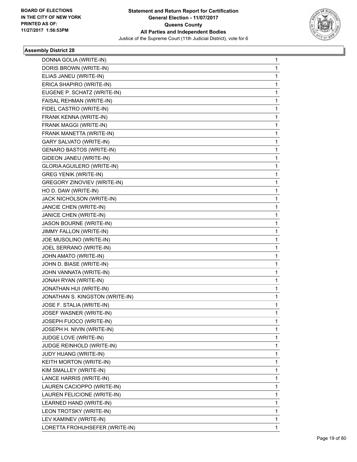

| DONNA GOLIA (WRITE-IN)             | 1 |
|------------------------------------|---|
| DORIS BROWN (WRITE-IN)             | 1 |
| ELIAS JANEU (WRITE-IN)             | 1 |
| ERICA SHAPIRO (WRITE-IN)           | 1 |
| EUGENE P. SCHATZ (WRITE-IN)        | 1 |
| FAISAL REHMAN (WRITE-IN)           | 1 |
| FIDEL CASTRO (WRITE-IN)            | 1 |
| FRANK KENNA (WRITE-IN)             | 1 |
| FRANK MAGGI (WRITE-IN)             | 1 |
| FRANK MANETTA (WRITE-IN)           | 1 |
| GARY SALVATO (WRITE-IN)            | 1 |
| <b>GENARO BASTOS (WRITE-IN)</b>    | 1 |
| GIDEON JANEU (WRITE-IN)            | 1 |
| GLORIA AGUILERO (WRITE-IN)         | 1 |
| <b>GREG YENIK (WRITE-IN)</b>       | 1 |
| <b>GREGORY ZINOVIEV (WRITE-IN)</b> | 1 |
| HO D. DAW (WRITE-IN)               | 1 |
| JACK NICHOLSON (WRITE-IN)          | 1 |
| JANCIE CHEN (WRITE-IN)             | 1 |
| JANICE CHEN (WRITE-IN)             | 1 |
| JASON BOURNE (WRITE-IN)            | 1 |
| JIMMY FALLON (WRITE-IN)            | 1 |
| JOE MUSOLINO (WRITE-IN)            | 1 |
| JOEL SERRANO (WRITE-IN)            | 1 |
| JOHN AMATO (WRITE-IN)              | 1 |
| JOHN D. BIASE (WRITE-IN)           | 1 |
| JOHN VANNATA (WRITE-IN)            | 1 |
| JONAH RYAN (WRITE-IN)              | 1 |
| JONATHAN HUI (WRITE-IN)            | 1 |
| JONATHAN S. KINGSTON (WRITE-IN)    | 1 |
| JOSE F. STALIA (WRITE-IN)          | 1 |
| JOSEF WASNER (WRITE-IN)            | 1 |
| JOSEPH FUOCO (WRITE-IN)            | 1 |
| JOSEPH H. NIVIN (WRITE-IN)         | 1 |
| JUDGE LOVE (WRITE-IN)              | 1 |
| JUDGE REINHOLD (WRITE-IN)          | 1 |
| JUDY HUANG (WRITE-IN)              | 1 |
| KEITH MORTON (WRITE-IN)            | 1 |
| KIM SMALLEY (WRITE-IN)             | 1 |
| LANCE HARRIS (WRITE-IN)            | 1 |
| LAUREN CACIOPPO (WRITE-IN)         | 1 |
| LAUREN FELICIONE (WRITE-IN)        | 1 |
| LEARNED HAND (WRITE-IN)            | 1 |
| LEON TROTSKY (WRITE-IN)            | 1 |
| LEV KAMINEV (WRITE-IN)             | 1 |
| LORETTA FROHUHSEFER (WRITE-IN)     | 1 |
|                                    |   |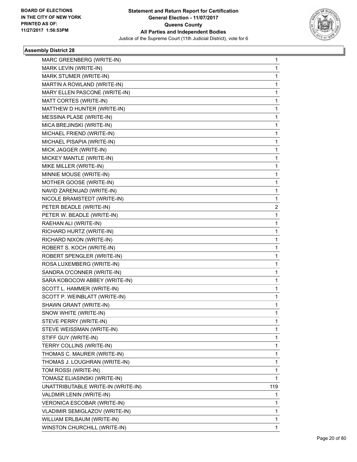

| MARC GREENBERG (WRITE-IN)          | 1   |
|------------------------------------|-----|
| MARK LEVIN (WRITE-IN)              | 1   |
| MARK STUMER (WRITE-IN)             | 1   |
| MARTIN A ROWLAND (WRITE-IN)        | 1   |
| MARY ELLEN PASCONE (WRITE-IN)      | 1   |
| MATT CORTES (WRITE-IN)             | 1   |
| MATTHEW D HUNTER (WRITE-IN)        | 1   |
| MESSINA PLASE (WRITE-IN)           | 1   |
| MICA BREJINSKI (WRITE-IN)          | 1   |
| MICHAEL FRIEND (WRITE-IN)          | 1   |
| MICHAEL PISAPIA (WRITE-IN)         | 1   |
| MICK JAGGER (WRITE-IN)             | 1   |
| MICKEY MANTLE (WRITE-IN)           | 1   |
| MIKE MILLER (WRITE-IN)             | 1   |
| MINNIE MOUSE (WRITE-IN)            | 1   |
| MOTHER GOOSE (WRITE-IN)            | 1   |
| NAVID ZARENIJAD (WRITE-IN)         | 1   |
| NICOLE BRAMSTEDT (WRITE-IN)        | 1   |
| PETER BEADLE (WRITE-IN)            | 2   |
| PETER W. BEADLE (WRITE-IN)         | 1   |
| RAEHAN ALI (WRITE-IN)              | 1   |
| RICHARD HURTZ (WRITE-IN)           | 1   |
| RICHARD NIXON (WRITE-IN)           | 1   |
| ROBERT S. KOCH (WRITE-IN)          | 1   |
| ROBERT SPENGLER (WRITE-IN)         | 1   |
| ROSA LUXEMBERG (WRITE-IN)          | 1   |
| SANDRA O'CONNER (WRITE-IN)         | 1   |
| SARA KOBOCOW ABBEY (WRITE-IN)      | 1   |
| SCOTT L. HAMMER (WRITE-IN)         | 1   |
| SCOTT P. WEINBLATT (WRITE-IN)      | 1   |
| SHAWN GRANT (WRITE-IN)             | 1   |
| SNOW WHITE (WRITE-IN)              | 1   |
| STEVE PERRY (WRITE-IN)             | 1   |
| STEVE WEISSMAN (WRITE-IN)          | 1   |
| STIFF GUY (WRITE-IN)               | 1   |
| TERRY COLLINS (WRITE-IN)           | 1   |
| THOMAS C. MAURER (WRITE-IN)        | 1   |
| THOMAS J. LOUGHRAN (WRITE-IN)      | 1   |
| TOM ROSSI (WRITE-IN)               | 1   |
| TOMASZ ELIASINSKI (WRITE-IN)       | 1   |
| UNATTRIBUTABLE WRITE-IN (WRITE-IN) | 119 |
| VALDMIR LENIN (WRITE-IN)           | 1   |
| VERONICA ESCOBAR (WRITE-IN)        | 1   |
| VLADIMIR SEMIGLAZOV (WRITE-IN)     | 1   |
| WILLIAM ERLBAUM (WRITE-IN)         | 1   |
| WINSTON CHURCHILL (WRITE-IN)       | 1   |
|                                    |     |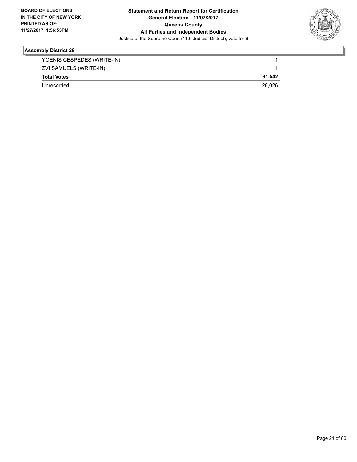

| Unrecorded                 | 28.026 |
|----------------------------|--------|
| <b>Total Votes</b>         | 91,542 |
| ZVI SAMUELS (WRITE-IN)     |        |
| YOENIS CESPEDES (WRITE-IN) |        |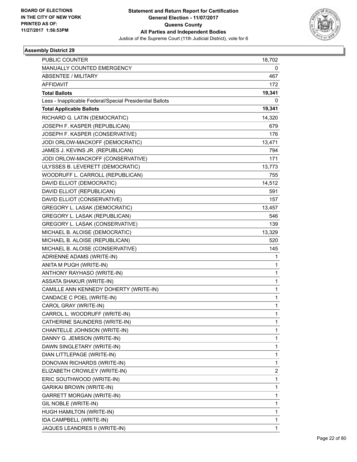

| <b>PUBLIC COUNTER</b>                                    | 18,702       |
|----------------------------------------------------------|--------------|
| MANUALLY COUNTED EMERGENCY                               | 0            |
| <b>ABSENTEE / MILITARY</b>                               | 467          |
| <b>AFFIDAVIT</b>                                         | 172          |
| <b>Total Ballots</b>                                     | 19,341       |
| Less - Inapplicable Federal/Special Presidential Ballots | 0            |
| <b>Total Applicable Ballots</b>                          | 19,341       |
| RICHARD G. LATIN (DEMOCRATIC)                            | 14,320       |
| JOSEPH F. KASPER (REPUBLICAN)                            | 679          |
| JOSEPH F. KASPER (CONSERVATIVE)                          | 176          |
| JODI ORLOW-MACKOFF (DEMOCRATIC)                          | 13,471       |
| JAMES J. KEVINS JR. (REPUBLICAN)                         | 794          |
| JODI ORLOW-MACKOFF (CONSERVATIVE)                        | 171          |
| ULYSSES B. LEVERETT (DEMOCRATIC)                         | 13,773       |
| WOODRUFF L. CARROLL (REPUBLICAN)                         | 755          |
| DAVID ELLIOT (DEMOCRATIC)                                | 14,512       |
| DAVID ELLIOT (REPUBLICAN)                                | 591          |
| DAVID ELLIOT (CONSERVATIVE)                              | 157          |
| <b>GREGORY L. LASAK (DEMOCRATIC)</b>                     | 13,457       |
| GREGORY L. LASAK (REPUBLICAN)                            | 546          |
| GREGORY L. LASAK (CONSERVATIVE)                          | 139          |
| MICHAEL B. ALOISE (DEMOCRATIC)                           | 13,329       |
| MICHAEL B. ALOISE (REPUBLICAN)                           | 520          |
| MICHAEL B. ALOISE (CONSERVATIVE)                         | 145          |
| ADRIENNE ADAMS (WRITE-IN)                                | 1            |
| ANITA M PUGH (WRITE-IN)                                  | 1            |
| ANTHONY RAYHASO (WRITE-IN)                               | 1            |
| <b>ASSATA SHAKUR (WRITE-IN)</b>                          | 1            |
| CAMILLE ANN KENNEDY DOHERTY (WRITE-IN)                   | $\mathbf{1}$ |
| CANDACE C POEL (WRITE-IN)                                | $\mathbf{1}$ |
| CAROL GRAY (WRITE-IN)                                    | 1            |
| CARROL L. WOODRUFF (WRITE-IN)                            | 1            |
| CATHERINE SAUNDERS (WRITE-IN)                            | 1            |
| CHANTELLE JOHNSON (WRITE-IN)                             | 1            |
| DANNY G. JEMISON (WRITE-IN)                              | $\mathbf{1}$ |
| DAWN SINGLETARY (WRITE-IN)                               | 1            |
| DIAN LITTLEPAGE (WRITE-IN)                               | 1            |
| DONOVAN RICHARDS (WRITE-IN)                              | $\mathbf{1}$ |
| ELIZABETH CROWLEY (WRITE-IN)                             | 2            |
| ERIC SOUTHWOOD (WRITE-IN)                                | 1            |
| <b>GARIKAI BROWN (WRITE-IN)</b>                          | 1            |
| GARRETT MORGAN (WRITE-IN)                                | 1            |
| GIL NOBLE (WRITE-IN)                                     | 1            |
| HUGH HAMILTON (WRITE-IN)                                 | 1            |
| IDA CAMPBELL (WRITE-IN)                                  | 1            |
| JAQUES LEANDRES II (WRITE-IN)                            | 1            |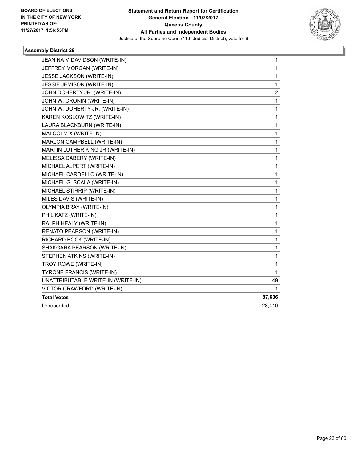

| JEANINA M DAVIDSON (WRITE-IN)      | 1            |
|------------------------------------|--------------|
| JEFFREY MORGAN (WRITE-IN)          | 1            |
| <b>JESSE JACKSON (WRITE-IN)</b>    | $\mathbf{1}$ |
| <b>JESSIE JEMISON (WRITE-IN)</b>   | 1            |
| JOHN DOHERTY JR. (WRITE-IN)        | 2            |
| JOHN W. CRONIN (WRITE-IN)          | 1            |
| JOHN W. DOHERTY JR. (WRITE-IN)     | 1            |
| KAREN KOSLOWITZ (WRITE-IN)         | 1            |
| LAURA BLACKBURN (WRITE-IN)         | 1            |
| MALCOLM X (WRITE-IN)               | 1            |
| MARLON CAMPBELL (WRITE-IN)         | 1            |
| MARTIN LUTHER KING JR (WRITE-IN)   | 1            |
| MELISSA DABERY (WRITE-IN)          | 1            |
| MICHAEL ALPERT (WRITE-IN)          | 1            |
| MICHAEL CARDELLO (WRITE-IN)        | 1            |
| MICHAEL G. SCALA (WRITE-IN)        | 1            |
| MICHAEL STIRRIP (WRITE-IN)         | 1            |
| MILES DAVIS (WRITE-IN)             | 1            |
| OLYMPIA BRAY (WRITE-IN)            | 1            |
| PHIL KATZ (WRITE-IN)               | 1            |
| RALPH HEALY (WRITE-IN)             | 1            |
| RENATO PEARSON (WRITE-IN)          | 1            |
| RICHARD BOCK (WRITE-IN)            | 1            |
| SHAKGARA PEARSON (WRITE-IN)        | 1            |
| STEPHEN ATKINS (WRITE-IN)          | 1            |
| TROY ROWE (WRITE-IN)               | 1            |
| <b>TYRONE FRANCIS (WRITE-IN)</b>   | 1            |
| UNATTRIBUTABLE WRITE-IN (WRITE-IN) | 49           |
| VICTOR CRAWFORD (WRITE-IN)         | 1            |
| <b>Total Votes</b>                 | 87,636       |
| Unrecorded                         | 28,410       |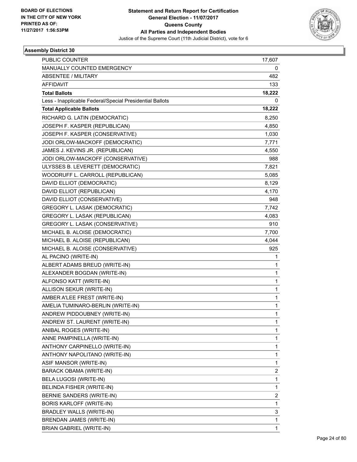

| PUBLIC COUNTER                                           | 17,607       |
|----------------------------------------------------------|--------------|
| MANUALLY COUNTED EMERGENCY                               | 0            |
| <b>ABSENTEE / MILITARY</b>                               | 482          |
| <b>AFFIDAVIT</b>                                         | 133          |
| <b>Total Ballots</b>                                     | 18,222       |
| Less - Inapplicable Federal/Special Presidential Ballots | 0            |
| <b>Total Applicable Ballots</b>                          | 18,222       |
| RICHARD G. LATIN (DEMOCRATIC)                            | 8,250        |
| JOSEPH F. KASPER (REPUBLICAN)                            | 4,850        |
| JOSEPH F. KASPER (CONSERVATIVE)                          | 1,030        |
| JODI ORLOW-MACKOFF (DEMOCRATIC)                          | 7,771        |
| JAMES J. KEVINS JR. (REPUBLICAN)                         | 4,550        |
| JODI ORLOW-MACKOFF (CONSERVATIVE)                        | 988          |
| ULYSSES B. LEVERETT (DEMOCRATIC)                         | 7,821        |
| WOODRUFF L. CARROLL (REPUBLICAN)                         | 5,085        |
| DAVID ELLIOT (DEMOCRATIC)                                | 8,129        |
| DAVID ELLIOT (REPUBLICAN)                                | 4,170        |
| DAVID ELLIOT (CONSERVATIVE)                              | 948          |
| <b>GREGORY L. LASAK (DEMOCRATIC)</b>                     | 7,742        |
| GREGORY L. LASAK (REPUBLICAN)                            | 4,083        |
| GREGORY L. LASAK (CONSERVATIVE)                          | 910          |
| MICHAEL B. ALOISE (DEMOCRATIC)                           | 7,700        |
| MICHAEL B. ALOISE (REPUBLICAN)                           | 4,044        |
| MICHAEL B. ALOISE (CONSERVATIVE)                         | 925          |
| AL PACINO (WRITE-IN)                                     | 1            |
| ALBERT ADAMS BREUD (WRITE-IN)                            | $\mathbf{1}$ |
| ALEXANDER BOGDAN (WRITE-IN)                              | 1            |
| ALFONSO KATT (WRITE-IN)                                  | $\mathbf{1}$ |
| ALLISON SEKUR (WRITE-IN)                                 | $\mathbf{1}$ |
| AMBER A'LEE FREST (WRITE-IN)                             | 1            |
| AMELIA TUMINARO-BERLIN (WRITE-IN)                        | $\mathbf{1}$ |
| ANDREW PIDDOUBNEY (WRITE-IN)                             | $\mathbf{1}$ |
| ANDREW ST. LAURENT (WRITE-IN)                            | 1            |
| ANIBAL ROGES (WRITE-IN)                                  | 1            |
| ANNE PAMPINELLA (WRITE-IN)                               | $\mathbf{1}$ |
| ANTHONY CARPINELLO (WRITE-IN)                            | 1            |
| ANTHONY NAPOLITANO (WRITE-IN)                            | $\mathbf{1}$ |
| ASIF MANSOR (WRITE-IN)                                   | $\mathbf{1}$ |
| BARACK OBAMA (WRITE-IN)                                  | 2            |
| BELA LUGOSI (WRITE-IN)                                   | $\mathbf{1}$ |
| BELINDA FISHER (WRITE-IN)                                | $\mathbf{1}$ |
| BERNIE SANDERS (WRITE-IN)                                | 2            |
| BORIS KARLOFF (WRITE-IN)                                 | $\mathbf 1$  |
| BRADLEY WALLS (WRITE-IN)                                 | 3            |
| BRENDAN JAMES (WRITE-IN)                                 | 1            |
| <b>BRIAN GABRIEL (WRITE-IN)</b>                          | $\mathbf{1}$ |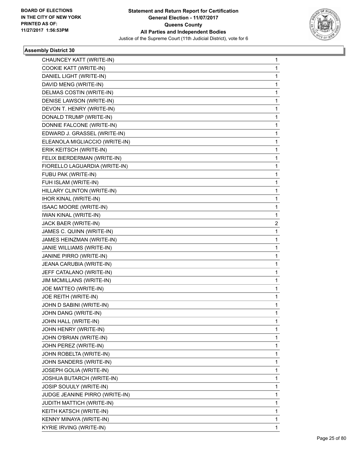

| CHAUNCEY KATT (WRITE-IN)       | $\mathbf{1}$ |
|--------------------------------|--------------|
| COOKIE KATT (WRITE-IN)         | $\mathbf{1}$ |
| DANIEL LIGHT (WRITE-IN)        | 1            |
| DAVID MENG (WRITE-IN)          | $\mathbf 1$  |
| DELMAS COSTIN (WRITE-IN)       | 1            |
| DENISE LAWSON (WRITE-IN)       | 1            |
| DEVON T. HENRY (WRITE-IN)      | $\mathbf 1$  |
| DONALD TRUMP (WRITE-IN)        | 1            |
| DONNIE FALCONE (WRITE-IN)      | 1            |
| EDWARD J. GRASSEL (WRITE-IN)   | $\mathbf 1$  |
| ELEANOLA MIGLIACCIO (WRITE-IN) | 1            |
| ERIK KEITSCH (WRITE-IN)        | 1            |
| FELIX BIERDERMAN (WRITE-IN)    | $\mathbf 1$  |
| FIORELLO LAGUARDIA (WRITE-IN)  | 1            |
| FUBU PAK (WRITE-IN)            | 1            |
| FUH ISLAM (WRITE-IN)           | $\mathbf 1$  |
| HILLARY CLINTON (WRITE-IN)     | 1            |
| IHOR KINAL (WRITE-IN)          | 1            |
| <b>ISAAC MOORE (WRITE-IN)</b>  | $\mathbf 1$  |
| IWAN KINAL (WRITE-IN)          | $\mathbf{1}$ |
| JACK BAER (WRITE-IN)           | 2            |
| JAMES C. QUINN (WRITE-IN)      | $\mathbf 1$  |
| JAMES HEINZMAN (WRITE-IN)      | 1            |
| JANIE WILLIAMS (WRITE-IN)      | 1            |
| JANINE PIRRO (WRITE-IN)        | $\mathbf 1$  |
| JEANA CARUBIA (WRITE-IN)       | 1            |
| JEFF CATALANO (WRITE-IN)       | 1            |
| JIM MCMILLANS (WRITE-IN)       | $\mathbf 1$  |
| JOE MATTEO (WRITE-IN)          | 1            |
| JOE REITH (WRITE-IN)           | 1            |
| JOHN D SABINI (WRITE-IN)       | 1            |
| JOHN DANG (WRITE-IN)           | 1            |
| JOHN HALL (WRITE-IN)           | 1            |
| JOHN HENRY (WRITE-IN)          | 1            |
| JOHN O'BRIAN (WRITE-IN)        | 1            |
| JOHN PEREZ (WRITE-IN)          | 1            |
| JOHN ROBELTA (WRITE-IN)        | 1            |
| JOHN SANDERS (WRITE-IN)        | 1            |
| JOSEPH GOLIA (WRITE-IN)        | 1            |
| JOSHUA BUTARCH (WRITE-IN)      | 1            |
| JOSIP SOUULY (WRITE-IN)        | 1            |
| JUDGE JEANINE PIRRO (WRITE-IN) | 1            |
| JUDITH MATTICH (WRITE-IN)      | 1            |
| KEITH KATSCH (WRITE-IN)        | 1            |
| KENNY MINAYA (WRITE-IN)        | 1            |
| KYRIE IRVING (WRITE-IN)        | $\mathbf{1}$ |
|                                |              |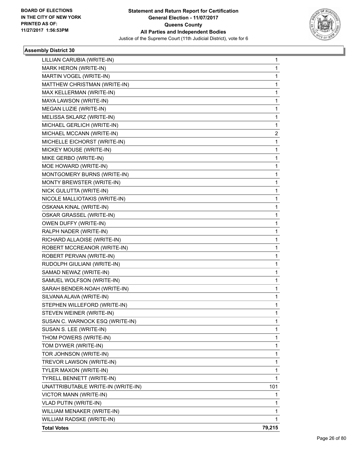

| LILLIAN CARUBIA (WRITE-IN)         | 1              |
|------------------------------------|----------------|
| MARK HERON (WRITE-IN)              | 1              |
| MARTIN VOGEL (WRITE-IN)            | 1              |
| MATTHEW CHRISTMAN (WRITE-IN)       | 1              |
| MAX KELLERMAN (WRITE-IN)           | 1              |
| MAYA LAWSON (WRITE-IN)             | 1              |
| MEGAN LUZIE (WRITE-IN)             | 1              |
| MELISSA SKLARZ (WRITE-IN)          | 1              |
| MICHAEL GERLICH (WRITE-IN)         | 1              |
| MICHAEL MCCANN (WRITE-IN)          | $\overline{2}$ |
| MICHELLE EICHORST (WRITE-IN)       | 1              |
| MICKEY MOUSE (WRITE-IN)            | 1              |
| MIKE GERBO (WRITE-IN)              | 1              |
| MOE HOWARD (WRITE-IN)              | 1              |
| MONTGOMERY BURNS (WRITE-IN)        | 1              |
| MONTY BREWSTER (WRITE-IN)          | 1.             |
| NICK GULUTTA (WRITE-IN)            | 1              |
| NICOLE MALLIOTAKIS (WRITE-IN)      | 1              |
| OSKANA KINAL (WRITE-IN)            | 1              |
| OSKAR GRASSEL (WRITE-IN)           | 1              |
| OWEN DUFFY (WRITE-IN)              | 1              |
| RALPH NADER (WRITE-IN)             | 1              |
| RICHARD ALLAOISE (WRITE-IN)        | 1              |
| ROBERT MCCREANOR (WRITE-IN)        | 1              |
| ROBERT PERVAN (WRITE-IN)           | 1              |
| RUDOLPH GIULIANI (WRITE-IN)        | 1              |
| SAMAD NEWAZ (WRITE-IN)             | 1              |
| SAMUEL WOLFSON (WRITE-IN)          | 1              |
| SARAH BENDER-NOAH (WRITE-IN)       | 1              |
| SILVANA ALAVA (WRITE-IN)           | 1              |
| STEPHEN WILLEFORD (WRITE-IN)       | 1              |
| STEVEN WEINER (WRITE-IN)           | 1              |
| SUSAN C. WARNOCK ESQ (WRITE-IN)    | 1              |
| SUSAN S. LEE (WRITE-IN)            | 1              |
| THOM POWERS (WRITE-IN)             | 1              |
| TOM DYWER (WRITE-IN)               | 1              |
| TOR JOHNSON (WRITE-IN)             | 1              |
| TREVOR LAWSON (WRITE-IN)           | 1              |
| TYLER MAXON (WRITE-IN)             | 1              |
| TYRELL BENNETT (WRITE-IN)          | 1.             |
| UNATTRIBUTABLE WRITE-IN (WRITE-IN) | 101            |
| VICTOR MANN (WRITE-IN)             | 1              |
| VLAD PUTIN (WRITE-IN)              | 1              |
| WILLIAM MENAKER (WRITE-IN)         | 1              |
| WILLIAM RADSKE (WRITE-IN)          | 1              |
| <b>Total Votes</b>                 | 79,215         |
|                                    |                |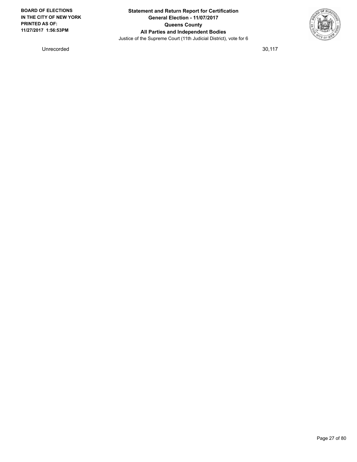

Unrecorded 30,117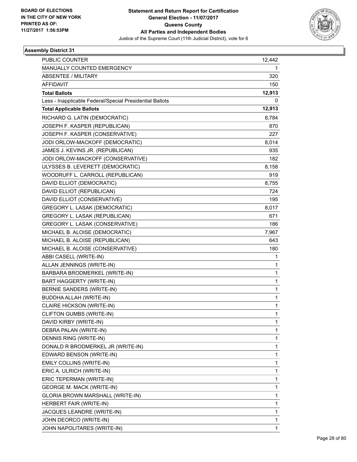

| <b>PUBLIC COUNTER</b>                                    | 12,442 |
|----------------------------------------------------------|--------|
| MANUALLY COUNTED EMERGENCY                               | 1.     |
| <b>ABSENTEE / MILITARY</b>                               | 320    |
| <b>AFFIDAVIT</b>                                         | 150    |
| <b>Total Ballots</b>                                     | 12,913 |
| Less - Inapplicable Federal/Special Presidential Ballots | 0      |
| <b>Total Applicable Ballots</b>                          | 12,913 |
| RICHARD G. LATIN (DEMOCRATIC)                            | 8,784  |
| JOSEPH F. KASPER (REPUBLICAN)                            | 870    |
| JOSEPH F. KASPER (CONSERVATIVE)                          | 227    |
| JODI ORLOW-MACKOFF (DEMOCRATIC)                          | 8,014  |
| JAMES J. KEVINS JR. (REPUBLICAN)                         | 935    |
| JODI ORLOW-MACKOFF (CONSERVATIVE)                        | 182    |
| ULYSSES B. LEVERETT (DEMOCRATIC)                         | 8,158  |
| WOODRUFF L. CARROLL (REPUBLICAN)                         | 919    |
| DAVID ELLIOT (DEMOCRATIC)                                | 8,755  |
| DAVID ELLIOT (REPUBLICAN)                                | 724    |
| DAVID ELLIOT (CONSERVATIVE)                              | 195    |
| GREGORY L. LASAK (DEMOCRATIC)                            | 8,017  |
| GREGORY L. LASAK (REPUBLICAN)                            | 671    |
| GREGORY L. LASAK (CONSERVATIVE)                          | 186    |
| MICHAEL B. ALOISE (DEMOCRATIC)                           | 7,967  |
| MICHAEL B. ALOISE (REPUBLICAN)                           | 643    |
| MICHAEL B. ALOISE (CONSERVATIVE)                         | 180    |
| ABBI CASELL (WRITE-IN)                                   | 1      |
| ALLAN JENNINGS (WRITE-IN)                                | 1      |
| BARBARA BRODMERKEL (WRITE-IN)                            | 1      |
| <b>BART HAGGERTY (WRITE-IN)</b>                          | 1      |
| BERNIE SANDERS (WRITE-IN)                                | 1      |
| BUDDHA ALLAH (WRITE-IN)                                  | 1      |
| <b>CLAIRE HICKSON (WRITE-IN)</b>                         | 1      |
| CLIFTON GUMBS (WRITE-IN)                                 | 1      |
| DAVID KIRBY (WRITE-IN)                                   | 1      |
| DEBRA PALAN (WRITE-IN)                                   | 1      |
| DENNIS RING (WRITE-IN)                                   | 1      |
| DONALD R BRODMERKEL JR (WRITE-IN)                        | 1      |
| EDWARD BENSON (WRITE-IN)                                 | 1      |
| EMILY COLLINS (WRITE-IN)                                 | 1      |
| ERIC A. ULRICH (WRITE-IN)                                | 1      |
| ERIC TEPERMAN (WRITE-IN)                                 | 1      |
| <b>GEORGE M. MACK (WRITE-IN)</b>                         | 1      |
| GLORIA BROWN MARSHALL (WRITE-IN)                         | 1      |
| HERBERT FAIR (WRITE-IN)                                  | 1      |
| JACQUES LEANDRE (WRITE-IN)                               | 1      |
| JOHN DEORCO (WRITE-IN)                                   | 1      |
| JOHN NAPOLITARES (WRITE-IN)                              | 1      |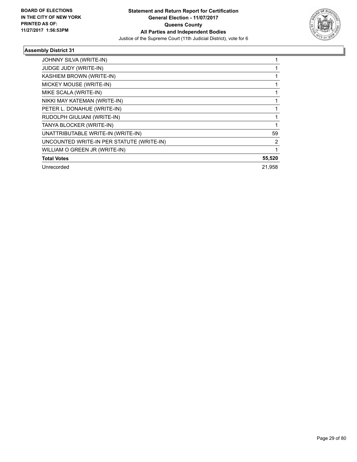

| JOHNNY SILVA (WRITE-IN)                   |        |
|-------------------------------------------|--------|
| <b>JUDGE JUDY (WRITE-IN)</b>              |        |
| KASHIEM BROWN (WRITE-IN)                  |        |
| MICKEY MOUSE (WRITE-IN)                   |        |
| MIKE SCALA (WRITE-IN)                     |        |
| NIKKI MAY KATEMAN (WRITE-IN)              |        |
| PETER L. DONAHUE (WRITE-IN)               |        |
| RUDOLPH GIULIANI (WRITE-IN)               |        |
| TANYA BLOCKER (WRITE-IN)                  |        |
| UNATTRIBUTABLE WRITE-IN (WRITE-IN)        | 59     |
| UNCOUNTED WRITE-IN PER STATUTE (WRITE-IN) | 2      |
| WILLIAM O GREEN JR (WRITE-IN)             |        |
| <b>Total Votes</b>                        | 55,520 |
| Unrecorded                                | 21.958 |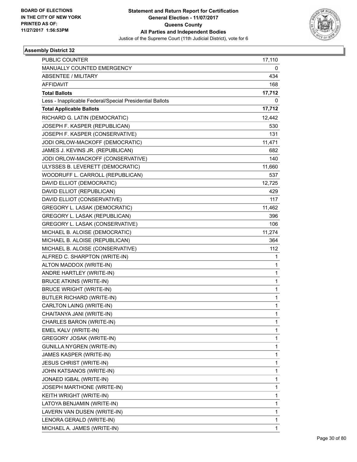

| <b>PUBLIC COUNTER</b>                                    | 17,110       |
|----------------------------------------------------------|--------------|
| MANUALLY COUNTED EMERGENCY                               | 0            |
| ABSENTEE / MILITARY                                      | 434          |
| <b>AFFIDAVIT</b>                                         | 168          |
| <b>Total Ballots</b>                                     | 17,712       |
| Less - Inapplicable Federal/Special Presidential Ballots | 0            |
| <b>Total Applicable Ballots</b>                          | 17,712       |
| RICHARD G. LATIN (DEMOCRATIC)                            | 12,442       |
| JOSEPH F. KASPER (REPUBLICAN)                            | 530          |
| JOSEPH F. KASPER (CONSERVATIVE)                          | 131          |
| JODI ORLOW-MACKOFF (DEMOCRATIC)                          | 11,471       |
| JAMES J. KEVINS JR. (REPUBLICAN)                         | 682          |
| JODI ORLOW-MACKOFF (CONSERVATIVE)                        | 140          |
| ULYSSES B. LEVERETT (DEMOCRATIC)                         | 11,660       |
| WOODRUFF L. CARROLL (REPUBLICAN)                         | 537          |
| DAVID ELLIOT (DEMOCRATIC)                                | 12,725       |
| DAVID ELLIOT (REPUBLICAN)                                | 429          |
| DAVID ELLIOT (CONSERVATIVE)                              | 117          |
| GREGORY L. LASAK (DEMOCRATIC)                            | 11,462       |
| GREGORY L. LASAK (REPUBLICAN)                            | 396          |
| GREGORY L. LASAK (CONSERVATIVE)                          | 106          |
| MICHAEL B. ALOISE (DEMOCRATIC)                           | 11,274       |
| MICHAEL B. ALOISE (REPUBLICAN)                           | 364          |
| MICHAEL B. ALOISE (CONSERVATIVE)                         | 112          |
| ALFRED C. SHARPTON (WRITE-IN)                            | 1            |
| ALTON MADDOX (WRITE-IN)                                  | 1            |
| ANDRE HARTLEY (WRITE-IN)                                 | 1            |
| <b>BRUCE ATKINS (WRITE-IN)</b>                           | 1            |
| <b>BRUCE WRIGHT (WRITE-IN)</b>                           | 1            |
| <b>BUTLER RICHARD (WRITE-IN)</b>                         | 1            |
| CARLTON LAING (WRITE-IN)                                 | $\mathbf 1$  |
| CHAITANYA JANI (WRITE-IN)                                | 1            |
| CHARLES BARON (WRITE-IN)                                 | 1            |
| EMEL KALV (WRITE-IN)                                     | 1            |
| GREGORY JOSAK (WRITE-IN)                                 | 1            |
| <b>GUNILLA NYGREN (WRITE-IN)</b>                         | 1            |
| JAMES KASPER (WRITE-IN)                                  | 1            |
| <b>JESUS CHRIST (WRITE-IN)</b>                           | 1            |
| JOHN KATSANOS (WRITE-IN)                                 | 1            |
| JONAED IGBAL (WRITE-IN)                                  | 1            |
| JOSEPH MARTHONE (WRITE-IN)                               | 1            |
| KEITH WRIGHT (WRITE-IN)                                  | 1            |
| LATOYA BENJAMIN (WRITE-IN)                               | 1            |
| LAVERN VAN DUSEN (WRITE-IN)                              | 1            |
| LENORA GERALD (WRITE-IN)                                 | 1            |
| MICHAEL A. JAMES (WRITE-IN)                              | $\mathbf{1}$ |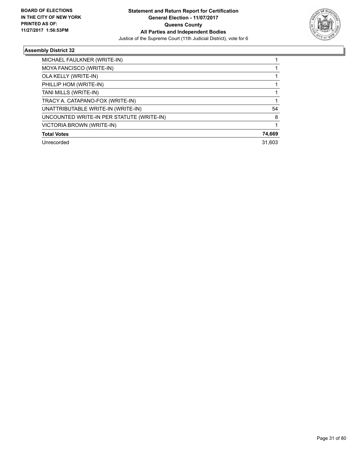

| MICHAEL FAULKNER (WRITE-IN)               |        |
|-------------------------------------------|--------|
| MOYA FANCISCO (WRITE-IN)                  |        |
| OLA KELLY (WRITE-IN)                      |        |
| PHILLIP HOM (WRITE-IN)                    |        |
| TANI MILLS (WRITE-IN)                     |        |
| TRACY A. CATAPANO-FOX (WRITE-IN)          |        |
| UNATTRIBUTABLE WRITE-IN (WRITE-IN)        | 54     |
| UNCOUNTED WRITE-IN PER STATUTE (WRITE-IN) | 8      |
| VICTORIA BROWN (WRITE-IN)                 |        |
| <b>Total Votes</b>                        | 74,669 |
| Unrecorded                                | 31.603 |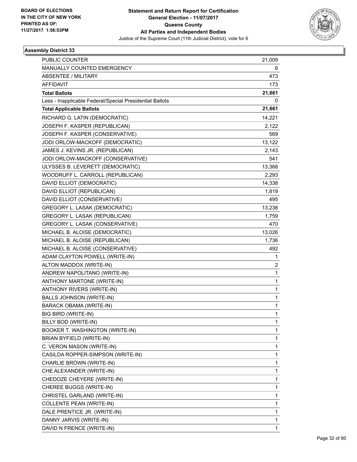

| <b>PUBLIC COUNTER</b>                                    | 21,009         |
|----------------------------------------------------------|----------------|
| MANUALLY COUNTED EMERGENCY                               | 6              |
| <b>ABSENTEE / MILITARY</b>                               | 473            |
| <b>AFFIDAVIT</b>                                         | 173            |
| <b>Total Ballots</b>                                     | 21,661         |
| Less - Inapplicable Federal/Special Presidential Ballots | 0              |
| <b>Total Applicable Ballots</b>                          | 21,661         |
| RICHARD G. LATIN (DEMOCRATIC)                            | 14.221         |
| JOSEPH F. KASPER (REPUBLICAN)                            | 2,122          |
| JOSEPH F. KASPER (CONSERVATIVE)                          | 569            |
| JODI ORLOW-MACKOFF (DEMOCRATIC)                          | 13,122         |
| JAMES J. KEVINS JR. (REPUBLICAN)                         | 2,143          |
| JODI ORLOW-MACKOFF (CONSERVATIVE)                        | 541            |
| ULYSSES B. LEVERETT (DEMOCRATIC)                         | 13,368         |
| WOODRUFF L. CARROLL (REPUBLICAN)                         | 2,293          |
| DAVID ELLIOT (DEMOCRATIC)                                | 14,338         |
| DAVID ELLIOT (REPUBLICAN)                                | 1,819          |
| DAVID ELLIOT (CONSERVATIVE)                              | 495            |
| GREGORY L. LASAK (DEMOCRATIC)                            | 13,238         |
| GREGORY L. LASAK (REPUBLICAN)                            | 1,759          |
| GREGORY L. LASAK (CONSERVATIVE)                          | 470            |
| MICHAEL B. ALOISE (DEMOCRATIC)                           | 13,026         |
| MICHAEL B. ALOISE (REPUBLICAN)                           | 1,736          |
| MICHAEL B. ALOISE (CONSERVATIVE)                         | 492            |
| ADAM CLAYTON POWELL (WRITE-IN)                           | 1              |
| ALTON MADDOX (WRITE-IN)                                  | $\overline{2}$ |
| ANDREW NAPOLITANO (WRITE-IN)                             | 1              |
| ANTHONY MARTONE (WRITE-IN)                               | 1              |
| ANTHONY RIVERS (WRITE-IN)                                | $\mathbf{1}$   |
| <b>BALLS JOHNSON (WRITE-IN)</b>                          | 1              |
| <b>BARACK OBAMA (WRITE-IN)</b>                           | $\mathbf 1$    |
| <b>BIG BIRD (WRITE-IN)</b>                               | 1              |
| BILLY BOD (WRITE-IN)                                     | 1              |
| BOOKER T. WASHINGTON (WRITE-IN)                          | 1              |
| BRIAN BYFIELD (WRITE-IN)                                 | 1              |
| C. VERON MASON (WRITE-IN)                                | 1              |
| CASILDA ROPPER-SIMPSON (WRITE-IN)                        | 1              |
| CHARLIE BROWN (WRITE-IN)                                 | 1              |
| CHE ALEXANDER (WRITE-IN)                                 | 1              |
| CHEDOZE CHEYERE (WRITE-IN)                               | 1              |
| CHEREE BUGGS (WRITE-IN)                                  | $\mathbf 1$    |
| CHRISTEL GARLAND (WRITE-IN)                              | 1              |
| COLLENTE PEAN (WRITE-IN)                                 | 1              |
| DALE PRENTICE JR. (WRITE-IN)                             | 1              |
| DANNY JARVIS (WRITE-IN)                                  | 1              |
| DAVID N FRENCE (WRITE-IN)                                | $\mathbf{1}$   |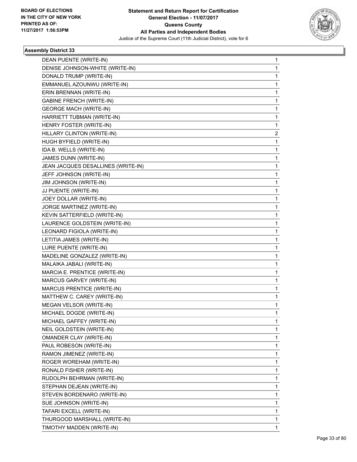

| DEAN PUENTE (WRITE-IN)             | 1 |
|------------------------------------|---|
| DENISE JOHNSON-WHITE (WRITE-IN)    | 1 |
| DONALD TRUMP (WRITE-IN)            | 1 |
| EMMANUEL AZOUNWU (WRITE-IN)        | 1 |
| ERIN BRENNAN (WRITE-IN)            | 1 |
| <b>GABINE FRENCH (WRITE-IN)</b>    | 1 |
| <b>GEORGE MACH (WRITE-IN)</b>      | 1 |
| HARRIETT TUBMAN (WRITE-IN)         | 1 |
| HENRY FOSTER (WRITE-IN)            | 1 |
| HILLARY CLINTON (WRITE-IN)         | 2 |
| HUGH BYFIELD (WRITE-IN)            | 1 |
| IDA B. WELLS (WRITE-IN)            | 1 |
| JAMES DUNN (WRITE-IN)              | 1 |
| JEAN JACQUES DESALLINES (WRITE-IN) | 1 |
| JEFF JOHNSON (WRITE-IN)            | 1 |
| JIM JOHNSON (WRITE-IN)             | 1 |
| JJ PUENTE (WRITE-IN)               | 1 |
| JOEY DOLLAR (WRITE-IN)             | 1 |
| JORGE MARTINEZ (WRITE-IN)          | 1 |
| KEVIN SATTERFIELD (WRITE-IN)       | 1 |
| LAURENCE GOLDSTEIN (WRITE-IN)      | 1 |
| LEONARD FIGIOLA (WRITE-IN)         | 1 |
| LETITIA JAMES (WRITE-IN)           | 1 |
| LURE PUENTE (WRITE-IN)             | 1 |
| MADELINE GONZALEZ (WRITE-IN)       | 1 |
| MALAIKA JABALI (WRITE-IN)          | 1 |
| MARCIA E. PRENTICE (WRITE-IN)      | 1 |
| MARCUS GARVEY (WRITE-IN)           | 1 |
| MARCUS PRENTICE (WRITE-IN)         | 1 |
| MATTHEW C. CAREY (WRITE-IN)        | 1 |
| MEGAN VELSOR (WRITE-IN)            | 1 |
| MICHAEL DOGDE (WRITE-IN)           | 1 |
| MICHAEL GAFFEY (WRITE-IN)          | 1 |
| NEIL GOLDSTEIN (WRITE-IN)          | 1 |
| OMANDER CLAY (WRITE-IN)            | 1 |
| PAUL ROBESON (WRITE-IN)            | 1 |
| RAMON JIMENEZ (WRITE-IN)           | 1 |
| ROGER WOREHAM (WRITE-IN)           | 1 |
| RONALD FISHER (WRITE-IN)           | 1 |
| RUDOLPH BEHRMAN (WRITE-IN)         | 1 |
| STEPHAN DEJEAN (WRITE-IN)          | 1 |
| STEVEN BORDENARO (WRITE-IN)        | 1 |
| SUE JOHNSON (WRITE-IN)             | 1 |
| TAFARI EXCELL (WRITE-IN)           | 1 |
| THURGOOD MARSHALL (WRITE-IN)       | 1 |
| TIMOTHY MADDEN (WRITE-IN)          | 1 |
|                                    |   |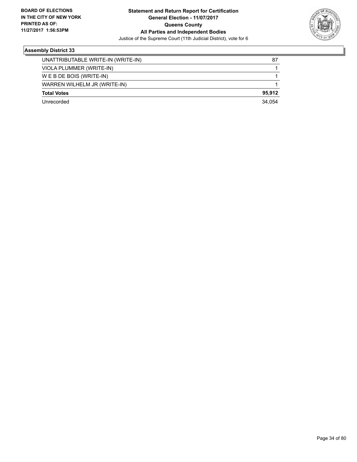

| UNATTRIBUTABLE WRITE-IN (WRITE-IN) | 87     |
|------------------------------------|--------|
| VIOLA PLUMMER (WRITE-IN)           |        |
| $W \to B$ DE BOIS (WRITE-IN)       |        |
| WARREN WILHELM JR (WRITE-IN)       |        |
| <b>Total Votes</b>                 | 95,912 |
| Unrecorded                         | 34.054 |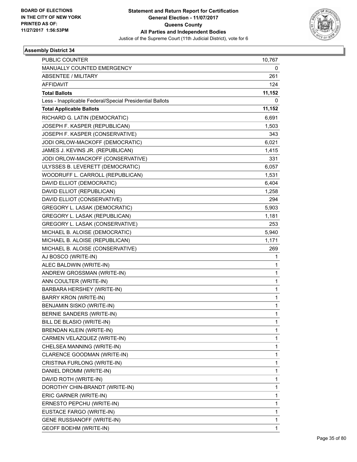

| PUBLIC COUNTER                                           | 10,767 |
|----------------------------------------------------------|--------|
| MANUALLY COUNTED EMERGENCY                               | 0      |
| <b>ABSENTEE / MILITARY</b>                               | 261    |
| <b>AFFIDAVIT</b>                                         | 124    |
| <b>Total Ballots</b>                                     | 11,152 |
| Less - Inapplicable Federal/Special Presidential Ballots | 0      |
| <b>Total Applicable Ballots</b>                          | 11,152 |
| RICHARD G. LATIN (DEMOCRATIC)                            | 6,691  |
| JOSEPH F. KASPER (REPUBLICAN)                            | 1,503  |
| JOSEPH F. KASPER (CONSERVATIVE)                          | 343    |
| JODI ORLOW-MACKOFF (DEMOCRATIC)                          | 6,021  |
| JAMES J. KEVINS JR. (REPUBLICAN)                         | 1,415  |
| JODI ORLOW-MACKOFF (CONSERVATIVE)                        | 331    |
| ULYSSES B. LEVERETT (DEMOCRATIC)                         | 6,057  |
| WOODRUFF L. CARROLL (REPUBLICAN)                         | 1,531  |
| DAVID ELLIOT (DEMOCRATIC)                                | 6,404  |
| DAVID ELLIOT (REPUBLICAN)                                | 1,258  |
| DAVID ELLIOT (CONSERVATIVE)                              | 294    |
| <b>GREGORY L. LASAK (DEMOCRATIC)</b>                     | 5,903  |
| GREGORY L. LASAK (REPUBLICAN)                            | 1,181  |
| GREGORY L. LASAK (CONSERVATIVE)                          | 253    |
| MICHAEL B. ALOISE (DEMOCRATIC)                           | 5,940  |
| MICHAEL B. ALOISE (REPUBLICAN)                           | 1,171  |
| MICHAEL B. ALOISE (CONSERVATIVE)                         | 269    |
| AJ BOSCO (WRITE-IN)                                      | 1      |
| ALEC BALDWIN (WRITE-IN)                                  | 1      |
| ANDREW GROSSMAN (WRITE-IN)                               | 1      |
| ANN COULTER (WRITE-IN)                                   | 1      |
| BARBARA HERSHEY (WRITE-IN)                               | 1      |
| <b>BARRY KRON (WRITE-IN)</b>                             | 1      |
| BENJAMIN SISKO (WRITE-IN)                                | 1      |
| <b>BERNIE SANDERS (WRITE-IN)</b>                         | 1      |
| BILL DE BLASIO (WRITE-IN)                                | 1      |
| <b>BRENDAN KLEIN (WRITE-IN)</b>                          | 1      |
| CARMEN VELAZQUEZ (WRITE-IN)                              | 1      |
| CHELSEA MANNING (WRITE-IN)                               | 1      |
| CLARENCE GOODMAN (WRITE-IN)                              | 1      |
| CRISTINA FURLONG (WRITE-IN)                              | 1      |
| DANIEL DROMM (WRITE-IN)                                  | 1      |
| DAVID ROTH (WRITE-IN)                                    | 1      |
| DOROTHY CHIN-BRANDT (WRITE-IN)                           | 1      |
| ERIC GARNER (WRITE-IN)                                   | 1      |
| ERNESTO PEPCHU (WRITE-IN)                                | 1      |
| EUSTACE FARGO (WRITE-IN)                                 | 1      |
| <b>GENE RUSSIANOFF (WRITE-IN)</b>                        | 1      |
| <b>GEOFF BOEHM (WRITE-IN)</b>                            | 1      |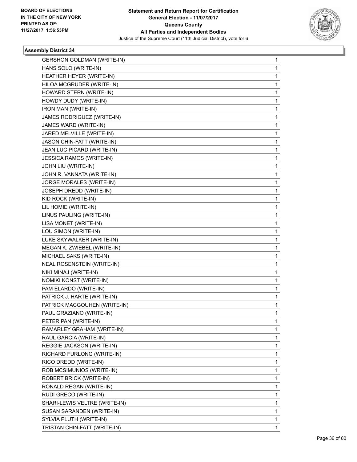

| <b>GERSHON GOLDMAN (WRITE-IN)</b> | 1 |
|-----------------------------------|---|
| HANS SOLO (WRITE-IN)              | 1 |
| HEATHER HEYER (WRITE-IN)          | 1 |
| HILOA MCGRUDER (WRITE-IN)         | 1 |
| HOWARD STERN (WRITE-IN)           | 1 |
| HOWDY DUDY (WRITE-IN)             | 1 |
| <b>IRON MAN (WRITE-IN)</b>        | 1 |
| JAMES RODRIGUEZ (WRITE-IN)        | 1 |
| JAMES WARD (WRITE-IN)             | 1 |
| JARED MELVILLE (WRITE-IN)         | 1 |
| JASON CHIN-FATT (WRITE-IN)        | 1 |
| JEAN LUC PICARD (WRITE-IN)        | 1 |
| JESSICA RAMOS (WRITE-IN)          | 1 |
| JOHN LIU (WRITE-IN)               | 1 |
| JOHN R. VANNATA (WRITE-IN)        | 1 |
| JORGE MORALES (WRITE-IN)          | 1 |
| JOSEPH DREDD (WRITE-IN)           | 1 |
| KID ROCK (WRITE-IN)               | 1 |
| LIL HOMIE (WRITE-IN)              | 1 |
| LINUS PAULING (WRITE-IN)          | 1 |
| LISA MONET (WRITE-IN)             | 1 |
| LOU SIMON (WRITE-IN)              | 1 |
| LUKE SKYWALKER (WRITE-IN)         | 1 |
| MEGAN K. ZWIEBEL (WRITE-IN)       | 1 |
| MICHAEL SAKS (WRITE-IN)           | 1 |
| NEAL ROSENSTEIN (WRITE-IN)        | 1 |
| NIKI MINAJ (WRITE-IN)             | 1 |
| NOMIKI KONST (WRITE-IN)           | 1 |
| PAM ELARDO (WRITE-IN)             | 1 |
| PATRICK J. HARTE (WRITE-IN)       | 1 |
| PATRICK MACGOUHEN (WRITE-IN)      | 1 |
| PAUL GRAZIANO (WRITE-IN)          | 1 |
| PETER PAN (WRITE-IN)              | 1 |
| RAMARLEY GRAHAM (WRITE-IN)        | 1 |
| RAUL GARCIA (WRITE-IN)            | 1 |
| REGGIE JACKSON (WRITE-IN)         | 1 |
| RICHARD FURLONG (WRITE-IN)        | 1 |
| RICO DREDD (WRITE-IN)             | 1 |
| ROB MCSIMUNIOS (WRITE-IN)         | 1 |
| ROBERT BRICK (WRITE-IN)           | 1 |
| RONALD REGAN (WRITE-IN)           | 1 |
| RUDI GRECO (WRITE-IN)             | 1 |
| SHARI-LEWIS VELTRE (WRITE-IN)     | 1 |
| SUSAN SARANDEN (WRITE-IN)         | 1 |
| SYLVIA PLUTH (WRITE-IN)           | 1 |
| TRISTAN CHIN-FATT (WRITE-IN)      | 1 |
|                                   |   |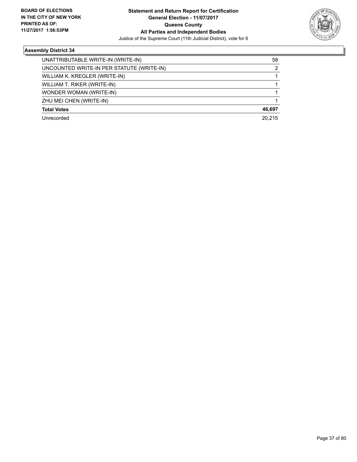

| UNATTRIBUTABLE WRITE-IN (WRITE-IN)        | 58             |
|-------------------------------------------|----------------|
| UNCOUNTED WRITE-IN PER STATUTE (WRITE-IN) | $\overline{2}$ |
| WILLIAM K. KREGLER (WRITE-IN)             |                |
| WILLIAM T. RIKER (WRITE-IN)               |                |
| WONDER WOMAN (WRITE-IN)                   |                |
| ZHU MEI CHEN (WRITE-IN)                   |                |
| <b>Total Votes</b>                        | 46.697         |
| Unrecorded                                | 20.215         |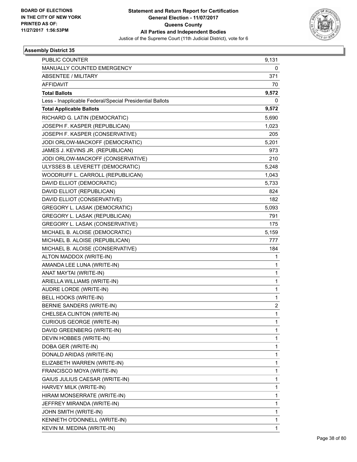

| PUBLIC COUNTER                                           | 9,131 |
|----------------------------------------------------------|-------|
| MANUALLY COUNTED EMERGENCY                               | 0     |
| <b>ABSENTEE / MILITARY</b>                               | 371   |
| <b>AFFIDAVIT</b>                                         | 70    |
| <b>Total Ballots</b>                                     | 9,572 |
| Less - Inapplicable Federal/Special Presidential Ballots | 0     |
| <b>Total Applicable Ballots</b>                          | 9,572 |
| RICHARD G. LATIN (DEMOCRATIC)                            | 5,690 |
| JOSEPH F. KASPER (REPUBLICAN)                            | 1,023 |
| JOSEPH F. KASPER (CONSERVATIVE)                          | 205   |
| JODI ORLOW-MACKOFF (DEMOCRATIC)                          | 5,201 |
| JAMES J. KEVINS JR. (REPUBLICAN)                         | 973   |
| JODI ORLOW-MACKOFF (CONSERVATIVE)                        | 210   |
| ULYSSES B. LEVERETT (DEMOCRATIC)                         | 5,248 |
| WOODRUFF L. CARROLL (REPUBLICAN)                         | 1,043 |
| DAVID ELLIOT (DEMOCRATIC)                                | 5,733 |
| DAVID ELLIOT (REPUBLICAN)                                | 824   |
| DAVID ELLIOT (CONSERVATIVE)                              | 182   |
| GREGORY L. LASAK (DEMOCRATIC)                            | 5,093 |
| GREGORY L. LASAK (REPUBLICAN)                            | 791   |
| GREGORY L. LASAK (CONSERVATIVE)                          | 175   |
| MICHAEL B. ALOISE (DEMOCRATIC)                           | 5,159 |
| MICHAEL B. ALOISE (REPUBLICAN)                           | 777   |
| MICHAEL B. ALOISE (CONSERVATIVE)                         | 184   |
| ALTON MADDOX (WRITE-IN)                                  | 1     |
| AMANDA LEE LUNA (WRITE-IN)                               | 1     |
| ANAT MAYTAI (WRITE-IN)                                   | 1     |
| ARIELLA WILLIAMS (WRITE-IN)                              | 1     |
| AUDRE LORDE (WRITE-IN)                                   | 1     |
| BELL HOOKS (WRITE-IN)                                    | 1     |
| BERNIE SANDERS (WRITE-IN)                                | 2     |
| CHELSEA CLINTON (WRITE-IN)                               | 1     |
| <b>CURIOUS GEORGE (WRITE-IN)</b>                         | 1     |
| DAVID GREENBERG (WRITE-IN)                               | 1     |
| DEVIN HOBBES (WRITE-IN)                                  | 1     |
| DOBA GER (WRITE-IN)                                      | 1     |
| DONALD ARIDAS (WRITE-IN)                                 | 1     |
| ELIZABETH WARREN (WRITE-IN)                              | 1     |
| FRANCISCO MOYA (WRITE-IN)                                | 1     |
| GAIUS JULIUS CAESAR (WRITE-IN)                           | 1     |
| HARVEY MILK (WRITE-IN)                                   | 1     |
| HIRAM MONSERRATE (WRITE-IN)                              | 1     |
| JEFFREY MIRANDA (WRITE-IN)                               | 1     |
| <b>JOHN SMITH (WRITE-IN)</b>                             | 1     |
| KENNETH O'DONNELL (WRITE-IN)                             | 1     |
| KEVIN M. MEDINA (WRITE-IN)                               | 1     |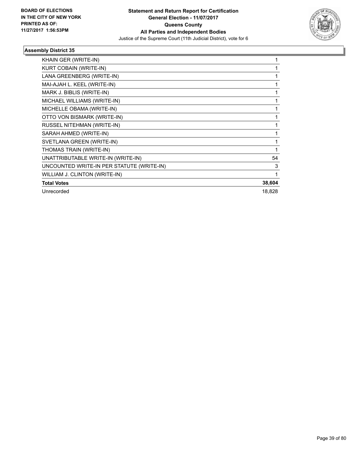

| KHAIN GER (WRITE-IN)                      |        |
|-------------------------------------------|--------|
| KURT COBAIN (WRITE-IN)                    |        |
| LANA GREENBERG (WRITE-IN)                 |        |
| MAI-AJAH L. KEEL (WRITE-IN)               |        |
| MARK J. BIBLIS (WRITE-IN)                 |        |
| MICHAEL WILLIAMS (WRITE-IN)               |        |
| MICHELLE OBAMA (WRITE-IN)                 |        |
| OTTO VON BISMARK (WRITE-IN)               |        |
| RUSSEL NITEHMAN (WRITE-IN)                |        |
| SARAH AHMED (WRITE-IN)                    |        |
| SVETLANA GREEN (WRITE-IN)                 |        |
| THOMAS TRAIN (WRITE-IN)                   |        |
| UNATTRIBUTABLE WRITE-IN (WRITE-IN)        | 54     |
| UNCOUNTED WRITE-IN PER STATUTE (WRITE-IN) | 3      |
| WILLIAM J. CLINTON (WRITE-IN)             | 1      |
| <b>Total Votes</b>                        | 38,604 |
| Unrecorded                                | 18,828 |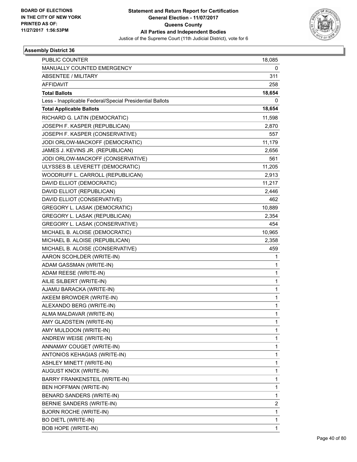

| <b>PUBLIC COUNTER</b>                                    | 18,085       |
|----------------------------------------------------------|--------------|
| MANUALLY COUNTED EMERGENCY                               | 0            |
| <b>ABSENTEE / MILITARY</b>                               | 311          |
| <b>AFFIDAVIT</b>                                         | 258          |
| <b>Total Ballots</b>                                     | 18,654       |
| Less - Inapplicable Federal/Special Presidential Ballots | 0            |
| <b>Total Applicable Ballots</b>                          | 18,654       |
| RICHARD G. LATIN (DEMOCRATIC)                            | 11,598       |
| JOSEPH F. KASPER (REPUBLICAN)                            | 2,870        |
| JOSEPH F. KASPER (CONSERVATIVE)                          | 557          |
| JODI ORLOW-MACKOFF (DEMOCRATIC)                          | 11,179       |
| JAMES J. KEVINS JR. (REPUBLICAN)                         | 2,656        |
| JODI ORLOW-MACKOFF (CONSERVATIVE)                        | 561          |
| ULYSSES B. LEVERETT (DEMOCRATIC)                         | 11,205       |
| WOODRUFF L. CARROLL (REPUBLICAN)                         | 2,913        |
| DAVID ELLIOT (DEMOCRATIC)                                | 11,217       |
| DAVID ELLIOT (REPUBLICAN)                                | 2,446        |
| DAVID ELLIOT (CONSERVATIVE)                              | 462          |
| GREGORY L. LASAK (DEMOCRATIC)                            | 10,889       |
| GREGORY L. LASAK (REPUBLICAN)                            | 2,354        |
| GREGORY L. LASAK (CONSERVATIVE)                          | 454          |
| MICHAEL B. ALOISE (DEMOCRATIC)                           | 10,965       |
| MICHAEL B. ALOISE (REPUBLICAN)                           | 2,358        |
| MICHAEL B. ALOISE (CONSERVATIVE)                         | 459          |
| AARON SCOHLDER (WRITE-IN)                                | 1            |
| ADAM GASSMAN (WRITE-IN)                                  | $\mathbf{1}$ |
| ADAM REESE (WRITE-IN)                                    | 1            |
| AILIE SILBERT (WRITE-IN)                                 | 1            |
| AJAMU BARACKA (WRITE-IN)                                 | $\mathbf{1}$ |
| AKEEM BROWDER (WRITE-IN)                                 | 1            |
| ALEXANDO BERG (WRITE-IN)                                 | $\mathbf{1}$ |
| ALMA MALDAVAR (WRITE-IN)                                 | 1            |
| AMY GLADSTEIN (WRITE-IN)                                 | 1            |
| AMY MULDOON (WRITE-IN)                                   | 1            |
| ANDREW WEISE (WRITE-IN)                                  | $\mathbf{1}$ |
| ANNAMAY COUGET (WRITE-IN)                                | 1            |
| ANTONIOS KEHAGIAS (WRITE-IN)                             | 1            |
| ASHLEY MINETT (WRITE-IN)                                 | $\mathbf{1}$ |
| AUGUST KNOX (WRITE-IN)                                   | 1            |
| BARRY FRANKENSTEIL (WRITE-IN)                            | $\mathbf{1}$ |
| BEN HOFFMAN (WRITE-IN)                                   | $\mathbf{1}$ |
| BENARD SANDERS (WRITE-IN)                                | 1            |
| BERNIE SANDERS (WRITE-IN)                                | 2            |
| <b>BJORN ROCHE (WRITE-IN)</b>                            | $\mathbf{1}$ |
| <b>BO DIETL (WRITE-IN)</b>                               | 1            |
| <b>BOB HOPE (WRITE-IN)</b>                               | $\mathbf{1}$ |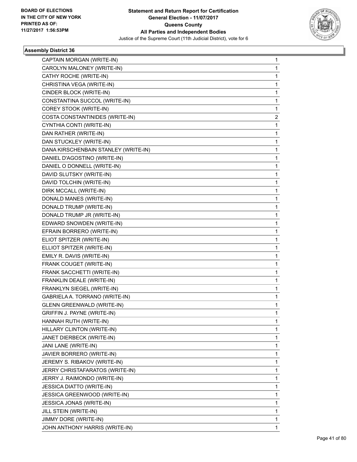

| CAPTAIN MORGAN (WRITE-IN)            | 1 |
|--------------------------------------|---|
| CAROLYN MALONEY (WRITE-IN)           | 1 |
| CATHY ROCHE (WRITE-IN)               | 1 |
| CHRISTINA VEGA (WRITE-IN)            | 1 |
| CINDER BLOCK (WRITE-IN)              | 1 |
| CONSTANTINA SUCCOL (WRITE-IN)        | 1 |
| COREY STOOK (WRITE-IN)               | 1 |
| COSTA CONSTANTINIDES (WRITE-IN)      | 2 |
| CYNTHIA CONTI (WRITE-IN)             | 1 |
| DAN RATHER (WRITE-IN)                | 1 |
| DAN STUCKLEY (WRITE-IN)              | 1 |
| DANA KIRSCHENBAIN STANLEY (WRITE-IN) | 1 |
| DANIEL D'AGOSTINO (WRITE-IN)         | 1 |
| DANIEL O DONNELL (WRITE-IN)          | 1 |
| DAVID SLUTSKY (WRITE-IN)             | 1 |
| DAVID TOLCHIN (WRITE-IN)             | 1 |
| DIRK MCCALL (WRITE-IN)               | 1 |
| DONALD MANES (WRITE-IN)              | 1 |
| DONALD TRUMP (WRITE-IN)              | 1 |
| DONALD TRUMP JR (WRITE-IN)           | 1 |
| EDWARD SNOWDEN (WRITE-IN)            | 1 |
| EFRAIN BORRERO (WRITE-IN)            | 1 |
| ELIOT SPITZER (WRITE-IN)             | 1 |
| ELLIOT SPITZER (WRITE-IN)            | 1 |
| EMILY R. DAVIS (WRITE-IN)            | 1 |
| FRANK COUGET (WRITE-IN)              | 1 |
| FRANK SACCHETTI (WRITE-IN)           | 1 |
| FRANKLIN DEALE (WRITE-IN)            | 1 |
| FRANKLYN SIEGEL (WRITE-IN)           | 1 |
| GABRIELA A. TORRANO (WRITE-IN)       | 1 |
| <b>GLENN GREENWALD (WRITE-IN)</b>    | 1 |
| GRIFFIN J. PAYNE (WRITE-IN)          | 1 |
| HANNAH RUTH (WRITE-IN)               | 1 |
| HILLARY CLINTON (WRITE-IN)           | 1 |
| JANET DIERBECK (WRITE-IN)            | 1 |
| JANI LANE (WRITE-IN)                 | 1 |
| JAVIER BORRERO (WRITE-IN)            | 1 |
| JEREMY S. RIBAKOV (WRITE-IN)         | 1 |
| JERRY CHRISTAFARATOS (WRITE-IN)      | 1 |
| JERRY J. RAIMONDO (WRITE-IN)         | 1 |
| JESSICA DIATTO (WRITE-IN)            | 1 |
| JESSICA GREENWOOD (WRITE-IN)         | 1 |
| JESSICA JONAS (WRITE-IN)             | 1 |
| JILL STEIN (WRITE-IN)                | 1 |
| JIMMY DORE (WRITE-IN)                | 1 |
| JOHN ANTHONY HARRIS (WRITE-IN)       | 1 |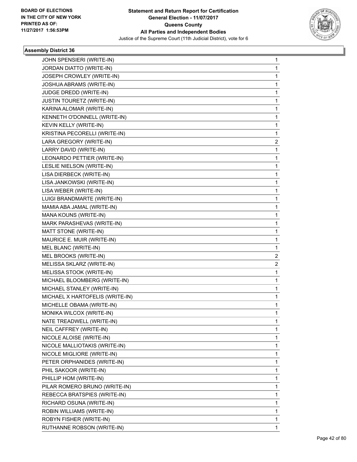

| JOHN SPENSIERI (WRITE-IN)       | 1           |
|---------------------------------|-------------|
| JORDAN DIATTO (WRITE-IN)        | 1           |
| JOSEPH CROWLEY (WRITE-IN)       | 1           |
| JOSHUA ABRAMS (WRITE-IN)        | 1           |
| JUDGE DREDD (WRITE-IN)          | 1           |
| JUSTIN TOURETZ (WRITE-IN)       | 1           |
| KARINA ALOMAR (WRITE-IN)        | 1           |
| KENNETH O'DONNELL (WRITE-IN)    | 1           |
| KEVIN KELLY (WRITE-IN)          | 1           |
| KRISTINA PECORELLI (WRITE-IN)   | 1           |
| LARA GREGORY (WRITE-IN)         | 2           |
| LARRY DAVID (WRITE-IN)          | 1           |
| LEONARDO PETTIER (WRITE-IN)     | 1           |
| LESLIE NIELSON (WRITE-IN)       | 1           |
| LISA DIERBECK (WRITE-IN)        | 1           |
| LISA JANKOWSKI (WRITE-IN)       | 1           |
| LISA WEBER (WRITE-IN)           | 1           |
| LUIGI BRANDMARTE (WRITE-IN)     | 1           |
| MAMIA ABA JAMAL (WRITE-IN)      | 1           |
| MANA KOUNS (WRITE-IN)           | 1           |
| MARK PARASHEVAS (WRITE-IN)      | 1           |
| MATT STONE (WRITE-IN)           | 1           |
| MAURICE E. MUIR (WRITE-IN)      | 1           |
| MEL BLANC (WRITE-IN)            | 1           |
| MEL BROOKS (WRITE-IN)           | 2           |
| MELISSA SKLARZ (WRITE-IN)       | 2           |
| MELISSA STOOK (WRITE-IN)        | $\mathbf 1$ |
| MICHAEL BLOOMBERG (WRITE-IN)    | 1           |
| MICHAEL STANLEY (WRITE-IN)      | 1           |
| MICHAEL X HARTOFELIS (WRITE-IN) | 1           |
| MICHELLE OBAMA (WRITE-IN)       | 1           |
| MONIKA WILCOX (WRITE-IN)        | 1           |
| NATE TREADWELL (WRITE-IN)       | 1           |
| NEIL CAFFREY (WRITE-IN)         | 1           |
| NICOLE ALOISE (WRITE-IN)        | 1           |
| NICOLE MALLIOTAKIS (WRITE-IN)   | 1           |
| NICOLE MIGLIORE (WRITE-IN)      | 1           |
| PETER ORPHANIDES (WRITE-IN)     | 1           |
| PHIL SAKOOR (WRITE-IN)          | 1           |
| PHILLIP HOM (WRITE-IN)          | 1           |
| PILAR ROMERO BRUNO (WRITE-IN)   | 1           |
| REBECCA BRATSPIES (WRITE-IN)    | 1           |
| RICHARD OSUNA (WRITE-IN)        | 1           |
| ROBIN WILLIAMS (WRITE-IN)       | 1           |
| ROBYN FISHER (WRITE-IN)         | 1           |
| RUTHANNE ROBSON (WRITE-IN)      | 1           |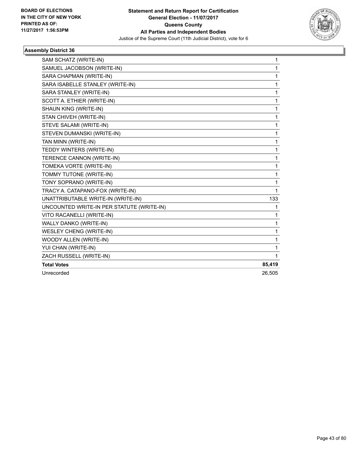

| SAM SCHATZ (WRITE-IN)                     | 1      |
|-------------------------------------------|--------|
| SAMUEL JACOBSON (WRITE-IN)                | 1      |
| SARA CHAPMAN (WRITE-IN)                   | 1      |
| SARA ISABELLE STANLEY (WRITE-IN)          | 1      |
| SARA STANLEY (WRITE-IN)                   | 1      |
| SCOTT A. ETHIER (WRITE-IN)                | 1      |
| SHAUN KING (WRITE-IN)                     | 1      |
| STAN CHIVEH (WRITE-IN)                    | 1      |
| STEVE SALAMI (WRITE-IN)                   | 1      |
| STEVEN DUMANSKI (WRITE-IN)                | 1      |
| TAN MINN (WRITE-IN)                       | 1      |
| TEDDY WINTERS (WRITE-IN)                  | 1      |
| TERENCE CANNON (WRITE-IN)                 | 1      |
| TOMEKA VORTE (WRITE-IN)                   | 1      |
| TOMMY TUTONE (WRITE-IN)                   | 1      |
| TONY SOPRANO (WRITE-IN)                   | 1      |
| TRACY A. CATAPANO-FOX (WRITE-IN)          | 1      |
| UNATTRIBUTABLE WRITE-IN (WRITE-IN)        | 133    |
| UNCOUNTED WRITE-IN PER STATUTE (WRITE-IN) | 1      |
| VITO RACANELLI (WRITE-IN)                 | 1      |
| WALLY DANKO (WRITE-IN)                    | 1      |
| <b>WESLEY CHENG (WRITE-IN)</b>            | 1      |
| WOODY ALLEN (WRITE-IN)                    | 1      |
| YUI CHAN (WRITE-IN)                       | 1      |
| ZACH RUSSELL (WRITE-IN)                   | 1      |
| <b>Total Votes</b>                        | 85,419 |
| Unrecorded                                | 26.505 |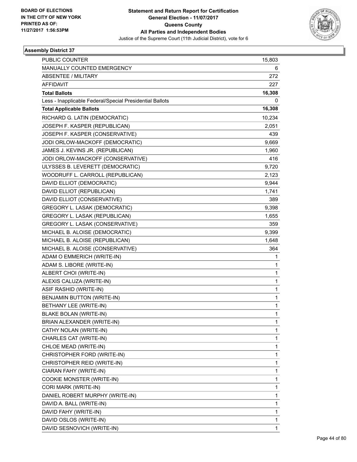

| PUBLIC COUNTER                                           | 15,803       |
|----------------------------------------------------------|--------------|
| MANUALLY COUNTED EMERGENCY                               | 6            |
| <b>ABSENTEE / MILITARY</b>                               | 272          |
| <b>AFFIDAVIT</b>                                         | 227          |
| <b>Total Ballots</b>                                     | 16,308       |
| Less - Inapplicable Federal/Special Presidential Ballots | 0            |
| <b>Total Applicable Ballots</b>                          | 16,308       |
| RICHARD G. LATIN (DEMOCRATIC)                            | 10,234       |
| JOSEPH F. KASPER (REPUBLICAN)                            | 2,051        |
| JOSEPH F. KASPER (CONSERVATIVE)                          | 439          |
| JODI ORLOW-MACKOFF (DEMOCRATIC)                          | 9,669        |
| JAMES J. KEVINS JR. (REPUBLICAN)                         | 1,960        |
| JODI ORLOW-MACKOFF (CONSERVATIVE)                        | 416          |
| ULYSSES B. LEVERETT (DEMOCRATIC)                         | 9,720        |
| WOODRUFF L. CARROLL (REPUBLICAN)                         | 2,123        |
| DAVID ELLIOT (DEMOCRATIC)                                | 9,944        |
| DAVID ELLIOT (REPUBLICAN)                                | 1,741        |
| DAVID ELLIOT (CONSERVATIVE)                              | 389          |
| <b>GREGORY L. LASAK (DEMOCRATIC)</b>                     | 9,398        |
| GREGORY L. LASAK (REPUBLICAN)                            | 1,655        |
| GREGORY L. LASAK (CONSERVATIVE)                          | 359          |
| MICHAEL B. ALOISE (DEMOCRATIC)                           | 9,399        |
| MICHAEL B. ALOISE (REPUBLICAN)                           | 1,648        |
| MICHAEL B. ALOISE (CONSERVATIVE)                         | 364          |
| ADAM O EMMERICH (WRITE-IN)                               | 1            |
| ADAM S. LIBORE (WRITE-IN)                                | $\mathbf{1}$ |
| ALBERT CHOI (WRITE-IN)                                   | 1            |
| ALEXIS CALUZA (WRITE-IN)                                 | 1            |
| ASIF RASHID (WRITE-IN)                                   | $\mathbf{1}$ |
| BENJAMIN BUTTON (WRITE-IN)                               | 1            |
| BETHANY LEE (WRITE-IN)                                   | 1            |
| <b>BLAKE BOLAN (WRITE-IN)</b>                            | 1            |
| BRIAN ALEXANDER (WRITE-IN)                               | 1            |
| CATHY NOLAN (WRITE-IN)                                   | 1            |
| CHARLES CAT (WRITE-IN)                                   | 1            |
| CHLOE MEAD (WRITE-IN)                                    | 1            |
| CHRISTOPHER FORD (WRITE-IN)                              | 1            |
| CHRISTOPHER REID (WRITE-IN)                              | 1            |
| CIARAN FAHY (WRITE-IN)                                   | 1            |
| COOKIE MONSTER (WRITE-IN)                                | 1            |
| CORI MARK (WRITE-IN)                                     | 1            |
| DANIEL ROBERT MURPHY (WRITE-IN)                          | 1            |
| DAVID A. BALL (WRITE-IN)                                 | 1            |
| DAVID FAHY (WRITE-IN)                                    | 1            |
| DAVID OSLOS (WRITE-IN)                                   | 1            |
| DAVID SESNOVICH (WRITE-IN)                               | $\mathbf{1}$ |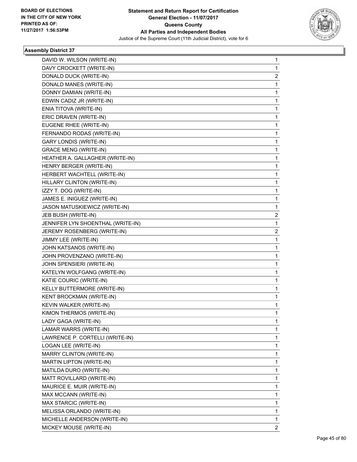

| DAVID W. WILSON (WRITE-IN)        | 1              |
|-----------------------------------|----------------|
| DAVY CROCKETT (WRITE-IN)          | 1              |
| DONALD DUCK (WRITE-IN)            | 2              |
| DONALD MANES (WRITE-IN)           | 1              |
| DONNY DAMIAN (WRITE-IN)           | 1              |
| EDWIN CADIZ JR (WRITE-IN)         | 1              |
| ENIA TITOVA (WRITE-IN)            | 1              |
| ERIC DRAVEN (WRITE-IN)            | 1              |
| EUGENE RHEE (WRITE-IN)            | 1              |
| FERNANDO RODAS (WRITE-IN)         | 1              |
| <b>GARY LONDIS (WRITE-IN)</b>     | 1              |
| <b>GRACE MENG (WRITE-IN)</b>      | 1              |
| HEATHER A. GALLAGHER (WRITE-IN)   | 1              |
| HENRY BERGER (WRITE-IN)           | 1              |
| HERBERT WACHTELL (WRITE-IN)       | 1              |
| HILLARY CLINTON (WRITE-IN)        | 1              |
| IZZY T. DOG (WRITE-IN)            | 1              |
| JAMES E. INIGUEZ (WRITE-IN)       | 1              |
| JASON MATUSKIEWICZ (WRITE-IN)     | 1              |
| JEB BUSH (WRITE-IN)               | 2              |
| JENNIFER LYN SHOENTHAL (WRITE-IN) | 1              |
| JEREMY ROSENBERG (WRITE-IN)       | 2              |
| JIMMY LEE (WRITE-IN)              | 1              |
| JOHN KATSANOS (WRITE-IN)          | 1              |
| JOHN PROVENZANO (WRITE-IN)        | 1              |
| JOHN SPENSIERI (WRITE-IN)         | 1              |
| KATELYN WOLFGANG (WRITE-IN)       | 1              |
| KATIE COURIC (WRITE-IN)           | 1              |
| KELLY BUTTERMORE (WRITE-IN)       | 1              |
| KENT BROCKMAN (WRITE-IN)          | 1              |
| KEVIN WALKER (WRITE-IN)           | 1              |
| KIMON THERMOS (WRITE-IN)          | $\mathbf{1}$   |
| LADY GAGA (WRITE-IN)              | 1              |
| LAMAR WARRS (WRITE-IN)            | 1              |
| LAWRENCE P. CORTELLI (WRITE-IN)   | 1              |
| LOGAN LEE (WRITE-IN)              | 1              |
| MARRY CLINTON (WRITE-IN)          | 1              |
| MARTIN LIPTON (WRITE-IN)          | 1              |
| MATILDA DURO (WRITE-IN)           | 1              |
| MATT ROVILLARD (WRITE-IN)         | 1              |
| MAURICE E. MUIR (WRITE-IN)        | 1              |
| MAX MCCANN (WRITE-IN)             | 1              |
| MAX STARCIC (WRITE-IN)            | 1              |
| MELISSA ORLANDO (WRITE-IN)        | 1              |
| MICHELLE ANDERSON (WRITE-IN)      | 1              |
| MICKEY MOUSE (WRITE-IN)           | $\overline{2}$ |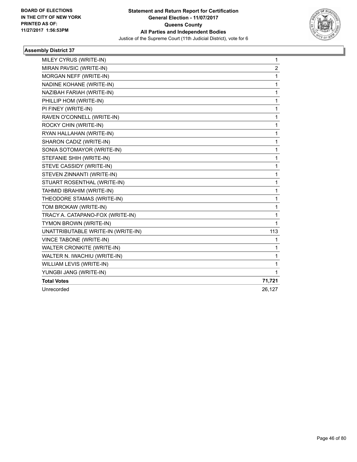

| MILEY CYRUS (WRITE-IN)             | 1      |
|------------------------------------|--------|
| MIRAN PAVSIC (WRITE-IN)            | 2      |
| MORGAN NEFF (WRITE-IN)             | 1      |
| NADINE KOHANE (WRITE-IN)           | 1      |
| NAZIBAH FARIAH (WRITE-IN)          | 1      |
| PHILLIP HOM (WRITE-IN)             | 1      |
| PI FINEY (WRITE-IN)                | 1      |
| RAVEN O'CONNELL (WRITE-IN)         | 1      |
| ROCKY CHIN (WRITE-IN)              | 1      |
| RYAN HALLAHAN (WRITE-IN)           | 1      |
| SHARON CADIZ (WRITE-IN)            | 1      |
| SONIA SOTOMAYOR (WRITE-IN)         | 1      |
| STEFANIE SHIH (WRITE-IN)           | 1      |
| STEVE CASSIDY (WRITE-IN)           | 1      |
| STEVEN ZINNANTI (WRITE-IN)         | 1      |
| STUART ROSENTHAL (WRITE-IN)        | 1      |
| TAHMID IBRAHIM (WRITE-IN)          | 1      |
| THEODORE STAMAS (WRITE-IN)         | 1      |
| TOM BROKAW (WRITE-IN)              | 1      |
| TRACY A. CATAPANO-FOX (WRITE-IN)   | 1      |
| TYMON BROWN (WRITE-IN)             | 1      |
| UNATTRIBUTABLE WRITE-IN (WRITE-IN) | 113    |
| VINCE TABONE (WRITE-IN)            | 1      |
| WALTER CRONKITE (WRITE-IN)         | 1      |
| WALTER N. IWACHIU (WRITE-IN)       | 1      |
| WILLIAM LEVIS (WRITE-IN)           | 1      |
| YUNGBI JANG (WRITE-IN)             | 1      |
| <b>Total Votes</b>                 | 71,721 |
| Unrecorded                         | 26,127 |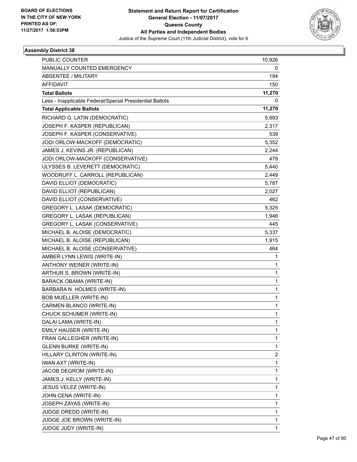

| PUBLIC COUNTER                                           | 10,926                  |
|----------------------------------------------------------|-------------------------|
| MANUALLY COUNTED EMERGENCY                               | 0                       |
| ABSENTEE / MILITARY                                      | 194                     |
| <b>AFFIDAVIT</b>                                         | 150                     |
| <b>Total Ballots</b>                                     | 11,270                  |
| Less - Inapplicable Federal/Special Presidential Ballots | 0                       |
| <b>Total Applicable Ballots</b>                          | 11,270                  |
| RICHARD G. LATIN (DEMOCRATIC)                            | 5,893                   |
| JOSEPH F. KASPER (REPUBLICAN)                            | 2,317                   |
| JOSEPH F. KASPER (CONSERVATIVE)                          | 539                     |
| JODI ORLOW-MACKOFF (DEMOCRATIC)                          | 5,352                   |
| JAMES J. KEVINS JR. (REPUBLICAN)                         | 2,244                   |
| JODI ORLOW-MACKOFF (CONSERVATIVE)                        | 479                     |
| ULYSSES B. LEVERETT (DEMOCRATIC)                         | 5,440                   |
| WOODRUFF L. CARROLL (REPUBLICAN)                         | 2,449                   |
| DAVID ELLIOT (DEMOCRATIC)                                | 5,787                   |
| DAVID ELLIOT (REPUBLICAN)                                | 2,027                   |
| DAVID ELLIOT (CONSERVATIVE)                              | 462                     |
| <b>GREGORY L. LASAK (DEMOCRATIC)</b>                     | 5,325                   |
| GREGORY L. LASAK (REPUBLICAN)                            | 1,946                   |
| GREGORY L. LASAK (CONSERVATIVE)                          | 445                     |
| MICHAEL B. ALOISE (DEMOCRATIC)                           | 5,337                   |
| MICHAEL B. ALOISE (REPUBLICAN)                           | 1,915                   |
| MICHAEL B. ALOISE (CONSERVATIVE)                         | 464                     |
| AMBER LYNN LEWIS (WRITE-IN)                              | 1                       |
| ANTHONY WEINER (WRITE-IN)                                | $\mathbf{1}$            |
| ARTHUR S. BROWN (WRITE-IN)                               | $\mathbf{1}$            |
| BARACK OBAMA (WRITE-IN)                                  | 1                       |
| BARBARA N. HOLMES (WRITE-IN)                             | $\mathbf{1}$            |
| <b>BOB MUELLER (WRITE-IN)</b>                            | $\mathbf{1}$            |
| CARMEN BLANCO (WRITE-IN)                                 | 1                       |
| CHUCK SCHUMER (WRITE-IN)                                 | $\mathbf{1}$            |
| DALAI LAMA (WRITE-IN)                                    | 1                       |
| EMILY HAUSER (WRITE-IN)                                  | 1                       |
| FRAN GALLEGHER (WRITE-IN)                                | $\mathbf{1}$            |
| <b>GLENN BURKE (WRITE-IN)</b>                            | $\mathbf 1$             |
| HILLARY CLINTON (WRITE-IN)                               | $\overline{\mathbf{c}}$ |
| IWAN AXT (WRITE-IN)                                      | $\mathbf{1}$            |
| JACOB DEGROM (WRITE-IN)                                  | 1                       |
| JAMES J. KELLY (WRITE-IN)                                | 1                       |
| JESUS VELEZ (WRITE-IN)                                   | $\mathbf 1$             |
| JOHN CENA (WRITE-IN)                                     | 1                       |
| JOSEPH ZAYAS (WRITE-IN)                                  | 1                       |
| JUDGE DREDD (WRITE-IN)                                   | $\mathbf 1$             |
| JUDGE JOE BROWN (WRITE-IN)                               | 1                       |
| JUDGE JUDY (WRITE-IN)                                    | $\mathbf{1}$            |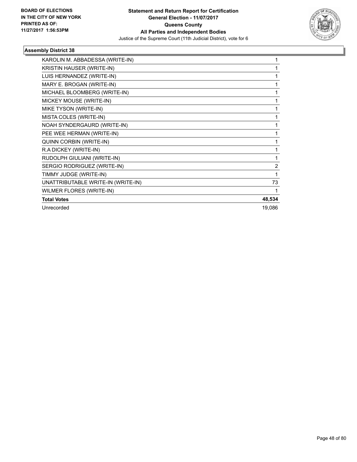

| KAROLIN M. ABBADESSA (WRITE-IN)    | 1      |
|------------------------------------|--------|
| <b>KRISTIN HAUSER (WRITE-IN)</b>   | 1      |
| LUIS HERNANDEZ (WRITE-IN)          |        |
| MARY E. BROGAN (WRITE-IN)          | 1      |
| MICHAEL BLOOMBERG (WRITE-IN)       | 1      |
| MICKEY MOUSE (WRITE-IN)            | 1      |
| MIKE TYSON (WRITE-IN)              | 1      |
| MISTA COLES (WRITE-IN)             | 1      |
| NOAH SYNDERGAURD (WRITE-IN)        | 1      |
| PEE WEE HERMAN (WRITE-IN)          | 1      |
| QUINN CORBIN (WRITE-IN)            | 1      |
| R.A DICKEY (WRITE-IN)              | 1      |
| RUDOLPH GIULIANI (WRITE-IN)        |        |
| SERGIO RODRIGUEZ (WRITE-IN)        | 2      |
| TIMMY JUDGE (WRITE-IN)             | 1      |
| UNATTRIBUTABLE WRITE-IN (WRITE-IN) | 73     |
| WILMER FLORES (WRITE-IN)           | 1      |
| <b>Total Votes</b>                 | 48,534 |
| Unrecorded                         | 19,086 |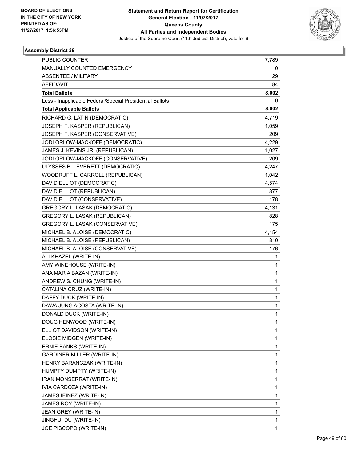

| PUBLIC COUNTER                                           | 7,789        |
|----------------------------------------------------------|--------------|
| MANUALLY COUNTED EMERGENCY                               | 0            |
| <b>ABSENTEE / MILITARY</b>                               | 129          |
| <b>AFFIDAVIT</b>                                         | 84           |
| <b>Total Ballots</b>                                     | 8,002        |
| Less - Inapplicable Federal/Special Presidential Ballots | 0            |
| <b>Total Applicable Ballots</b>                          | 8,002        |
| RICHARD G. LATIN (DEMOCRATIC)                            | 4,719        |
| JOSEPH F. KASPER (REPUBLICAN)                            | 1,059        |
| JOSEPH F. KASPER (CONSERVATIVE)                          | 209          |
| JODI ORLOW-MACKOFF (DEMOCRATIC)                          | 4,229        |
| JAMES J. KEVINS JR. (REPUBLICAN)                         | 1,027        |
| JODI ORLOW-MACKOFF (CONSERVATIVE)                        | 209          |
| ULYSSES B. LEVERETT (DEMOCRATIC)                         | 4,247        |
| WOODRUFF L. CARROLL (REPUBLICAN)                         | 1,042        |
| DAVID ELLIOT (DEMOCRATIC)                                | 4,574        |
| DAVID ELLIOT (REPUBLICAN)                                | 877          |
| DAVID ELLIOT (CONSERVATIVE)                              | 178          |
| <b>GREGORY L. LASAK (DEMOCRATIC)</b>                     | 4,131        |
| GREGORY L. LASAK (REPUBLICAN)                            | 828          |
| GREGORY L. LASAK (CONSERVATIVE)                          | 175          |
| MICHAEL B. ALOISE (DEMOCRATIC)                           | 4,154        |
| MICHAEL B. ALOISE (REPUBLICAN)                           | 810          |
| MICHAEL B. ALOISE (CONSERVATIVE)                         | 176          |
| ALI KHAZEL (WRITE-IN)                                    | 1            |
| AMY WINEHOUSE (WRITE-IN)                                 | $\mathbf{1}$ |
| ANA MARIA BAZAN (WRITE-IN)                               | 1            |
| ANDREW S. CHUNG (WRITE-IN)                               | 1            |
| CATALINA CRUZ (WRITE-IN)                                 | $\mathbf{1}$ |
| DAFFY DUCK (WRITE-IN)                                    | 1            |
| DAWA JUNG ACOSTA (WRITE-IN)                              | 1            |
| DONALD DUCK (WRITE-IN)                                   | 1            |
| DOUG HENWOOD (WRITE-IN)                                  | 1            |
| ELLIOT DAVIDSON (WRITE-IN)                               | 1            |
| ELOSIE MIDGEN (WRITE-IN)                                 | 1            |
| ERNIE BANKS (WRITE-IN)                                   | 1            |
| <b>GARDINER MILLER (WRITE-IN)</b>                        | 1            |
| HENRY BARANCZAK (WRITE-IN)                               | 1            |
| HUMPTY DUMPTY (WRITE-IN)                                 | 1            |
| IRAN MONSERRAT (WRITE-IN)                                | 1            |
| IVIA CARDOZA (WRITE-IN)                                  | 1            |
| JAMES IEINEZ (WRITE-IN)                                  | 1            |
| JAMES ROY (WRITE-IN)                                     | 1            |
| JEAN GREY (WRITE-IN)                                     | 1            |
| JINGHUI DU (WRITE-IN)                                    | 1            |
| JOE PISCOPO (WRITE-IN)                                   | 1            |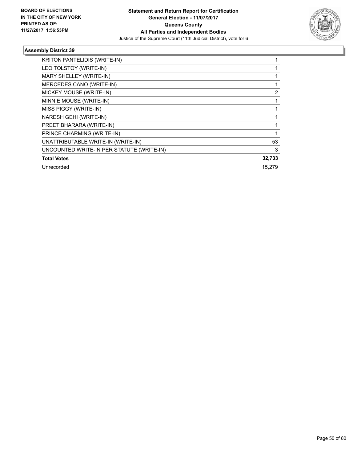

| <b>KRITON PANTELIDIS (WRITE-IN)</b>       |                |
|-------------------------------------------|----------------|
| LEO TOLSTOY (WRITE-IN)                    |                |
| MARY SHELLEY (WRITE-IN)                   |                |
| MERCEDES CANO (WRITE-IN)                  |                |
| MICKEY MOUSE (WRITE-IN)                   | $\overline{2}$ |
| MINNIE MOUSE (WRITE-IN)                   |                |
| MISS PIGGY (WRITE-IN)                     |                |
| NARESH GEHI (WRITE-IN)                    |                |
| PREET BHARARA (WRITE-IN)                  |                |
| PRINCE CHARMING (WRITE-IN)                |                |
| UNATTRIBUTABLE WRITE-IN (WRITE-IN)        | 53             |
| UNCOUNTED WRITE-IN PER STATUTE (WRITE-IN) | 3              |
| <b>Total Votes</b>                        | 32,733         |
| Unrecorded                                | 15.279         |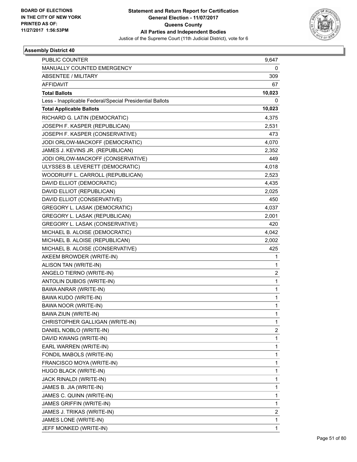

| PUBLIC COUNTER                                           | 9,647                   |
|----------------------------------------------------------|-------------------------|
| MANUALLY COUNTED EMERGENCY                               | 0                       |
| <b>ABSENTEE / MILITARY</b>                               | 309                     |
| <b>AFFIDAVIT</b>                                         | 67                      |
| <b>Total Ballots</b>                                     | 10,023                  |
| Less - Inapplicable Federal/Special Presidential Ballots | 0                       |
| <b>Total Applicable Ballots</b>                          | 10,023                  |
| RICHARD G. LATIN (DEMOCRATIC)                            | 4,375                   |
| JOSEPH F. KASPER (REPUBLICAN)                            | 2,531                   |
| JOSEPH F. KASPER (CONSERVATIVE)                          | 473                     |
| JODI ORLOW-MACKOFF (DEMOCRATIC)                          | 4,070                   |
| JAMES J. KEVINS JR. (REPUBLICAN)                         | 2,352                   |
| JODI ORLOW-MACKOFF (CONSERVATIVE)                        | 449                     |
| ULYSSES B. LEVERETT (DEMOCRATIC)                         | 4,018                   |
| WOODRUFF L. CARROLL (REPUBLICAN)                         | 2,523                   |
| DAVID ELLIOT (DEMOCRATIC)                                | 4,435                   |
| DAVID ELLIOT (REPUBLICAN)                                | 2,025                   |
| DAVID ELLIOT (CONSERVATIVE)                              | 450                     |
| GREGORY L. LASAK (DEMOCRATIC)                            | 4,037                   |
| GREGORY L. LASAK (REPUBLICAN)                            | 2,001                   |
| GREGORY L. LASAK (CONSERVATIVE)                          | 420                     |
| MICHAEL B. ALOISE (DEMOCRATIC)                           | 4,042                   |
| MICHAEL B. ALOISE (REPUBLICAN)                           | 2,002                   |
| MICHAEL B. ALOISE (CONSERVATIVE)                         | 425                     |
| AKEEM BROWDER (WRITE-IN)                                 | 1                       |
| ALISON TAN (WRITE-IN)                                    | $\mathbf{1}$            |
| ANGELO TIERNO (WRITE-IN)                                 | 2                       |
| ANTOLIN DUBIOS (WRITE-IN)                                | 1                       |
| BAWA ANRAR (WRITE-IN)                                    | $\mathbf{1}$            |
| BAWA KUDO (WRITE-IN)                                     | 1                       |
| BAWA NOOR (WRITE-IN)                                     | 1                       |
| BAWA ZIUN (WRITE-IN)                                     | 1                       |
| CHRISTOPHER GALLIGAN (WRITE-IN)                          | 1                       |
| DANIEL NOBLO (WRITE-IN)                                  | $\overline{\mathbf{c}}$ |
| DAVID KWANG (WRITE-IN)                                   | 1                       |
| EARL WARREN (WRITE-IN)                                   | 1                       |
| FONDIL MABOLS (WRITE-IN)                                 | 1                       |
| FRANCISCO MOYA (WRITE-IN)                                | 1                       |
| HUGO BLACK (WRITE-IN)                                    | 1                       |
| JACK RINALDI (WRITE-IN)                                  | 1                       |
| JAMES B. JIA (WRITE-IN)                                  | 1                       |
| JAMES C. QUINN (WRITE-IN)                                | 1                       |
| JAMES GRIFFIN (WRITE-IN)                                 | 1                       |
| JAMES J. TRIKAS (WRITE-IN)                               | 2                       |
| JAMES LONE (WRITE-IN)                                    | 1                       |
| JEFF MONKED (WRITE-IN)                                   | $\mathbf{1}$            |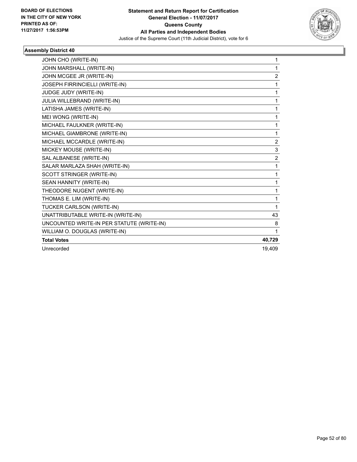

| JOHN CHO (WRITE-IN)                       | 1              |
|-------------------------------------------|----------------|
| JOHN MARSHALL (WRITE-IN)                  | 1              |
| JOHN MCGEE JR (WRITE-IN)                  | $\overline{2}$ |
| JOSEPH FIRRINCIELLI (WRITE-IN)            | 1              |
| JUDGE JUDY (WRITE-IN)                     | 1              |
| <b>JULIA WILLEBRAND (WRITE-IN)</b>        | 1              |
| LATISHA JAMES (WRITE-IN)                  | 1              |
| MEI WONG (WRITE-IN)                       | 1              |
| MICHAEL FAULKNER (WRITE-IN)               | 1              |
| MICHAEL GIAMBRONE (WRITE-IN)              | 1              |
| MICHAEL MCCARDLE (WRITE-IN)               | $\overline{2}$ |
| MICKEY MOUSE (WRITE-IN)                   | 3              |
| SAL ALBANESE (WRITE-IN)                   | $\overline{2}$ |
| SALAR MARLAZA SHAH (WRITE-IN)             | 1              |
| SCOTT STRINGER (WRITE-IN)                 | 1              |
| SEAN HANNITY (WRITE-IN)                   | 1              |
| THEODORE NUGENT (WRITE-IN)                | 1              |
| THOMAS E. LIM (WRITE-IN)                  | 1              |
| TUCKER CARLSON (WRITE-IN)                 | 1              |
| UNATTRIBUTABLE WRITE-IN (WRITE-IN)        | 43             |
| UNCOUNTED WRITE-IN PER STATUTE (WRITE-IN) | 8              |
| WILLIAM O. DOUGLAS (WRITE-IN)             | 1              |
| <b>Total Votes</b>                        | 40,729         |
| Unrecorded                                | 19.409         |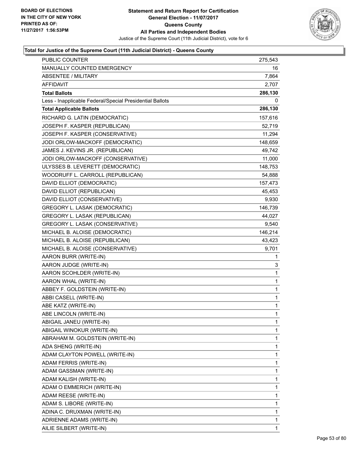

| PUBLIC COUNTER                                           | 275,543 |
|----------------------------------------------------------|---------|
| MANUALLY COUNTED EMERGENCY                               | 16      |
| <b>ABSENTEE / MILITARY</b>                               | 7,864   |
| AFFIDAVIT                                                | 2,707   |
| <b>Total Ballots</b>                                     | 286,130 |
| Less - Inapplicable Federal/Special Presidential Ballots | 0       |
| <b>Total Applicable Ballots</b>                          | 286,130 |
| RICHARD G. LATIN (DEMOCRATIC)                            | 157,616 |
| JOSEPH F. KASPER (REPUBLICAN)                            | 52,719  |
| JOSEPH F. KASPER (CONSERVATIVE)                          | 11,294  |
| JODI ORLOW-MACKOFF (DEMOCRATIC)                          | 148,659 |
| JAMES J. KEVINS JR. (REPUBLICAN)                         | 49,742  |
| JODI ORLOW-MACKOFF (CONSERVATIVE)                        | 11,000  |
| ULYSSES B. LEVERETT (DEMOCRATIC)                         | 148,753 |
| WOODRUFF L. CARROLL (REPUBLICAN)                         | 54,888  |
| DAVID ELLIOT (DEMOCRATIC)                                | 157,473 |
| DAVID ELLIOT (REPUBLICAN)                                | 45,453  |
| DAVID ELLIOT (CONSERVATIVE)                              | 9,930   |
| <b>GREGORY L. LASAK (DEMOCRATIC)</b>                     | 146,739 |
| GREGORY L. LASAK (REPUBLICAN)                            | 44,027  |
| GREGORY L. LASAK (CONSERVATIVE)                          | 9,540   |
| MICHAEL B. ALOISE (DEMOCRATIC)                           | 146,214 |
| MICHAEL B. ALOISE (REPUBLICAN)                           | 43,423  |
| MICHAEL B. ALOISE (CONSERVATIVE)                         | 9,701   |
| AARON BURR (WRITE-IN)                                    | 1       |
| AARON JUDGE (WRITE-IN)                                   | 3       |
| AARON SCOHLDER (WRITE-IN)                                | 1       |
| AARON WHAL (WRITE-IN)                                    | 1       |
| ABBEY F. GOLDSTEIN (WRITE-IN)                            | 1       |
| ABBI CASELL (WRITE-IN)                                   | 1       |
| ABE KATZ (WRITE-IN)                                      | 1       |
| ABE LINCOLN (WRITE-IN)                                   | 1       |
| ABIGAIL JANEU (WRITE-IN)                                 | 1       |
| ABIGAIL WINOKUR (WRITE-IN)                               | 1       |
| ABRAHAM M. GOLDSTEIN (WRITE-IN)                          | 1       |
| ADA SHENG (WRITE-IN)                                     | 1       |
| ADAM CLAYTON POWELL (WRITE-IN)                           | 1       |
| ADAM FERRIS (WRITE-IN)                                   | 1       |
| ADAM GASSMAN (WRITE-IN)                                  | 1       |
| ADAM KALISH (WRITE-IN)                                   | 1       |
| ADAM O EMMERICH (WRITE-IN)                               | 1       |
| ADAM REESE (WRITE-IN)                                    | 1       |
| ADAM S. LIBORE (WRITE-IN)                                | 1       |
| ADINA C. DRUXMAN (WRITE-IN)                              | 1       |
| ADRIENNE ADAMS (WRITE-IN)                                | 1       |
| AILIE SILBERT (WRITE-IN)                                 | 1       |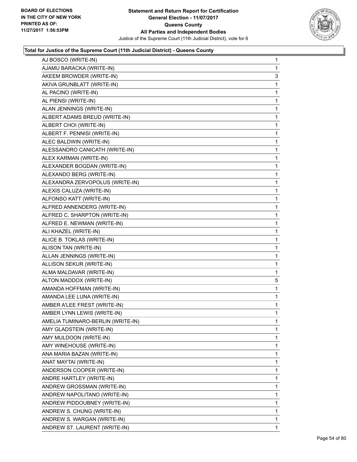

| AJ BOSCO (WRITE-IN)               | 1            |
|-----------------------------------|--------------|
| AJAMU BARACKA (WRITE-IN)          | 1            |
| AKEEM BROWDER (WRITE-IN)          | 3            |
| AKIVA GRUNBLATT (WRITE-IN)        | 1            |
| AL PACINO (WRITE-IN)              | 1            |
| AL PIENSI (WRITE-IN)              | 1            |
| ALAN JENNINGS (WRITE-IN)          | 1            |
| ALBERT ADAMS BREUD (WRITE-IN)     | 1            |
| ALBERT CHOI (WRITE-IN)            | $\mathbf{1}$ |
| ALBERT F. PENNISI (WRITE-IN)      | $\mathbf 1$  |
| ALEC BALDWIN (WRITE-IN)           | 1            |
| ALESSANDRO CANICATH (WRITE-IN)    | 1            |
| ALEX KARMAN (WRITE-IN)            | 1            |
| ALEXANDER BOGDAN (WRITE-IN)       | 1            |
| ALEXANDO BERG (WRITE-IN)          | $\mathbf{1}$ |
| ALEXANDRA ZERVOPOLUS (WRITE-IN)   | $\mathbf 1$  |
| ALEXIS CALUZA (WRITE-IN)          | 1            |
| ALFONSO KATT (WRITE-IN)           | 1            |
| ALFRED ANNENDERG (WRITE-IN)       | 1            |
| ALFRED C. SHARPTON (WRITE-IN)     | 1            |
| ALFRED E. NEWMAN (WRITE-IN)       | $\mathbf{1}$ |
| ALI KHAZEL (WRITE-IN)             | 1            |
| ALICE B. TOKLAS (WRITE-IN)        | 1            |
| ALISON TAN (WRITE-IN)             | 1            |
| ALLAN JENNINGS (WRITE-IN)         | 1            |
| ALLISON SEKUR (WRITE-IN)          | 1            |
| ALMA MALDAVAR (WRITE-IN)          | $\mathbf 1$  |
| ALTON MADDOX (WRITE-IN)           | 5            |
| AMANDA HOFFMAN (WRITE-IN)         | 1            |
| AMANDA LEE LUNA (WRITE-IN)        | 1            |
| AMBER A'LEE FREST (WRITE-IN)      | 1            |
| AMBER LYNN LEWIS (WRITE-IN)       | 1            |
| AMELIA TUMINARO-BERLIN (WRITE-IN) | 1            |
| AMY GLADSTEIN (WRITE-IN)          | 1            |
| AMY MULDOON (WRITE-IN)            | 1            |
| AMY WINEHOUSE (WRITE-IN)          | 1            |
| ANA MARIA BAZAN (WRITE-IN)        | 1            |
| ANAT MAYTAI (WRITE-IN)            | 1            |
| ANDERSON COOPER (WRITE-IN)        | 1            |
| ANDRE HARTLEY (WRITE-IN)          | 1            |
| ANDREW GROSSMAN (WRITE-IN)        | 1            |
| ANDREW NAPOLITANO (WRITE-IN)      | $\mathbf 1$  |
| ANDREW PIDDOUBNEY (WRITE-IN)      | 1            |
| ANDREW S. CHUNG (WRITE-IN)        | 1            |
| ANDREW S. WARGAN (WRITE-IN)       | 1            |
| ANDREW ST. LAURENT (WRITE-IN)     | 1            |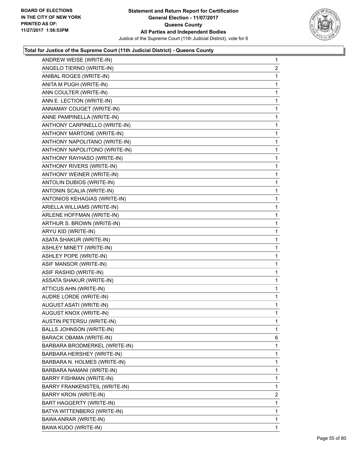

| ANDREW WEISE (WRITE-IN)          | 1              |
|----------------------------------|----------------|
| ANGELO TIERNO (WRITE-IN)         | 2              |
| ANIBAL ROGES (WRITE-IN)          | 1              |
| ANITA M PUGH (WRITE-IN)          | 1              |
| ANN COULTER (WRITE-IN)           | 1              |
| ANN E. LECTION (WRITE-IN)        | 1              |
| ANNAMAY COUGET (WRITE-IN)        | 1              |
| ANNE PAMPINELLA (WRITE-IN)       | 1              |
| ANTHONY CARPINELLO (WRITE-IN)    | 1              |
| ANTHONY MARTONE (WRITE-IN)       | 1              |
| ANTHONY NAPOLITANO (WRITE-IN)    | 1              |
| ANTHONY NAPOLITONO (WRITE-IN)    | 1              |
| ANTHONY RAYHASO (WRITE-IN)       | 1              |
| ANTHONY RIVERS (WRITE-IN)        | 1              |
| ANTHONY WEINER (WRITE-IN)        | 1              |
| ANTOLIN DUBIOS (WRITE-IN)        | 1              |
| ANTONIN SCALIA (WRITE-IN)        | 1              |
| ANTONIOS KEHAGIAS (WRITE-IN)     | 1              |
| ARIELLA WILLIAMS (WRITE-IN)      | 1              |
| ARLENE HOFFMAN (WRITE-IN)        | 1              |
| ARTHUR S. BROWN (WRITE-IN)       | 1              |
| ARYU KID (WRITE-IN)              | 1              |
| ASATA SHAKUR (WRITE-IN)          | 1              |
| <b>ASHLEY MINETT (WRITE-IN)</b>  | 1              |
| <b>ASHLEY POPE (WRITE-IN)</b>    | 1              |
| ASIF MANSOR (WRITE-IN)           | 1              |
| ASIF RASHID (WRITE-IN)           | 1              |
| ASSATA SHAKUR (WRITE-IN)         | 1              |
| ATTICUS AHN (WRITE-IN)           | 1              |
| AUDRE LORDE (WRITE-IN)           | 1              |
| AUGUST ASATI (WRITE-IN)          | 1              |
| <b>AUGUST KNOX (WRITE-IN)</b>    | 1              |
| <b>AUSTIN PETERSU (WRITE-IN)</b> | 1              |
| <b>BALLS JOHNSON (WRITE-IN)</b>  | 1              |
| BARACK OBAMA (WRITE-IN)          | 6              |
| BARBARA BRODMERKEL (WRITE-IN)    | 1              |
| BARBARA HERSHEY (WRITE-IN)       | 1              |
| BARBARA N. HOLMES (WRITE-IN)     | 1              |
| BARBARA NAMANI (WRITE-IN)        | 1              |
| BARRY FISHMAN (WRITE-IN)         | 1              |
| BARRY FRANKENSTEIL (WRITE-IN)    | 1              |
| BARRY KRON (WRITE-IN)            | $\overline{2}$ |
| BART HAGGERTY (WRITE-IN)         | 1              |
| BATYA WITTENBERG (WRITE-IN)      | 1              |
| BAWA ANRAR (WRITE-IN)            | 1              |
| BAWA KUDO (WRITE-IN)             | 1              |
|                                  |                |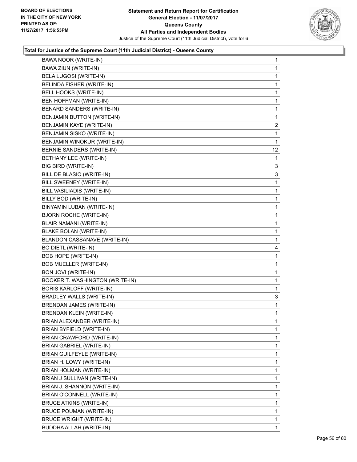

| BAWA NOOR (WRITE-IN)            | $\mathbf{1}$ |
|---------------------------------|--------------|
| BAWA ZIUN (WRITE-IN)            | 1            |
| BELA LUGOSI (WRITE-IN)          | 1            |
| BELINDA FISHER (WRITE-IN)       | 1            |
| <b>BELL HOOKS (WRITE-IN)</b>    | 1            |
| BEN HOFFMAN (WRITE-IN)          | 1            |
| BENARD SANDERS (WRITE-IN)       | 1            |
| BENJAMIN BUTTON (WRITE-IN)      | 1            |
| BENJAMIN KAYE (WRITE-IN)        | 2            |
| BENJAMIN SISKO (WRITE-IN)       | 1            |
| BENJAMIN WINOKUR (WRITE-IN)     | 1            |
| BERNIE SANDERS (WRITE-IN)       | 12           |
| BETHANY LEE (WRITE-IN)          | 1            |
| BIG BIRD (WRITE-IN)             | 3            |
| BILL DE BLASIO (WRITE-IN)       | 3            |
| BILL SWEENEY (WRITE-IN)         | 1            |
| BILL VASILIADIS (WRITE-IN)      | 1            |
| BILLY BOD (WRITE-IN)            | 1            |
| BINYAMIN LUBAN (WRITE-IN)       | 1            |
| <b>BJORN ROCHE (WRITE-IN)</b>   | 1            |
| <b>BLAIR NAMANI (WRITE-IN)</b>  | 1            |
| BLAKE BOLAN (WRITE-IN)          | 1            |
| BLANDON CASSANAVE (WRITE-IN)    | 1            |
| <b>BO DIETL (WRITE-IN)</b>      | 4            |
| <b>BOB HOPE (WRITE-IN)</b>      | 1            |
| <b>BOB MUELLER (WRITE-IN)</b>   | 1            |
| BON JOVI (WRITE-IN)             | 1            |
| BOOKER T. WASHINGTON (WRITE-IN) | 1            |
| <b>BORIS KARLOFF (WRITE-IN)</b> | 1            |
| BRADLEY WALLS (WRITE-IN)        | 3            |
| <b>BRENDAN JAMES (WRITE-IN)</b> | 1            |
| BRENDAN KLEIN (WRITE-IN)        | 1            |
| BRIAN ALEXANDER (WRITE-IN)      | 1            |
| BRIAN BYFIELD (WRITE-IN)        | 1            |
| BRIAN CRAWFORD (WRITE-IN)       | 1            |
| BRIAN GABRIEL (WRITE-IN)        | 1            |
| BRIAN GUILFEYLE (WRITE-IN)      | 1            |
| BRIAN H. LOWY (WRITE-IN)        | 1            |
| BRIAN HOLMAN (WRITE-IN)         | 1            |
| BRIAN J SULLIVAN (WRITE-IN)     | 1            |
| BRIAN J. SHANNON (WRITE-IN)     | 1            |
| BRIAN O'CONNELL (WRITE-IN)      | 1            |
| <b>BRUCE ATKINS (WRITE-IN)</b>  | 1            |
| <b>BRUCE POUMAN (WRITE-IN)</b>  | 1            |
| <b>BRUCE WRIGHT (WRITE-IN)</b>  | 1            |
| BUDDHA ALLAH (WRITE-IN)         | 1            |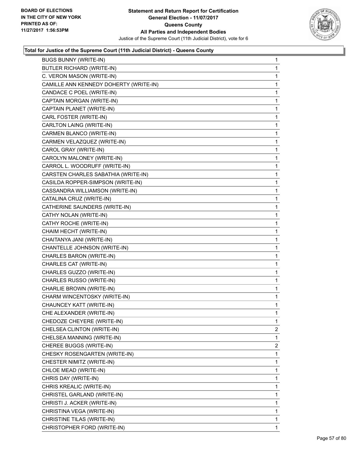

| <b>BUTLER RICHARD (WRITE-IN)</b><br>C. VERON MASON (WRITE-IN)<br>CAMILLE ANN KENNEDY DOHERTY (WRITE-IN)<br>CANDACE C POEL (WRITE-IN)<br>CAPTAIN MORGAN (WRITE-IN)<br>CAPTAIN PLANET (WRITE-IN)<br>CARL FOSTER (WRITE-IN)<br>CARLTON LAING (WRITE-IN)<br>CARMEN BLANCO (WRITE-IN)<br>CARMEN VELAZQUEZ (WRITE-IN)<br>CAROL GRAY (WRITE-IN)<br>CAROLYN MALONEY (WRITE-IN)<br>CARROL L. WOODRUFF (WRITE-IN)<br>CARSTEN CHARLES SABATHIA (WRITE-IN)<br>CASILDA ROPPER-SIMPSON (WRITE-IN)<br>CASSANDRA WILLIAMSON (WRITE-IN)<br>CATALINA CRUZ (WRITE-IN)<br>CATHERINE SAUNDERS (WRITE-IN)<br>CATHY NOLAN (WRITE-IN)<br>CATHY ROCHE (WRITE-IN)<br>CHAIM HECHT (WRITE-IN)<br>CHAITANYA JANI (WRITE-IN)<br>CHANTELLE JOHNSON (WRITE-IN)<br>CHARLES BARON (WRITE-IN)<br>CHARLES CAT (WRITE-IN)<br>CHARLES GUZZO (WRITE-IN)<br>CHARLES RUSSO (WRITE-IN)<br>CHARLIE BROWN (WRITE-IN)<br>CHARM WINCENTOSKY (WRITE-IN)<br>CHAUNCEY KATT (WRITE-IN)<br>CHE ALEXANDER (WRITE-IN)<br>CHEDOZE CHEYERE (WRITE-IN)<br>CHELSEA CLINTON (WRITE-IN)<br>CHELSEA MANNING (WRITE-IN)<br>CHEREE BUGGS (WRITE-IN)<br>CHESKY ROSENGARTEN (WRITE-IN)<br>CHESTER NIMITZ (WRITE-IN)<br>CHLOE MEAD (WRITE-IN)<br>CHRIS DAY (WRITE-IN)<br>CHRIS KREALIC (WRITE-IN)<br>CHRISTEL GARLAND (WRITE-IN)<br>CHRISTI J. ACKER (WRITE-IN)<br>CHRISTINA VEGA (WRITE-IN)<br>CHRISTINE TILAS (WRITE-IN) | <b>BUGS BUNNY (WRITE-IN)</b> | 1              |
|-----------------------------------------------------------------------------------------------------------------------------------------------------------------------------------------------------------------------------------------------------------------------------------------------------------------------------------------------------------------------------------------------------------------------------------------------------------------------------------------------------------------------------------------------------------------------------------------------------------------------------------------------------------------------------------------------------------------------------------------------------------------------------------------------------------------------------------------------------------------------------------------------------------------------------------------------------------------------------------------------------------------------------------------------------------------------------------------------------------------------------------------------------------------------------------------------------------------------------------------------------------------------------------------------------------------------------------------------------------|------------------------------|----------------|
|                                                                                                                                                                                                                                                                                                                                                                                                                                                                                                                                                                                                                                                                                                                                                                                                                                                                                                                                                                                                                                                                                                                                                                                                                                                                                                                                                           |                              | $\mathbf 1$    |
|                                                                                                                                                                                                                                                                                                                                                                                                                                                                                                                                                                                                                                                                                                                                                                                                                                                                                                                                                                                                                                                                                                                                                                                                                                                                                                                                                           |                              | $\mathbf{1}$   |
|                                                                                                                                                                                                                                                                                                                                                                                                                                                                                                                                                                                                                                                                                                                                                                                                                                                                                                                                                                                                                                                                                                                                                                                                                                                                                                                                                           |                              | 1              |
|                                                                                                                                                                                                                                                                                                                                                                                                                                                                                                                                                                                                                                                                                                                                                                                                                                                                                                                                                                                                                                                                                                                                                                                                                                                                                                                                                           |                              | 1              |
|                                                                                                                                                                                                                                                                                                                                                                                                                                                                                                                                                                                                                                                                                                                                                                                                                                                                                                                                                                                                                                                                                                                                                                                                                                                                                                                                                           |                              | 1              |
|                                                                                                                                                                                                                                                                                                                                                                                                                                                                                                                                                                                                                                                                                                                                                                                                                                                                                                                                                                                                                                                                                                                                                                                                                                                                                                                                                           |                              | 1              |
|                                                                                                                                                                                                                                                                                                                                                                                                                                                                                                                                                                                                                                                                                                                                                                                                                                                                                                                                                                                                                                                                                                                                                                                                                                                                                                                                                           |                              | 1              |
|                                                                                                                                                                                                                                                                                                                                                                                                                                                                                                                                                                                                                                                                                                                                                                                                                                                                                                                                                                                                                                                                                                                                                                                                                                                                                                                                                           |                              | $\mathbf{1}$   |
|                                                                                                                                                                                                                                                                                                                                                                                                                                                                                                                                                                                                                                                                                                                                                                                                                                                                                                                                                                                                                                                                                                                                                                                                                                                                                                                                                           |                              | 1              |
|                                                                                                                                                                                                                                                                                                                                                                                                                                                                                                                                                                                                                                                                                                                                                                                                                                                                                                                                                                                                                                                                                                                                                                                                                                                                                                                                                           |                              | 1              |
|                                                                                                                                                                                                                                                                                                                                                                                                                                                                                                                                                                                                                                                                                                                                                                                                                                                                                                                                                                                                                                                                                                                                                                                                                                                                                                                                                           |                              | 1              |
|                                                                                                                                                                                                                                                                                                                                                                                                                                                                                                                                                                                                                                                                                                                                                                                                                                                                                                                                                                                                                                                                                                                                                                                                                                                                                                                                                           |                              | 1              |
|                                                                                                                                                                                                                                                                                                                                                                                                                                                                                                                                                                                                                                                                                                                                                                                                                                                                                                                                                                                                                                                                                                                                                                                                                                                                                                                                                           |                              | 1              |
|                                                                                                                                                                                                                                                                                                                                                                                                                                                                                                                                                                                                                                                                                                                                                                                                                                                                                                                                                                                                                                                                                                                                                                                                                                                                                                                                                           |                              | $\mathbf{1}$   |
|                                                                                                                                                                                                                                                                                                                                                                                                                                                                                                                                                                                                                                                                                                                                                                                                                                                                                                                                                                                                                                                                                                                                                                                                                                                                                                                                                           |                              | 1              |
|                                                                                                                                                                                                                                                                                                                                                                                                                                                                                                                                                                                                                                                                                                                                                                                                                                                                                                                                                                                                                                                                                                                                                                                                                                                                                                                                                           |                              | 1              |
|                                                                                                                                                                                                                                                                                                                                                                                                                                                                                                                                                                                                                                                                                                                                                                                                                                                                                                                                                                                                                                                                                                                                                                                                                                                                                                                                                           |                              | 1              |
|                                                                                                                                                                                                                                                                                                                                                                                                                                                                                                                                                                                                                                                                                                                                                                                                                                                                                                                                                                                                                                                                                                                                                                                                                                                                                                                                                           |                              | 1              |
|                                                                                                                                                                                                                                                                                                                                                                                                                                                                                                                                                                                                                                                                                                                                                                                                                                                                                                                                                                                                                                                                                                                                                                                                                                                                                                                                                           |                              | 1              |
|                                                                                                                                                                                                                                                                                                                                                                                                                                                                                                                                                                                                                                                                                                                                                                                                                                                                                                                                                                                                                                                                                                                                                                                                                                                                                                                                                           |                              | $\mathbf{1}$   |
|                                                                                                                                                                                                                                                                                                                                                                                                                                                                                                                                                                                                                                                                                                                                                                                                                                                                                                                                                                                                                                                                                                                                                                                                                                                                                                                                                           |                              | 1              |
|                                                                                                                                                                                                                                                                                                                                                                                                                                                                                                                                                                                                                                                                                                                                                                                                                                                                                                                                                                                                                                                                                                                                                                                                                                                                                                                                                           |                              | 1              |
|                                                                                                                                                                                                                                                                                                                                                                                                                                                                                                                                                                                                                                                                                                                                                                                                                                                                                                                                                                                                                                                                                                                                                                                                                                                                                                                                                           |                              | 1              |
|                                                                                                                                                                                                                                                                                                                                                                                                                                                                                                                                                                                                                                                                                                                                                                                                                                                                                                                                                                                                                                                                                                                                                                                                                                                                                                                                                           |                              | 1              |
|                                                                                                                                                                                                                                                                                                                                                                                                                                                                                                                                                                                                                                                                                                                                                                                                                                                                                                                                                                                                                                                                                                                                                                                                                                                                                                                                                           |                              | 1              |
|                                                                                                                                                                                                                                                                                                                                                                                                                                                                                                                                                                                                                                                                                                                                                                                                                                                                                                                                                                                                                                                                                                                                                                                                                                                                                                                                                           |                              | $\mathbf{1}$   |
|                                                                                                                                                                                                                                                                                                                                                                                                                                                                                                                                                                                                                                                                                                                                                                                                                                                                                                                                                                                                                                                                                                                                                                                                                                                                                                                                                           |                              | 1              |
|                                                                                                                                                                                                                                                                                                                                                                                                                                                                                                                                                                                                                                                                                                                                                                                                                                                                                                                                                                                                                                                                                                                                                                                                                                                                                                                                                           |                              | 1              |
|                                                                                                                                                                                                                                                                                                                                                                                                                                                                                                                                                                                                                                                                                                                                                                                                                                                                                                                                                                                                                                                                                                                                                                                                                                                                                                                                                           |                              | 1              |
|                                                                                                                                                                                                                                                                                                                                                                                                                                                                                                                                                                                                                                                                                                                                                                                                                                                                                                                                                                                                                                                                                                                                                                                                                                                                                                                                                           |                              | 1              |
|                                                                                                                                                                                                                                                                                                                                                                                                                                                                                                                                                                                                                                                                                                                                                                                                                                                                                                                                                                                                                                                                                                                                                                                                                                                                                                                                                           |                              | 1              |
|                                                                                                                                                                                                                                                                                                                                                                                                                                                                                                                                                                                                                                                                                                                                                                                                                                                                                                                                                                                                                                                                                                                                                                                                                                                                                                                                                           |                              | 1              |
|                                                                                                                                                                                                                                                                                                                                                                                                                                                                                                                                                                                                                                                                                                                                                                                                                                                                                                                                                                                                                                                                                                                                                                                                                                                                                                                                                           |                              | $\mathbf{2}$   |
|                                                                                                                                                                                                                                                                                                                                                                                                                                                                                                                                                                                                                                                                                                                                                                                                                                                                                                                                                                                                                                                                                                                                                                                                                                                                                                                                                           |                              | 1              |
|                                                                                                                                                                                                                                                                                                                                                                                                                                                                                                                                                                                                                                                                                                                                                                                                                                                                                                                                                                                                                                                                                                                                                                                                                                                                                                                                                           |                              | $\overline{2}$ |
|                                                                                                                                                                                                                                                                                                                                                                                                                                                                                                                                                                                                                                                                                                                                                                                                                                                                                                                                                                                                                                                                                                                                                                                                                                                                                                                                                           |                              | 1              |
|                                                                                                                                                                                                                                                                                                                                                                                                                                                                                                                                                                                                                                                                                                                                                                                                                                                                                                                                                                                                                                                                                                                                                                                                                                                                                                                                                           |                              | 1              |
|                                                                                                                                                                                                                                                                                                                                                                                                                                                                                                                                                                                                                                                                                                                                                                                                                                                                                                                                                                                                                                                                                                                                                                                                                                                                                                                                                           |                              | 1              |
|                                                                                                                                                                                                                                                                                                                                                                                                                                                                                                                                                                                                                                                                                                                                                                                                                                                                                                                                                                                                                                                                                                                                                                                                                                                                                                                                                           |                              | 1              |
|                                                                                                                                                                                                                                                                                                                                                                                                                                                                                                                                                                                                                                                                                                                                                                                                                                                                                                                                                                                                                                                                                                                                                                                                                                                                                                                                                           |                              | 1              |
|                                                                                                                                                                                                                                                                                                                                                                                                                                                                                                                                                                                                                                                                                                                                                                                                                                                                                                                                                                                                                                                                                                                                                                                                                                                                                                                                                           |                              | $\mathbf{1}$   |
|                                                                                                                                                                                                                                                                                                                                                                                                                                                                                                                                                                                                                                                                                                                                                                                                                                                                                                                                                                                                                                                                                                                                                                                                                                                                                                                                                           |                              | 1              |
|                                                                                                                                                                                                                                                                                                                                                                                                                                                                                                                                                                                                                                                                                                                                                                                                                                                                                                                                                                                                                                                                                                                                                                                                                                                                                                                                                           |                              | 1              |
|                                                                                                                                                                                                                                                                                                                                                                                                                                                                                                                                                                                                                                                                                                                                                                                                                                                                                                                                                                                                                                                                                                                                                                                                                                                                                                                                                           |                              | 1              |
|                                                                                                                                                                                                                                                                                                                                                                                                                                                                                                                                                                                                                                                                                                                                                                                                                                                                                                                                                                                                                                                                                                                                                                                                                                                                                                                                                           | CHRISTOPHER FORD (WRITE-IN)  | 1              |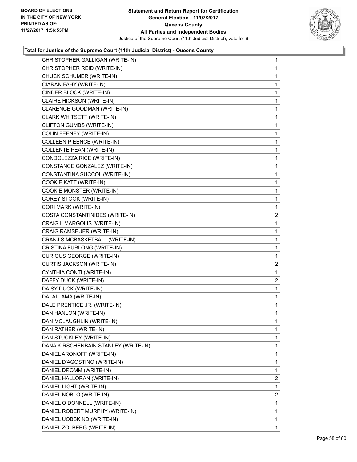

| CHRISTOPHER GALLIGAN (WRITE-IN)                            | 1              |
|------------------------------------------------------------|----------------|
| CHRISTOPHER REID (WRITE-IN)                                | 1<br>1         |
| CHUCK SCHUMER (WRITE-IN)                                   |                |
| CIARAN FAHY (WRITE-IN)                                     | 1              |
| CINDER BLOCK (WRITE-IN)                                    | 1              |
| CLAIRE HICKSON (WRITE-IN)                                  | 1              |
| CLARENCE GOODMAN (WRITE-IN)<br>CLARK WHITSETT (WRITE-IN)   | 1              |
|                                                            | 1<br>1         |
| CLIFTON GUMBS (WRITE-IN)<br><b>COLIN FEENEY (WRITE-IN)</b> |                |
|                                                            | 1              |
| <b>COLLEEN PIEENCE (WRITE-IN)</b>                          | 1              |
| COLLENTE PEAN (WRITE-IN)                                   | 1              |
| CONDOLEZZA RICE (WRITE-IN)                                 | 1              |
| CONSTANCE GONZALEZ (WRITE-IN)                              | 1              |
| CONSTANTINA SUCCOL (WRITE-IN)                              | 1              |
| COOKIE KATT (WRITE-IN)                                     | 1              |
| COOKIE MONSTER (WRITE-IN)                                  | 1              |
| COREY STOOK (WRITE-IN)                                     | 1              |
| CORI MARK (WRITE-IN)                                       | 1              |
| COSTA CONSTANTINIDES (WRITE-IN)                            | $\overline{c}$ |
| CRAIG I. MARGOLIS (WRITE-IN)                               | 1              |
| CRAIG RAMSEUER (WRITE-IN)                                  | 1              |
| CRANJIS MCBASKETBALL (WRITE-IN)                            | 1              |
| CRISTINA FURLONG (WRITE-IN)                                | 1              |
| CURIOUS GEORGE (WRITE-IN)                                  | 1              |
| CURTIS JACKSON (WRITE-IN)                                  | $\overline{c}$ |
| CYNTHIA CONTI (WRITE-IN)                                   | 1              |
| DAFFY DUCK (WRITE-IN)                                      | 2              |
| DAISY DUCK (WRITE-IN)                                      | 1              |
| DALAI LAMA (WRITE-IN)                                      | 1              |
| DALE PRENTICE JR. (WRITE-IN)                               | 1              |
| DAN HANLON (WRITE-IN)                                      | 1              |
| DAN MCLAUGHLIN (WRITE-IN)                                  | 1              |
| DAN RATHER (WRITE-IN)                                      | 1.             |
| DAN STUCKLEY (WRITE-IN)                                    | 1              |
| DANA KIRSCHENBAIN STANLEY (WRITE-IN)                       | 1              |
| DANIEL ARONOFF (WRITE-IN)                                  | 1              |
| DANIEL D'AGOSTINO (WRITE-IN)                               | 1              |
| DANIEL DROMM (WRITE-IN)                                    | 1              |
| DANIEL HALLORAN (WRITE-IN)                                 | 2              |
| DANIEL LIGHT (WRITE-IN)                                    | 1              |
| DANIEL NOBLO (WRITE-IN)                                    | 2              |
| DANIEL O DONNELL (WRITE-IN)                                | 1              |
| DANIEL ROBERT MURPHY (WRITE-IN)                            |                |
|                                                            | 1              |
| DANIEL UOBSKIND (WRITE-IN)                                 | 1              |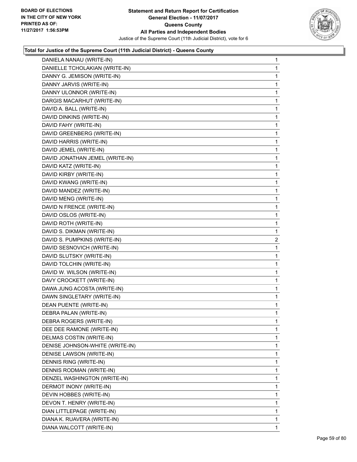

|                                 | $\mathbf{1}$ |
|---------------------------------|--------------|
| DANIELLE TCHOLAKIAN (WRITE-IN)  | 1            |
| DANNY G. JEMISON (WRITE-IN)     | 1            |
| DANNY JARVIS (WRITE-IN)         | 1            |
| DANNY ULONNOR (WRITE-IN)        | 1            |
| DARGIS MACARHUT (WRITE-IN)      | 1            |
| DAVID A. BALL (WRITE-IN)        | 1            |
| DAVID DINKINS (WRITE-IN)        | 1            |
| DAVID FAHY (WRITE-IN)           | 1            |
| DAVID GREENBERG (WRITE-IN)      | 1            |
| DAVID HARRIS (WRITE-IN)         | 1            |
| DAVID JEMEL (WRITE-IN)          | 1            |
| DAVID JONATHAN JEMEL (WRITE-IN) | 1            |
| DAVID KATZ (WRITE-IN)           | 1            |
| DAVID KIRBY (WRITE-IN)          | 1            |
| DAVID KWANG (WRITE-IN)          | 1            |
| DAVID MANDEZ (WRITE-IN)         | 1            |
| DAVID MENG (WRITE-IN)           | 1            |
| DAVID N FRENCE (WRITE-IN)       | 1            |
| DAVID OSLOS (WRITE-IN)          | 1            |
| DAVID ROTH (WRITE-IN)           | 1            |
| DAVID S. DIKMAN (WRITE-IN)      | 1            |
| DAVID S. PUMPKINS (WRITE-IN)    | 2            |
| DAVID SESNOVICH (WRITE-IN)      | 1            |
|                                 |              |
| DAVID SLUTSKY (WRITE-IN)        | 1            |
| DAVID TOLCHIN (WRITE-IN)        | 1            |
| DAVID W. WILSON (WRITE-IN)      | 1            |
| DAVY CROCKETT (WRITE-IN)        | 1            |
| DAWA JUNG ACOSTA (WRITE-IN)     | 1            |
| DAWN SINGLETARY (WRITE-IN)      | 1            |
| DEAN PUENTE (WRITE-IN)          | 1            |
| DEBRA PALAN (WRITE-IN)          | 1            |
| DEBRA ROGERS (WRITE-IN)         | 1            |
| DEE DEE RAMONE (WRITE-IN)       | 1            |
| DELMAS COSTIN (WRITE-IN)        | 1            |
| DENISE JOHNSON-WHITE (WRITE-IN) | 1            |
| DENISE LAWSON (WRITE-IN)        | 1            |
| DENNIS RING (WRITE-IN)          | 1            |
| DENNIS RODMAN (WRITE-IN)        | 1            |
| DENZEL WASHINGTON (WRITE-IN)    | 1            |
| DERMOT INONY (WRITE-IN)         | 1            |
| DEVIN HOBBES (WRITE-IN)         | 1            |
| DEVON T. HENRY (WRITE-IN)       | 1            |
| DIAN LITTLEPAGE (WRITE-IN)      | 1            |
| DIANA K. RUAVERA (WRITE-IN)     | 1            |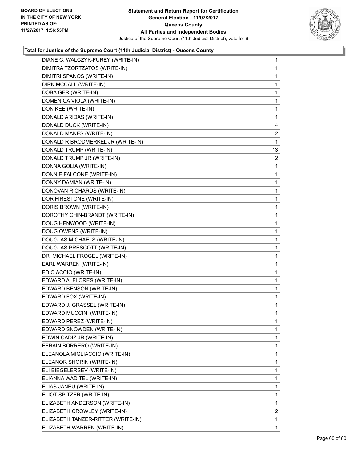

| DIANE C. WALCZYK-FUREY (WRITE-IN)  | 1  |
|------------------------------------|----|
| DIMITRA TZORTZATOS (WRITE-IN)      | 1  |
| DIMITRI SPANOS (WRITE-IN)          | 1  |
| DIRK MCCALL (WRITE-IN)             | 1  |
| DOBA GER (WRITE-IN)                | 1  |
| DOMENICA VIOLA (WRITE-IN)          | 1  |
| DON KEE (WRITE-IN)                 | 1  |
| DONALD ARIDAS (WRITE-IN)           | 1  |
| DONALD DUCK (WRITE-IN)             | 4  |
| DONALD MANES (WRITE-IN)            | 2  |
| DONALD R BRODMERKEL JR (WRITE-IN)  | 1  |
| DONALD TRUMP (WRITE-IN)            | 13 |
| DONALD TRUMP JR (WRITE-IN)         | 2  |
| DONNA GOLIA (WRITE-IN)             | 1  |
| DONNIE FALCONE (WRITE-IN)          | 1  |
| DONNY DAMIAN (WRITE-IN)            | 1  |
| DONOVAN RICHARDS (WRITE-IN)        | 1  |
| DOR FIRESTONE (WRITE-IN)           | 1  |
| DORIS BROWN (WRITE-IN)             | 1  |
| DOROTHY CHIN-BRANDT (WRITE-IN)     | 1  |
| DOUG HENWOOD (WRITE-IN)            | 1  |
| DOUG OWENS (WRITE-IN)              | 1  |
| DOUGLAS MICHAELS (WRITE-IN)        | 1  |
| DOUGLAS PRESCOTT (WRITE-IN)        | 1  |
| DR. MICHAEL FROGEL (WRITE-IN)      | 1  |
| EARL WARREN (WRITE-IN)             | 1  |
| ED CIACCIO (WRITE-IN)              | 1  |
| EDWARD A. FLORES (WRITE-IN)        | 1  |
| EDWARD BENSON (WRITE-IN)           | 1  |
| EDWARD FOX (WRITE-IN)              | 1  |
| EDWARD J. GRASSEL (WRITE-IN)       | 1  |
| EDWARD MUCCINI (WRITE-IN)          | 1  |
| EDWARD PEREZ (WRITE-IN)            | 1  |
| EDWARD SNOWDEN (WRITE-IN)          | 1  |
| EDWIN CADIZ JR (WRITE-IN)          | 1  |
| EFRAIN BORRERO (WRITE-IN)          | 1  |
| ELEANOLA MIGLIACCIO (WRITE-IN)     | 1  |
| ELEANOR SHORIN (WRITE-IN)          | 1  |
| ELI BIEGELERSEV (WRITE-IN)         | 1  |
| ELIANNA WADITEL (WRITE-IN)         | 1  |
| ELIAS JANEU (WRITE-IN)             | 1  |
| ELIOT SPITZER (WRITE-IN)           | 1  |
| ELIZABETH ANDERSON (WRITE-IN)      | 1  |
| ELIZABETH CROWLEY (WRITE-IN)       | 2  |
| ELIZABETH TANZER-RITTER (WRITE-IN) | 1  |
| ELIZABETH WARREN (WRITE-IN)        | 1  |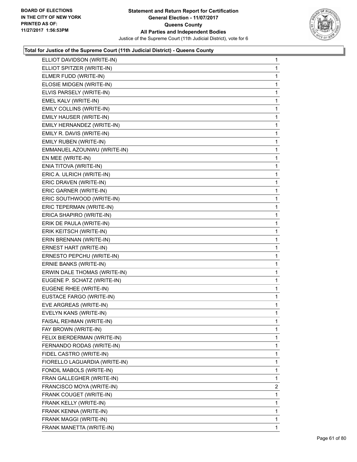

| ELLIOT DAVIDSON (WRITE-IN)    | 1              |
|-------------------------------|----------------|
| ELLIOT SPITZER (WRITE-IN)     | 1              |
| ELMER FUDD (WRITE-IN)         | 1              |
| ELOSIE MIDGEN (WRITE-IN)      | 1              |
| ELVIS PARSELY (WRITE-IN)      | 1              |
| EMEL KALV (WRITE-IN)          | 1              |
| EMILY COLLINS (WRITE-IN)      | 1              |
| EMILY HAUSER (WRITE-IN)       | 1              |
| EMILY HERNANDEZ (WRITE-IN)    | 1              |
| EMILY R. DAVIS (WRITE-IN)     | 1              |
| EMILY RUBEN (WRITE-IN)        | 1              |
| EMMANUEL AZOUNWU (WRITE-IN)   | 1              |
| EN MEE (WRITE-IN)             | 1              |
| ENIA TITOVA (WRITE-IN)        | 1              |
| ERIC A. ULRICH (WRITE-IN)     | 1              |
| ERIC DRAVEN (WRITE-IN)        | 1              |
| ERIC GARNER (WRITE-IN)        | 1              |
| ERIC SOUTHWOOD (WRITE-IN)     | 1              |
| ERIC TEPERMAN (WRITE-IN)      | 1              |
| ERICA SHAPIRO (WRITE-IN)      | 1              |
| ERIK DE PAULA (WRITE-IN)      | 1              |
| ERIK KEITSCH (WRITE-IN)       | 1              |
| ERIN BRENNAN (WRITE-IN)       | 1              |
| ERNEST HART (WRITE-IN)        | 1              |
| ERNESTO PEPCHU (WRITE-IN)     | 1              |
| ERNIE BANKS (WRITE-IN)        | 1              |
| ERWIN DALE THOMAS (WRITE-IN)  | 1              |
| EUGENE P. SCHATZ (WRITE-IN)   | 1              |
| EUGENE RHEE (WRITE-IN)        | 1              |
| EUSTACE FARGO (WRITE-IN)      | 1              |
| EVE ARGREAS (WRITE-IN)        | 1              |
| EVELYN KANS (WRITE-IN)        | $\mathbf{1}$   |
| FAISAL REHMAN (WRITE-IN)      | 1              |
| FAY BROWN (WRITE-IN)          | 1              |
| FELIX BIERDERMAN (WRITE-IN)   | 1              |
| FERNANDO RODAS (WRITE-IN)     | 1              |
| FIDEL CASTRO (WRITE-IN)       | 1              |
| FIORELLO LAGUARDIA (WRITE-IN) | 1              |
| FONDIL MABOLS (WRITE-IN)      | 1              |
| FRAN GALLEGHER (WRITE-IN)     | 1              |
| FRANCISCO MOYA (WRITE-IN)     | $\overline{2}$ |
| FRANK COUGET (WRITE-IN)       | 1              |
| FRANK KELLY (WRITE-IN)        | 1              |
| FRANK KENNA (WRITE-IN)        | 1              |
| FRANK MAGGI (WRITE-IN)        | 1              |
| FRANK MANETTA (WRITE-IN)      | 1              |
|                               |                |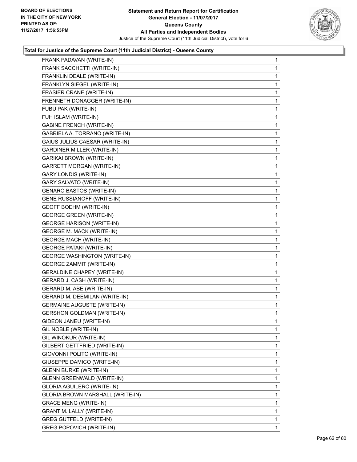

| FRANK PADAVAN (WRITE-IN)            | 1 |
|-------------------------------------|---|
| FRANK SACCHETTI (WRITE-IN)          | 1 |
| FRANKLIN DEALE (WRITE-IN)           | 1 |
| FRANKLYN SIEGEL (WRITE-IN)          | 1 |
| FRASIER CRANE (WRITE-IN)            | 1 |
| FRENNETH DONAGGER (WRITE-IN)        | 1 |
| FUBU PAK (WRITE-IN)                 | 1 |
| FUH ISLAM (WRITE-IN)                | 1 |
| <b>GABINE FRENCH (WRITE-IN)</b>     | 1 |
| GABRIELA A. TORRANO (WRITE-IN)      | 1 |
| GAIUS JULIUS CAESAR (WRITE-IN)      | 1 |
| <b>GARDINER MILLER (WRITE-IN)</b>   | 1 |
| <b>GARIKAI BROWN (WRITE-IN)</b>     | 1 |
| <b>GARRETT MORGAN (WRITE-IN)</b>    | 1 |
| <b>GARY LONDIS (WRITE-IN)</b>       | 1 |
| <b>GARY SALVATO (WRITE-IN)</b>      | 1 |
| <b>GENARO BASTOS (WRITE-IN)</b>     | 1 |
| <b>GENE RUSSIANOFF (WRITE-IN)</b>   | 1 |
| <b>GEOFF BOEHM (WRITE-IN)</b>       | 1 |
| <b>GEORGE GREEN (WRITE-IN)</b>      | 1 |
| <b>GEORGE HARISON (WRITE-IN)</b>    | 1 |
| <b>GEORGE M. MACK (WRITE-IN)</b>    | 1 |
| <b>GEORGE MACH (WRITE-IN)</b>       | 1 |
| <b>GEORGE PATAKI (WRITE-IN)</b>     | 1 |
| <b>GEORGE WASHINGTON (WRITE-IN)</b> | 1 |
| <b>GEORGE ZAMMIT (WRITE-IN)</b>     | 1 |
| GERALDINE CHAPEY (WRITE-IN)         | 1 |
| GERARD J. CASH (WRITE-IN)           | 1 |
| GERARD M. ABE (WRITE-IN)            | 1 |
| GERARD M. DEEMILAN (WRITE-IN)       | 1 |
| <b>GERMAINE AUGUSTE (WRITE-IN)</b>  | 1 |
| <b>GERSHON GOLDMAN (WRITE-IN)</b>   | 1 |
| GIDEON JANEU (WRITE-IN)             | 1 |
| GIL NOBLE (WRITE-IN)                | 1 |
| GIL WINOKUR (WRITE-IN)              | 1 |
| GILBERT GETTFRIED (WRITE-IN)        | 1 |
| GIOVONNI POLITO (WRITE-IN)          | 1 |
| GIUSEPPE DAMICO (WRITE-IN)          | 1 |
| <b>GLENN BURKE (WRITE-IN)</b>       | 1 |
| GLENN GREENWALD (WRITE-IN)          | 1 |
| GLORIA AGUILERO (WRITE-IN)          | 1 |
| GLORIA BROWN MARSHALL (WRITE-IN)    | 1 |
| <b>GRACE MENG (WRITE-IN)</b>        | 1 |
| <b>GRANT M. LALLY (WRITE-IN)</b>    | 1 |
| <b>GREG GUTFELD (WRITE-IN)</b>      | 1 |
| <b>GREG POPOVICH (WRITE-IN)</b>     | 1 |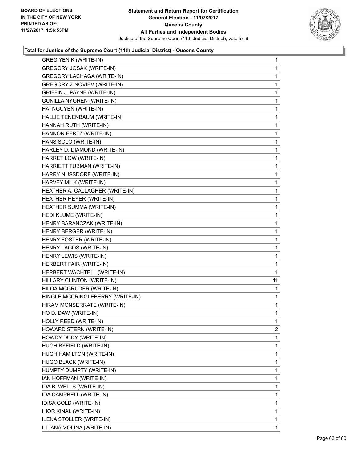

| <b>GREG YENIK (WRITE-IN)</b>     | $\mathbf{1}$   |
|----------------------------------|----------------|
| <b>GREGORY JOSAK (WRITE-IN)</b>  | 1              |
| GREGORY LACHAGA (WRITE-IN)       | 1              |
| GREGORY ZINOVIEV (WRITE-IN)      | 1              |
| GRIFFIN J. PAYNE (WRITE-IN)      | 1              |
| <b>GUNILLA NYGREN (WRITE-IN)</b> | 1              |
| HAI NGUYEN (WRITE-IN)            | 1              |
| HALLIE TENENBAUM (WRITE-IN)      | 1              |
| HANNAH RUTH (WRITE-IN)           | 1              |
| HANNON FERTZ (WRITE-IN)          | 1              |
| HANS SOLO (WRITE-IN)             | 1              |
| HARLEY D. DIAMOND (WRITE-IN)     | 1              |
| HARRET LOW (WRITE-IN)            | 1              |
| HARRIETT TUBMAN (WRITE-IN)       | 1              |
| HARRY NUSSDORF (WRITE-IN)        | 1              |
| HARVEY MILK (WRITE-IN)           | 1              |
| HEATHER A. GALLAGHER (WRITE-IN)  | 1              |
| HEATHER HEYER (WRITE-IN)         | 1              |
| <b>HEATHER SUMMA (WRITE-IN)</b>  | 1              |
| HEDI KLUME (WRITE-IN)            | 1              |
| HENRY BARANCZAK (WRITE-IN)       | 1              |
| HENRY BERGER (WRITE-IN)          | 1              |
| HENRY FOSTER (WRITE-IN)          | 1              |
| HENRY LAGOS (WRITE-IN)           | 1              |
| HENRY LEWIS (WRITE-IN)           | 1              |
| HERBERT FAIR (WRITE-IN)          | 1              |
| HERBERT WACHTELL (WRITE-IN)      | 1              |
| HILLARY CLINTON (WRITE-IN)       | 11             |
| HILOA MCGRUDER (WRITE-IN)        | 1              |
| HINGLE MCCRINGLEBERRY (WRITE-IN) | 1              |
| HIRAM MONSERRATE (WRITE-IN)      | 1              |
| HO D. DAW (WRITE-IN)             | 1              |
| HOLLY REED (WRITE-IN)            | 1              |
| HOWARD STERN (WRITE-IN)          | $\overline{2}$ |
| HOWDY DUDY (WRITE-IN)            | 1              |
| HUGH BYFIELD (WRITE-IN)          | 1              |
| HUGH HAMILTON (WRITE-IN)         | 1              |
| HUGO BLACK (WRITE-IN)            | 1              |
| HUMPTY DUMPTY (WRITE-IN)         | 1              |
| IAN HOFFMAN (WRITE-IN)           | 1              |
| IDA B. WELLS (WRITE-IN)          | 1              |
| IDA CAMPBELL (WRITE-IN)          | 1              |
| IDISA GOLD (WRITE-IN)            | 1              |
| IHOR KINAL (WRITE-IN)            | 1              |
| ILENA STOLLER (WRITE-IN)         | 1              |
| ILLIANA MOLINA (WRITE-IN)        | 1              |
|                                  |                |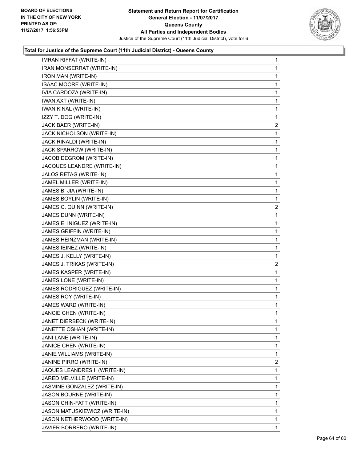

| <b>IMRAN RIFFAT (WRITE-IN)</b> | 1              |
|--------------------------------|----------------|
| IRAN MONSERRAT (WRITE-IN)      | 1              |
| <b>IRON MAN (WRITE-IN)</b>     | 1              |
| <b>ISAAC MOORE (WRITE-IN)</b>  | 1              |
| IVIA CARDOZA (WRITE-IN)        | 1              |
| IWAN AXT (WRITE-IN)            | 1              |
| IWAN KINAL (WRITE-IN)          | 1              |
| IZZY T. DOG (WRITE-IN)         | 1              |
| JACK BAER (WRITE-IN)           | 2              |
| JACK NICHOLSON (WRITE-IN)      | 1              |
| JACK RINALDI (WRITE-IN)        | 1              |
| JACK SPARROW (WRITE-IN)        | 1              |
| JACOB DEGROM (WRITE-IN)        | 1              |
| JACQUES LEANDRE (WRITE-IN)     | 1              |
| JALOS RETAG (WRITE-IN)         | 1              |
| JAMEL MILLER (WRITE-IN)        | 1              |
| JAMES B. JIA (WRITE-IN)        | 1              |
| JAMES BOYLIN (WRITE-IN)        | 1              |
| JAMES C. QUINN (WRITE-IN)      | $\overline{a}$ |
| JAMES DUNN (WRITE-IN)          | 1              |
| JAMES E. INIGUEZ (WRITE-IN)    | 1              |
| JAMES GRIFFIN (WRITE-IN)       | 1              |
| JAMES HEINZMAN (WRITE-IN)      | 1              |
| JAMES IEINEZ (WRITE-IN)        | 1              |
| JAMES J. KELLY (WRITE-IN)      | 1              |
| JAMES J. TRIKAS (WRITE-IN)     | 2              |
| JAMES KASPER (WRITE-IN)        | 1              |
| JAMES LONE (WRITE-IN)          | 1              |
| JAMES RODRIGUEZ (WRITE-IN)     | 1              |
| JAMES ROY (WRITE-IN)           | 1              |
| JAMES WARD (WRITE-IN)          | 1              |
| JANCIE CHEN (WRITE-IN)         | 1              |
| JANET DIERBECK (WRITE-IN)      | 1              |
| JANETTE OSHAN (WRITE-IN)       | 1              |
| JANI LANE (WRITE-IN)           | 1              |
| JANICE CHEN (WRITE-IN)         | 1              |
| JANIE WILLIAMS (WRITE-IN)      | 1              |
| JANINE PIRRO (WRITE-IN)        | 2              |
| JAQUES LEANDRES II (WRITE-IN)  | 1              |
| JARED MELVILLE (WRITE-IN)      | 1              |
| JASMINE GONZALEZ (WRITE-IN)    | 1              |
| JASON BOURNE (WRITE-IN)        | 1              |
| JASON CHIN-FATT (WRITE-IN)     | 1              |
| JASON MATUSKIEWICZ (WRITE-IN)  | 1              |
| JASON NETHERWOOD (WRITE-IN)    | 1              |
| JAVIER BORRERO (WRITE-IN)      | 1              |
|                                |                |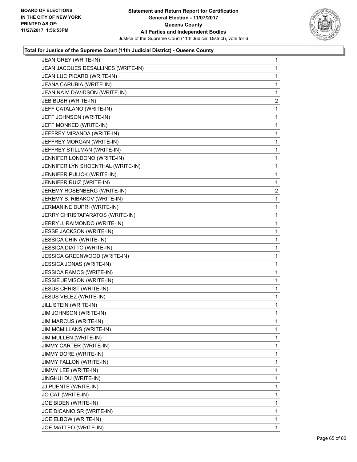

| JEAN GREY (WRITE-IN)               | 1            |
|------------------------------------|--------------|
| JEAN JACQUES DESALLINES (WRITE-IN) | 1            |
| JEAN LUC PICARD (WRITE-IN)         | 1            |
| JEANA CARUBIA (WRITE-IN)           | 1            |
| JEANINA M DAVIDSON (WRITE-IN)      | 1            |
| JEB BUSH (WRITE-IN)                | 2            |
| JEFF CATALANO (WRITE-IN)           | 1            |
| JEFF JOHNSON (WRITE-IN)            | 1            |
| JEFF MONKED (WRITE-IN)             | 1            |
| JEFFREY MIRANDA (WRITE-IN)         | 1            |
| JEFFREY MORGAN (WRITE-IN)          | 1            |
| JEFFREY STILLMAN (WRITE-IN)        | 1            |
| JENNIFER LONDONO (WRITE-IN)        | 1            |
| JENNIFER LYN SHOENTHAL (WRITE-IN)  | 1            |
| JENNIFER PULICK (WRITE-IN)         | 1            |
| JENNIFER RUIZ (WRITE-IN)           | 1            |
| JEREMY ROSENBERG (WRITE-IN)        | 2            |
| JEREMY S. RIBAKOV (WRITE-IN)       | 1            |
| JERMANINE DUPRI (WRITE-IN)         | 1            |
| JERRY CHRISTAFARATOS (WRITE-IN)    | 1            |
| JERRY J. RAIMONDO (WRITE-IN)       | 1            |
| JESSE JACKSON (WRITE-IN)           | 1            |
| JESSICA CHIN (WRITE-IN)            | 1            |
| JESSICA DIATTO (WRITE-IN)          | 1            |
| JESSICA GREENWOOD (WRITE-IN)       | 1            |
| JESSICA JONAS (WRITE-IN)           | 1            |
| <b>JESSICA RAMOS (WRITE-IN)</b>    | 1            |
| JESSIE JEMISON (WRITE-IN)          | 1            |
| <b>JESUS CHRIST (WRITE-IN)</b>     | 1            |
| JESUS VELEZ (WRITE-IN)             | 1            |
| JILL STEIN (WRITE-IN)              | 1            |
| JIM JOHNSON (WRITE-IN)             | 1            |
| <b>JIM MARCUS (WRITE-IN)</b>       | 1            |
| <b>JIM MCMILLANS (WRITE-IN)</b>    | 1            |
| JIM MULLEN (WRITE-IN)              | 1            |
| JIMMY CARTER (WRITE-IN)            | 1            |
| JIMMY DORE (WRITE-IN)              | 1            |
| JIMMY FALLON (WRITE-IN)            | 1            |
| JIMMY LEE (WRITE-IN)               | 1            |
| JINGHUI DU (WRITE-IN)              | 1            |
| JJ PUENTE (WRITE-IN)               | 1            |
| JO CAT (WRITE-IN)                  | 1            |
| JOE BIDEN (WRITE-IN)               | 1            |
| JOE DICANIO SR (WRITE-IN)          | 1            |
| JOE ELBOW (WRITE-IN)               | 1            |
| JOE MATTEO (WRITE-IN)              | $\mathbf{1}$ |
|                                    |              |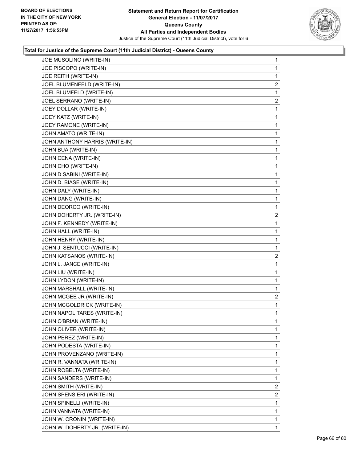

| JOE PISCOPO (WRITE-IN)         |                         |
|--------------------------------|-------------------------|
|                                | 1                       |
| JOE REITH (WRITE-IN)           | 1                       |
| JOEL BLUMENFELD (WRITE-IN)     | $\overline{a}$          |
| JOEL BLUMFELD (WRITE-IN)       | 1                       |
| JOEL SERRANO (WRITE-IN)        | 2                       |
| JOEY DOLLAR (WRITE-IN)         | 1                       |
| JOEY KATZ (WRITE-IN)           | 1                       |
| JOEY RAMONE (WRITE-IN)         | 1                       |
| JOHN AMATO (WRITE-IN)          | 1                       |
| JOHN ANTHONY HARRIS (WRITE-IN) | 1                       |
| JOHN BUA (WRITE-IN)            | 1                       |
| JOHN CENA (WRITE-IN)           | 1                       |
| JOHN CHO (WRITE-IN)            | 1                       |
| JOHN D SABINI (WRITE-IN)       | 1                       |
| JOHN D. BIASE (WRITE-IN)       | 1                       |
| JOHN DALY (WRITE-IN)           | 1                       |
| JOHN DANG (WRITE-IN)           | 1                       |
| JOHN DEORCO (WRITE-IN)         | 1                       |
| JOHN DOHERTY JR. (WRITE-IN)    | 2                       |
| JOHN F. KENNEDY (WRITE-IN)     | 1                       |
| JOHN HALL (WRITE-IN)           | 1                       |
| JOHN HENRY (WRITE-IN)          | 1                       |
| JOHN J. SENTUCCI (WRITE-IN)    | 1                       |
| JOHN KATSANOS (WRITE-IN)       | $\overline{\mathbf{c}}$ |
| JOHN L. JANCE (WRITE-IN)       | 1                       |
| JOHN LIU (WRITE-IN)            | 1                       |
| JOHN LYDON (WRITE-IN)          | 1                       |
| JOHN MARSHALL (WRITE-IN)       | 1                       |
| JOHN MCGEE JR (WRITE-IN)       | $\mathbf{2}$            |
| JOHN MCGOLDRICK (WRITE-IN)     | 1                       |
| JOHN NAPOLITARES (WRITE-IN)    | 1                       |
| JOHN O'BRIAN (WRITE-IN)        | 1                       |
| JOHN OLIVER (WRITE-IN)         | 1                       |
| JOHN PEREZ (WRITE-IN)          | 1                       |
| JOHN PODESTA (WRITE-IN)        | 1                       |
| JOHN PROVENZANO (WRITE-IN)     | 1                       |
| JOHN R. VANNATA (WRITE-IN)     | 1                       |
| JOHN ROBELTA (WRITE-IN)        | 1                       |
| JOHN SANDERS (WRITE-IN)        | 1                       |
| JOHN SMITH (WRITE-IN)          | 2                       |
| JOHN SPENSIERI (WRITE-IN)      | 2                       |
| JOHN SPINELLI (WRITE-IN)       | 1                       |
| JOHN VANNATA (WRITE-IN)        | 1                       |
| JOHN W. CRONIN (WRITE-IN)      | 1                       |
|                                | 1                       |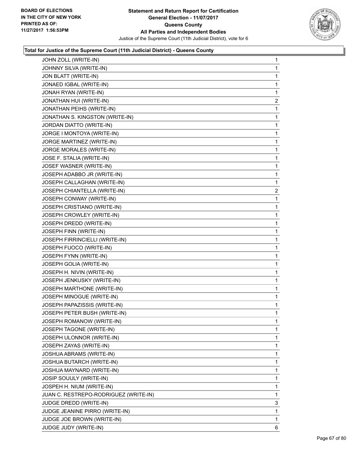

| JOHN ZOLL (WRITE-IN)                  | 1              |
|---------------------------------------|----------------|
| JOHNNY SILVA (WRITE-IN)               | 1              |
| JON BLATT (WRITE-IN)                  | 1              |
| JONAED IGBAL (WRITE-IN)               | 1              |
| JONAH RYAN (WRITE-IN)                 | 1              |
| JONATHAN HUI (WRITE-IN)               | $\overline{c}$ |
| JONATHAN PEIHS (WRITE-IN)             | 1              |
| JONATHAN S. KINGSTON (WRITE-IN)       | 1              |
| JORDAN DIATTO (WRITE-IN)              | 1              |
| JORGE I MONTOYA (WRITE-IN)            | 1              |
| JORGE MARTINEZ (WRITE-IN)             | 1              |
| JORGE MORALES (WRITE-IN)              | 1              |
| JOSE F. STALIA (WRITE-IN)             | 1              |
| JOSEF WASNER (WRITE-IN)               | 1              |
| JOSEPH ADABBO JR (WRITE-IN)           | 1              |
| JOSEPH CALLAGHAN (WRITE-IN)           | 1              |
| JOSEPH CHIANTELLA (WRITE-IN)          | 2              |
| JOSEPH CONWAY (WRITE-IN)              | 1              |
| JOSEPH CRISTIANO (WRITE-IN)           | 1              |
| JOSEPH CROWLEY (WRITE-IN)             | 1              |
| JOSEPH DREDD (WRITE-IN)               | 1              |
| JOSEPH FINN (WRITE-IN)                | 1              |
| JOSEPH FIRRINCIELLI (WRITE-IN)        | 1              |
| JOSEPH FUOCO (WRITE-IN)               | 1              |
| JOSEPH FYNN (WRITE-IN)                | 1              |
| JOSEPH GOLIA (WRITE-IN)               | 1              |
| JOSEPH H. NIVIN (WRITE-IN)            | 1              |
| JOSEPH JENKUSKY (WRITE-IN)            | 1              |
| JOSEPH MARTHONE (WRITE-IN)            | 1              |
| JOSEPH MINOGUE (WRITE-IN)             | 1              |
| JOSEPH PAPAZISSIS (WRITE-IN)          | 1              |
| JOSEPH PETER BUSH (WRITE-IN)          | 1              |
| JOSEPH ROMANOW (WRITE-IN)             | 1              |
| JOSEPH TAGONE (WRITE-IN)              | 1              |
| JOSEPH ULONNOR (WRITE-IN)             | 1              |
| JOSEPH ZAYAS (WRITE-IN)               | 1              |
| <b>JOSHUA ABRAMS (WRITE-IN)</b>       | 1              |
| JOSHUA BUTARCH (WRITE-IN)             | 1              |
| JOSHUA MAYNARD (WRITE-IN)             | 1              |
| JOSIP SOUULY (WRITE-IN)               | 1              |
| JOSPEH H. NIUM (WRITE-IN)             | 1              |
| JUAN C. RESTREPO-RODRIGUEZ (WRITE-IN) | 1              |
| JUDGE DREDD (WRITE-IN)                | 3              |
| JUDGE JEANINE PIRRO (WRITE-IN)        | 1              |
| JUDGE JOE BROWN (WRITE-IN)            | 1              |
| JUDGE JUDY (WRITE-IN)                 | 6              |
|                                       |                |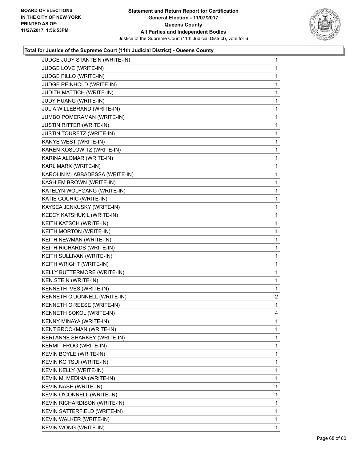

| JUDGE JUDY STANTEIN (WRITE-IN)   | 1              |
|----------------------------------|----------------|
| JUDGE LOVE (WRITE-IN)            | 1              |
| JUDGE PILLO (WRITE-IN)           | 1              |
| JUDGE REINHOLD (WRITE-IN)        | 1              |
| JUDITH MATTICH (WRITE-IN)        | 1              |
| JUDY HUANG (WRITE-IN)            | 1              |
| JULIA WILLEBRAND (WRITE-IN)      | 1              |
| JUMBO POMERAMAN (WRITE-IN)       | 1              |
| <b>JUSTIN RITTER (WRITE-IN)</b>  | 1              |
| <b>JUSTIN TOURETZ (WRITE-IN)</b> | 1              |
| KANYE WEST (WRITE-IN)            | 1              |
| KAREN KOSLOWITZ (WRITE-IN)       | 1              |
| KARINA ALOMAR (WRITE-IN)         | 1              |
| KARL MARX (WRITE-IN)             | 1              |
| KAROLIN M. ABBADESSA (WRITE-IN)  | 1              |
| KASHIEM BROWN (WRITE-IN)         | 1              |
| KATELYN WOLFGANG (WRITE-IN)      | 1              |
| KATIE COURIC (WRITE-IN)          | 1              |
| KAYSEA JENKUSKY (WRITE-IN)       | 1              |
| KEECY KATSHUKIL (WRITE-IN)       | 1              |
| KEITH KATSCH (WRITE-IN)          | 1              |
| KEITH MORTON (WRITE-IN)          | 1              |
| KEITH NEWMAN (WRITE-IN)          | 1              |
| KEITH RICHARDS (WRITE-IN)        | 1              |
| KEITH SULLIVAN (WRITE-IN)        | 1              |
| KEITH WRIGHT (WRITE-IN)          | 1              |
| KELLY BUTTERMORE (WRITE-IN)      | 1              |
| <b>KEN STEIN (WRITE-IN)</b>      | 1              |
| KENNETH IVES (WRITE-IN)          | 1              |
| KENNETH O'DONNELL (WRITE-IN)     | $\overline{2}$ |
| KENNETH O'REESE (WRITE-IN)       | 1              |
| KENNETH SOKOL (WRITE-IN)         | 4              |
| KENNY MINAYA (WRITE-IN)          | 1              |
| KENT BROCKMAN (WRITE-IN)         | 1              |
| KERI ANNE SHARKEY (WRITE-IN)     | 1              |
| <b>KERMIT FROG (WRITE-IN)</b>    | 1              |
| KEVIN BOYLE (WRITE-IN)           | 1              |
| KEVIN KC TSUI (WRITE-IN)         | 1              |
| KEVIN KELLY (WRITE-IN)           | 1              |
| KEVIN M. MEDINA (WRITE-IN)       | 1              |
| KEVIN NASH (WRITE-IN)            | 1              |
| KEVIN O'CONNELL (WRITE-IN)       | 1              |
| KEVIN RICHARDISON (WRITE-IN)     | 1              |
| KEVIN SATTERFIELD (WRITE-IN)     | 1              |
| KEVIN WALKER (WRITE-IN)          | 1              |
| KEVIN WONG (WRITE-IN)            | 1.             |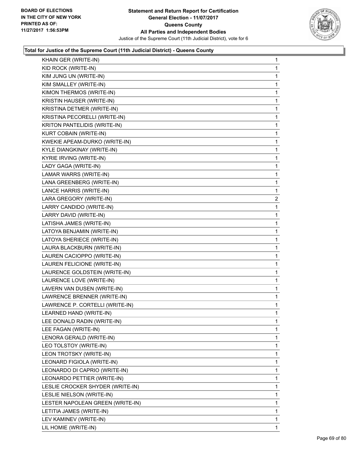

| KHAIN GER (WRITE-IN)             | 1            |
|----------------------------------|--------------|
| KID ROCK (WRITE-IN)              | 1            |
| KIM JUNG UN (WRITE-IN)           | 1            |
| KIM SMALLEY (WRITE-IN)           | 1            |
| KIMON THERMOS (WRITE-IN)         | 1            |
| KRISTIN HAUSER (WRITE-IN)        | 1            |
| KRISTINA DETMER (WRITE-IN)       | 1            |
| KRISTINA PECORELLI (WRITE-IN)    | 1            |
| KRITON PANTELIDIS (WRITE-IN)     | 1            |
| KURT COBAIN (WRITE-IN)           | 1            |
| KWEKIE APEAM-DURKO (WRITE-IN)    | 1            |
| KYLE DIANGKINAY (WRITE-IN)       | 1            |
| KYRIE IRVING (WRITE-IN)          | 1            |
| LADY GAGA (WRITE-IN)             | 1            |
| LAMAR WARRS (WRITE-IN)           | 1            |
| LANA GREENBERG (WRITE-IN)        | 1            |
| LANCE HARRIS (WRITE-IN)          | 1            |
| LARA GREGORY (WRITE-IN)          | 2            |
| LARRY CANDIDO (WRITE-IN)         | 1            |
| LARRY DAVID (WRITE-IN)           | 1            |
| LATISHA JAMES (WRITE-IN)         | 1            |
| LATOYA BENJAMIN (WRITE-IN)       | 1            |
| LATOYA SHERIECE (WRITE-IN)       | 1            |
| LAURA BLACKBURN (WRITE-IN)       | 1            |
| LAUREN CACIOPPO (WRITE-IN)       | 1            |
| LAUREN FELICIONE (WRITE-IN)      | 1            |
| LAURENCE GOLDSTEIN (WRITE-IN)    | 1            |
| LAURENCE LOVE (WRITE-IN)         | 1            |
| LAVERN VAN DUSEN (WRITE-IN)      | $\mathbf{1}$ |
| LAWRENCE BRENNER (WRITE-IN)      | 1            |
| LAWRENCE P. CORTELLI (WRITE-IN)  | 1            |
| LEARNED HAND (WRITE-IN)          | 1            |
| LEE DONALD RADIN (WRITE-IN)      | 1            |
| LEE FAGAN (WRITE-IN)             | 1            |
| LENORA GERALD (WRITE-IN)         | 1            |
| LEO TOLSTOY (WRITE-IN)           | 1            |
| LEON TROTSKY (WRITE-IN)          | 1            |
| LEONARD FIGIOLA (WRITE-IN)       | 1            |
| LEONARDO DI CAPRIO (WRITE-IN)    | 1            |
| LEONARDO PETTIER (WRITE-IN)      | 1            |
| LESLIE CROCKER SHYDER (WRITE-IN) | 1            |
| LESLIE NIELSON (WRITE-IN)        | 1            |
| LESTER NAPOLEAN GREEN (WRITE-IN) | 1            |
| LETITIA JAMES (WRITE-IN)         | 1            |
| LEV KAMINEV (WRITE-IN)           | 1            |
| LIL HOMIE (WRITE-IN)             | $\mathbf{1}$ |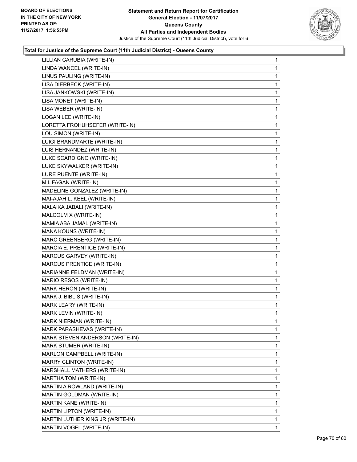

| LILLIAN CARUBIA (WRITE-IN)       | $\mathbf{1}$ |
|----------------------------------|--------------|
| LINDA WANCEL (WRITE-IN)          | 1            |
| LINUS PAULING (WRITE-IN)         | 1            |
| LISA DIERBECK (WRITE-IN)         | 1            |
| LISA JANKOWSKI (WRITE-IN)        | 1            |
| LISA MONET (WRITE-IN)            | 1            |
| LISA WEBER (WRITE-IN)            | 1            |
| LOGAN LEE (WRITE-IN)             | 1            |
| LORETTA FROHUHSEFER (WRITE-IN)   | 1            |
| LOU SIMON (WRITE-IN)             | 1            |
| LUIGI BRANDMARTE (WRITE-IN)      | 1            |
| LUIS HERNANDEZ (WRITE-IN)        | 1            |
| LUKE SCARDIGNO (WRITE-IN)        | 1            |
| LUKE SKYWALKER (WRITE-IN)        | 1            |
| LURE PUENTE (WRITE-IN)           | 1            |
| M.L FAGAN (WRITE-IN)             | 1            |
| MADELINE GONZALEZ (WRITE-IN)     | 1            |
| MAI-AJAH L. KEEL (WRITE-IN)      | 1            |
| MALAIKA JABALI (WRITE-IN)        | 1            |
| MALCOLM X (WRITE-IN)             | 1            |
| MAMIA ABA JAMAL (WRITE-IN)       | 1            |
| MANA KOUNS (WRITE-IN)            | 1            |
| MARC GREENBERG (WRITE-IN)        | 1            |
| MARCIA E. PRENTICE (WRITE-IN)    | 1            |
| <b>MARCUS GARVEY (WRITE-IN)</b>  | 1            |
| MARCUS PRENTICE (WRITE-IN)       | 1            |
| MARIANNE FELDMAN (WRITE-IN)      | 1            |
| MARIO RESOS (WRITE-IN)           | 1            |
| MARK HERON (WRITE-IN)            | 1            |
| MARK J. BIBLIS (WRITE-IN)        | 1            |
| MARK LEARY (WRITE-IN)            | 1            |
| MARK LEVIN (WRITE-IN)            | 1            |
| MARK NIERMAN (WRITE-IN)          | 1            |
| MARK PARASHEVAS (WRITE-IN)       | 1            |
| MARK STEVEN ANDERSON (WRITE-IN)  | 1            |
| MARK STUMER (WRITE-IN)           | 1            |
| MARLON CAMPBELL (WRITE-IN)       | 1            |
| MARRY CLINTON (WRITE-IN)         | 1            |
| MARSHALL MATHERS (WRITE-IN)      | 1            |
| MARTHA TOM (WRITE-IN)            | 1            |
| MARTIN A ROWLAND (WRITE-IN)      | 1            |
| MARTIN GOLDMAN (WRITE-IN)        | 1            |
| MARTIN KANE (WRITE-IN)           | 1            |
| <b>MARTIN LIPTON (WRITE-IN)</b>  | 1            |
| MARTIN LUTHER KING JR (WRITE-IN) | 1            |
| MARTIN VOGEL (WRITE-IN)          | 1.           |
|                                  |              |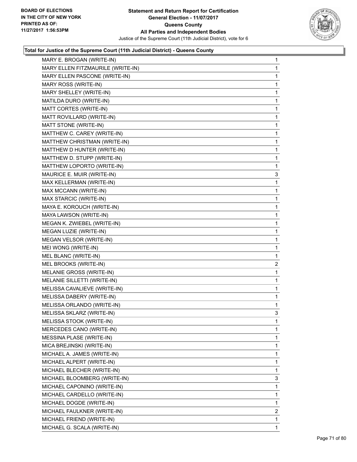

| MARY ELLEN FITZMAURILE (WRITE-IN)<br>1<br>MARY ELLEN PASCONE (WRITE-IN)<br>1<br>MARY ROSS (WRITE-IN)<br>1<br>MARY SHELLEY (WRITE-IN)<br>1<br>MATILDA DURO (WRITE-IN)<br>1<br>MATT CORTES (WRITE-IN)<br>1<br>MATT ROVILLARD (WRITE-IN)<br>1<br>MATT STONE (WRITE-IN)<br>1<br>MATTHEW C. CAREY (WRITE-IN)<br>1<br>MATTHEW CHRISTMAN (WRITE-IN)<br>1<br>MATTHEW D HUNTER (WRITE-IN)<br>1<br>MATTHEW D. STUPP (WRITE-IN)<br>1<br>MATTHEW LOPORTO (WRITE-IN)<br>1<br>MAURICE E. MUIR (WRITE-IN)<br>3<br>1<br>MAX KELLERMAN (WRITE-IN)<br>MAX MCCANN (WRITE-IN)<br>1<br>MAX STARCIC (WRITE-IN)<br>1<br>MAYA E. KOROUCH (WRITE-IN)<br>1<br>MAYA LAWSON (WRITE-IN)<br>1<br>MEGAN K. ZWIEBEL (WRITE-IN)<br>1<br>MEGAN LUZIE (WRITE-IN)<br>1<br>MEGAN VELSOR (WRITE-IN)<br>1<br>MEI WONG (WRITE-IN)<br>1<br>MEL BLANC (WRITE-IN)<br>1<br>MEL BROOKS (WRITE-IN)<br>2<br>MELANIE GROSS (WRITE-IN)<br>1<br>MELANIE SILLETTI (WRITE-IN)<br>1<br>MELISSA CAVALIEVE (WRITE-IN)<br>1<br>MELISSA DABERY (WRITE-IN)<br>1<br>MELISSA ORLANDO (WRITE-IN)<br>1<br>MELISSA SKLARZ (WRITE-IN)<br>3<br>MELISSA STOOK (WRITE-IN)<br>1<br>MERCEDES CANO (WRITE-IN)<br>1<br>MESSINA PLASE (WRITE-IN)<br>1<br>MICA BREJINSKI (WRITE-IN)<br>1<br>MICHAEL A. JAMES (WRITE-IN)<br>1<br>MICHAEL ALPERT (WRITE-IN)<br>1<br>MICHAEL BLECHER (WRITE-IN)<br>1<br>MICHAEL BLOOMBERG (WRITE-IN)<br>3<br>MICHAEL CAPONINO (WRITE-IN)<br>1<br>MICHAEL CARDELLO (WRITE-IN)<br>1<br>MICHAEL DOGDE (WRITE-IN)<br>1<br>MICHAEL FAULKNER (WRITE-IN)<br>$\overline{2}$<br>MICHAEL FRIEND (WRITE-IN)<br>1<br>MICHAEL G. SCALA (WRITE-IN)<br>1 | MARY E. BROGAN (WRITE-IN) | 1 |
|-----------------------------------------------------------------------------------------------------------------------------------------------------------------------------------------------------------------------------------------------------------------------------------------------------------------------------------------------------------------------------------------------------------------------------------------------------------------------------------------------------------------------------------------------------------------------------------------------------------------------------------------------------------------------------------------------------------------------------------------------------------------------------------------------------------------------------------------------------------------------------------------------------------------------------------------------------------------------------------------------------------------------------------------------------------------------------------------------------------------------------------------------------------------------------------------------------------------------------------------------------------------------------------------------------------------------------------------------------------------------------------------------------------------------------------------------------------------------------------------------------------------------------------------------------------------------------------------------|---------------------------|---|
|                                                                                                                                                                                                                                                                                                                                                                                                                                                                                                                                                                                                                                                                                                                                                                                                                                                                                                                                                                                                                                                                                                                                                                                                                                                                                                                                                                                                                                                                                                                                                                                               |                           |   |
|                                                                                                                                                                                                                                                                                                                                                                                                                                                                                                                                                                                                                                                                                                                                                                                                                                                                                                                                                                                                                                                                                                                                                                                                                                                                                                                                                                                                                                                                                                                                                                                               |                           |   |
|                                                                                                                                                                                                                                                                                                                                                                                                                                                                                                                                                                                                                                                                                                                                                                                                                                                                                                                                                                                                                                                                                                                                                                                                                                                                                                                                                                                                                                                                                                                                                                                               |                           |   |
|                                                                                                                                                                                                                                                                                                                                                                                                                                                                                                                                                                                                                                                                                                                                                                                                                                                                                                                                                                                                                                                                                                                                                                                                                                                                                                                                                                                                                                                                                                                                                                                               |                           |   |
|                                                                                                                                                                                                                                                                                                                                                                                                                                                                                                                                                                                                                                                                                                                                                                                                                                                                                                                                                                                                                                                                                                                                                                                                                                                                                                                                                                                                                                                                                                                                                                                               |                           |   |
|                                                                                                                                                                                                                                                                                                                                                                                                                                                                                                                                                                                                                                                                                                                                                                                                                                                                                                                                                                                                                                                                                                                                                                                                                                                                                                                                                                                                                                                                                                                                                                                               |                           |   |
|                                                                                                                                                                                                                                                                                                                                                                                                                                                                                                                                                                                                                                                                                                                                                                                                                                                                                                                                                                                                                                                                                                                                                                                                                                                                                                                                                                                                                                                                                                                                                                                               |                           |   |
|                                                                                                                                                                                                                                                                                                                                                                                                                                                                                                                                                                                                                                                                                                                                                                                                                                                                                                                                                                                                                                                                                                                                                                                                                                                                                                                                                                                                                                                                                                                                                                                               |                           |   |
|                                                                                                                                                                                                                                                                                                                                                                                                                                                                                                                                                                                                                                                                                                                                                                                                                                                                                                                                                                                                                                                                                                                                                                                                                                                                                                                                                                                                                                                                                                                                                                                               |                           |   |
|                                                                                                                                                                                                                                                                                                                                                                                                                                                                                                                                                                                                                                                                                                                                                                                                                                                                                                                                                                                                                                                                                                                                                                                                                                                                                                                                                                                                                                                                                                                                                                                               |                           |   |
|                                                                                                                                                                                                                                                                                                                                                                                                                                                                                                                                                                                                                                                                                                                                                                                                                                                                                                                                                                                                                                                                                                                                                                                                                                                                                                                                                                                                                                                                                                                                                                                               |                           |   |
|                                                                                                                                                                                                                                                                                                                                                                                                                                                                                                                                                                                                                                                                                                                                                                                                                                                                                                                                                                                                                                                                                                                                                                                                                                                                                                                                                                                                                                                                                                                                                                                               |                           |   |
|                                                                                                                                                                                                                                                                                                                                                                                                                                                                                                                                                                                                                                                                                                                                                                                                                                                                                                                                                                                                                                                                                                                                                                                                                                                                                                                                                                                                                                                                                                                                                                                               |                           |   |
|                                                                                                                                                                                                                                                                                                                                                                                                                                                                                                                                                                                                                                                                                                                                                                                                                                                                                                                                                                                                                                                                                                                                                                                                                                                                                                                                                                                                                                                                                                                                                                                               |                           |   |
|                                                                                                                                                                                                                                                                                                                                                                                                                                                                                                                                                                                                                                                                                                                                                                                                                                                                                                                                                                                                                                                                                                                                                                                                                                                                                                                                                                                                                                                                                                                                                                                               |                           |   |
|                                                                                                                                                                                                                                                                                                                                                                                                                                                                                                                                                                                                                                                                                                                                                                                                                                                                                                                                                                                                                                                                                                                                                                                                                                                                                                                                                                                                                                                                                                                                                                                               |                           |   |
|                                                                                                                                                                                                                                                                                                                                                                                                                                                                                                                                                                                                                                                                                                                                                                                                                                                                                                                                                                                                                                                                                                                                                                                                                                                                                                                                                                                                                                                                                                                                                                                               |                           |   |
|                                                                                                                                                                                                                                                                                                                                                                                                                                                                                                                                                                                                                                                                                                                                                                                                                                                                                                                                                                                                                                                                                                                                                                                                                                                                                                                                                                                                                                                                                                                                                                                               |                           |   |
|                                                                                                                                                                                                                                                                                                                                                                                                                                                                                                                                                                                                                                                                                                                                                                                                                                                                                                                                                                                                                                                                                                                                                                                                                                                                                                                                                                                                                                                                                                                                                                                               |                           |   |
|                                                                                                                                                                                                                                                                                                                                                                                                                                                                                                                                                                                                                                                                                                                                                                                                                                                                                                                                                                                                                                                                                                                                                                                                                                                                                                                                                                                                                                                                                                                                                                                               |                           |   |
|                                                                                                                                                                                                                                                                                                                                                                                                                                                                                                                                                                                                                                                                                                                                                                                                                                                                                                                                                                                                                                                                                                                                                                                                                                                                                                                                                                                                                                                                                                                                                                                               |                           |   |
|                                                                                                                                                                                                                                                                                                                                                                                                                                                                                                                                                                                                                                                                                                                                                                                                                                                                                                                                                                                                                                                                                                                                                                                                                                                                                                                                                                                                                                                                                                                                                                                               |                           |   |
|                                                                                                                                                                                                                                                                                                                                                                                                                                                                                                                                                                                                                                                                                                                                                                                                                                                                                                                                                                                                                                                                                                                                                                                                                                                                                                                                                                                                                                                                                                                                                                                               |                           |   |
|                                                                                                                                                                                                                                                                                                                                                                                                                                                                                                                                                                                                                                                                                                                                                                                                                                                                                                                                                                                                                                                                                                                                                                                                                                                                                                                                                                                                                                                                                                                                                                                               |                           |   |
|                                                                                                                                                                                                                                                                                                                                                                                                                                                                                                                                                                                                                                                                                                                                                                                                                                                                                                                                                                                                                                                                                                                                                                                                                                                                                                                                                                                                                                                                                                                                                                                               |                           |   |
|                                                                                                                                                                                                                                                                                                                                                                                                                                                                                                                                                                                                                                                                                                                                                                                                                                                                                                                                                                                                                                                                                                                                                                                                                                                                                                                                                                                                                                                                                                                                                                                               |                           |   |
|                                                                                                                                                                                                                                                                                                                                                                                                                                                                                                                                                                                                                                                                                                                                                                                                                                                                                                                                                                                                                                                                                                                                                                                                                                                                                                                                                                                                                                                                                                                                                                                               |                           |   |
|                                                                                                                                                                                                                                                                                                                                                                                                                                                                                                                                                                                                                                                                                                                                                                                                                                                                                                                                                                                                                                                                                                                                                                                                                                                                                                                                                                                                                                                                                                                                                                                               |                           |   |
|                                                                                                                                                                                                                                                                                                                                                                                                                                                                                                                                                                                                                                                                                                                                                                                                                                                                                                                                                                                                                                                                                                                                                                                                                                                                                                                                                                                                                                                                                                                                                                                               |                           |   |
|                                                                                                                                                                                                                                                                                                                                                                                                                                                                                                                                                                                                                                                                                                                                                                                                                                                                                                                                                                                                                                                                                                                                                                                                                                                                                                                                                                                                                                                                                                                                                                                               |                           |   |
|                                                                                                                                                                                                                                                                                                                                                                                                                                                                                                                                                                                                                                                                                                                                                                                                                                                                                                                                                                                                                                                                                                                                                                                                                                                                                                                                                                                                                                                                                                                                                                                               |                           |   |
|                                                                                                                                                                                                                                                                                                                                                                                                                                                                                                                                                                                                                                                                                                                                                                                                                                                                                                                                                                                                                                                                                                                                                                                                                                                                                                                                                                                                                                                                                                                                                                                               |                           |   |
|                                                                                                                                                                                                                                                                                                                                                                                                                                                                                                                                                                                                                                                                                                                                                                                                                                                                                                                                                                                                                                                                                                                                                                                                                                                                                                                                                                                                                                                                                                                                                                                               |                           |   |
|                                                                                                                                                                                                                                                                                                                                                                                                                                                                                                                                                                                                                                                                                                                                                                                                                                                                                                                                                                                                                                                                                                                                                                                                                                                                                                                                                                                                                                                                                                                                                                                               |                           |   |
|                                                                                                                                                                                                                                                                                                                                                                                                                                                                                                                                                                                                                                                                                                                                                                                                                                                                                                                                                                                                                                                                                                                                                                                                                                                                                                                                                                                                                                                                                                                                                                                               |                           |   |
|                                                                                                                                                                                                                                                                                                                                                                                                                                                                                                                                                                                                                                                                                                                                                                                                                                                                                                                                                                                                                                                                                                                                                                                                                                                                                                                                                                                                                                                                                                                                                                                               |                           |   |
|                                                                                                                                                                                                                                                                                                                                                                                                                                                                                                                                                                                                                                                                                                                                                                                                                                                                                                                                                                                                                                                                                                                                                                                                                                                                                                                                                                                                                                                                                                                                                                                               |                           |   |
|                                                                                                                                                                                                                                                                                                                                                                                                                                                                                                                                                                                                                                                                                                                                                                                                                                                                                                                                                                                                                                                                                                                                                                                                                                                                                                                                                                                                                                                                                                                                                                                               |                           |   |
|                                                                                                                                                                                                                                                                                                                                                                                                                                                                                                                                                                                                                                                                                                                                                                                                                                                                                                                                                                                                                                                                                                                                                                                                                                                                                                                                                                                                                                                                                                                                                                                               |                           |   |
|                                                                                                                                                                                                                                                                                                                                                                                                                                                                                                                                                                                                                                                                                                                                                                                                                                                                                                                                                                                                                                                                                                                                                                                                                                                                                                                                                                                                                                                                                                                                                                                               |                           |   |
|                                                                                                                                                                                                                                                                                                                                                                                                                                                                                                                                                                                                                                                                                                                                                                                                                                                                                                                                                                                                                                                                                                                                                                                                                                                                                                                                                                                                                                                                                                                                                                                               |                           |   |
|                                                                                                                                                                                                                                                                                                                                                                                                                                                                                                                                                                                                                                                                                                                                                                                                                                                                                                                                                                                                                                                                                                                                                                                                                                                                                                                                                                                                                                                                                                                                                                                               |                           |   |
|                                                                                                                                                                                                                                                                                                                                                                                                                                                                                                                                                                                                                                                                                                                                                                                                                                                                                                                                                                                                                                                                                                                                                                                                                                                                                                                                                                                                                                                                                                                                                                                               |                           |   |
|                                                                                                                                                                                                                                                                                                                                                                                                                                                                                                                                                                                                                                                                                                                                                                                                                                                                                                                                                                                                                                                                                                                                                                                                                                                                                                                                                                                                                                                                                                                                                                                               |                           |   |
|                                                                                                                                                                                                                                                                                                                                                                                                                                                                                                                                                                                                                                                                                                                                                                                                                                                                                                                                                                                                                                                                                                                                                                                                                                                                                                                                                                                                                                                                                                                                                                                               |                           |   |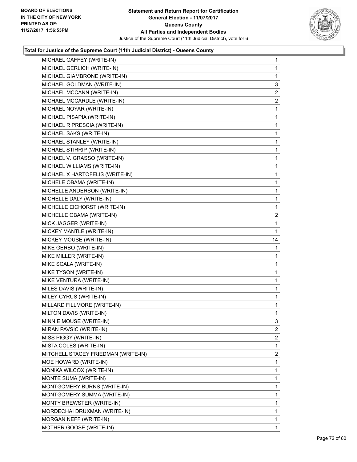

| MICHAEL GAFFEY (WRITE-IN)           | 1              |
|-------------------------------------|----------------|
| MICHAEL GERLICH (WRITE-IN)          | 1              |
| MICHAEL GIAMBRONE (WRITE-IN)        | 1              |
| MICHAEL GOLDMAN (WRITE-IN)          | 3              |
| MICHAEL MCCANN (WRITE-IN)           | 2              |
| MICHAEL MCCARDLE (WRITE-IN)         | $\overline{2}$ |
| MICHAEL NOYAR (WRITE-IN)            | 1              |
| MICHAEL PISAPIA (WRITE-IN)          | 1              |
| MICHAEL R PRESCIA (WRITE-IN)        | 1              |
| MICHAEL SAKS (WRITE-IN)             | 1              |
| MICHAEL STANLEY (WRITE-IN)          | 1              |
| MICHAEL STIRRIP (WRITE-IN)          | 1              |
| MICHAEL V. GRASSO (WRITE-IN)        | 1              |
| MICHAEL WILLIAMS (WRITE-IN)         | 1              |
| MICHAEL X HARTOFELIS (WRITE-IN)     | 1              |
| MICHELE OBAMA (WRITE-IN)            | 1              |
| MICHELLE ANDERSON (WRITE-IN)        | 1              |
| MICHELLE DALY (WRITE-IN)            | 1              |
| MICHELLE EICHORST (WRITE-IN)        | 1              |
| MICHELLE OBAMA (WRITE-IN)           | $\overline{a}$ |
| MICK JAGGER (WRITE-IN)              | 1              |
| MICKEY MANTLE (WRITE-IN)            | 1              |
| MICKEY MOUSE (WRITE-IN)             | 14             |
| MIKE GERBO (WRITE-IN)               | 1              |
| MIKE MILLER (WRITE-IN)              | 1              |
| MIKE SCALA (WRITE-IN)               | 1              |
| MIKE TYSON (WRITE-IN)               | 1              |
| MIKE VENTURA (WRITE-IN)             | 1              |
| MILES DAVIS (WRITE-IN)              | 1              |
| MILEY CYRUS (WRITE-IN)              | $\mathbf{1}$   |
| MILLARD FILLMORE (WRITE-IN)         | 1              |
| MILTON DAVIS (WRITE-IN)             | 1              |
| MINNIE MOUSE (WRITE-IN)             | 3              |
| MIRAN PAVSIC (WRITE-IN)             | 2              |
| MISS PIGGY (WRITE-IN)               | 2              |
| MISTA COLES (WRITE-IN)              | 1              |
| MITCHELL STACEY FRIEDMAN (WRITE-IN) | $\overline{2}$ |
| MOE HOWARD (WRITE-IN)               | 1              |
| MONIKA WILCOX (WRITE-IN)            | 1              |
| MONTE SUMA (WRITE-IN)               | 1              |
| MONTGOMERY BURNS (WRITE-IN)         | 1              |
| MONTGOMERY SUMMA (WRITE-IN)         | 1              |
| MONTY BREWSTER (WRITE-IN)           | 1              |
| MORDECHAI DRUXMAN (WRITE-IN)        | 1              |
| MORGAN NEFF (WRITE-IN)              | 1              |
| MOTHER GOOSE (WRITE-IN)             | 1.             |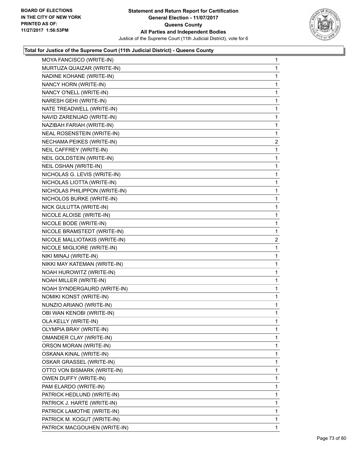

| MOYA FANCISCO (WRITE-IN)          | $\mathbf 1$ |
|-----------------------------------|-------------|
| MURTUZA QUAIZAR (WRITE-IN)        | 1           |
| NADINE KOHANE (WRITE-IN)          | 1           |
| NANCY HORN (WRITE-IN)             | 1           |
| NANCY O'NELL (WRITE-IN)           | 1           |
| NARESH GEHI (WRITE-IN)            | 1           |
| NATE TREADWELL (WRITE-IN)         | 1           |
| NAVID ZARENIJAD (WRITE-IN)        | 1           |
| NAZIBAH FARIAH (WRITE-IN)         | 1           |
| <b>NEAL ROSENSTEIN (WRITE-IN)</b> | 1           |
| NECHAMA PEIKES (WRITE-IN)         | 2           |
| NEIL CAFFREY (WRITE-IN)           | 1           |
| NEIL GOLDSTEIN (WRITE-IN)         | 1           |
| NEIL OSHAN (WRITE-IN)             | 1           |
| NICHOLAS G. LEVIS (WRITE-IN)      | 1           |
| NICHOLAS LIOTTA (WRITE-IN)        | 1           |
| NICHOLAS PHILIPPON (WRITE-IN)     | 1           |
| NICHOLOS BURKE (WRITE-IN)         | 1           |
| NICK GULUTTA (WRITE-IN)           | 1           |
| NICOLE ALOISE (WRITE-IN)          | 1           |
| NICOLE BODE (WRITE-IN)            | 1           |
| NICOLE BRAMSTEDT (WRITE-IN)       | 1           |
| NICOLE MALLIOTAKIS (WRITE-IN)     | 2           |
| NICOLE MIGLIORE (WRITE-IN)        | 1           |
| NIKI MINAJ (WRITE-IN)             | 1           |
| NIKKI MAY KATEMAN (WRITE-IN)      | 1           |
| NOAH HUROWITZ (WRITE-IN)          | 1           |
| NOAH MILLER (WRITE-IN)            | 1           |
| NOAH SYNDERGAURD (WRITE-IN)       | 1           |
| NOMIKI KONST (WRITE-IN)           | 1           |
| NUNZIO ARIANO (WRITE-IN)          | 1           |
| OBI WAN KENOBI (WRITE-IN)         | 1           |
| OLA KELLY (WRITE-IN)              | 1           |
| OLYMPIA BRAY (WRITE-IN)           | 1           |
| OMANDER CLAY (WRITE-IN)           | 1           |
| ORSON MORAN (WRITE-IN)            | 1           |
| OSKANA KINAL (WRITE-IN)           | 1           |
| OSKAR GRASSEL (WRITE-IN)          | 1           |
| OTTO VON BISMARK (WRITE-IN)       | 1           |
| OWEN DUFFY (WRITE-IN)             | 1           |
| PAM ELARDO (WRITE-IN)             | 1           |
| PATRICK HEDLUND (WRITE-IN)        | 1           |
| PATRICK J. HARTE (WRITE-IN)       | 1           |
| PATRICK LAMOTHE (WRITE-IN)        | 1           |
| PATRICK M. KOGUT (WRITE-IN)       | 1           |
| PATRICK MACGOUHEN (WRITE-IN)      | 1           |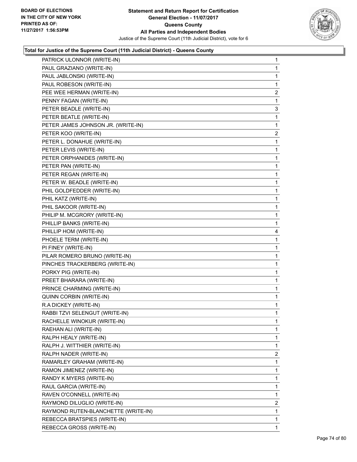

| PATRICK ULONNOR (WRITE-IN)          | $\mathbf{1}$            |
|-------------------------------------|-------------------------|
| PAUL GRAZIANO (WRITE-IN)            | $\mathbf 1$             |
| PAUL JABLONSKI (WRITE-IN)           | 1                       |
| PAUL ROBESON (WRITE-IN)             | 1                       |
| PEE WEE HERMAN (WRITE-IN)           | 2                       |
| PENNY FAGAN (WRITE-IN)              | 1                       |
| PETER BEADLE (WRITE-IN)             | 3                       |
| PETER BEATLE (WRITE-IN)             | $\mathbf 1$             |
| PETER JAMES JOHNSON JR. (WRITE-IN)  | 1                       |
| PETER KOO (WRITE-IN)                | $\overline{\mathbf{c}}$ |
| PETER L. DONAHUE (WRITE-IN)         | 1                       |
| PETER LEVIS (WRITE-IN)              | 1                       |
| PETER ORPHANIDES (WRITE-IN)         | 1                       |
| PETER PAN (WRITE-IN)                | $\mathbf 1$             |
| PETER REGAN (WRITE-IN)              | 1                       |
| PETER W. BEADLE (WRITE-IN)          | 1                       |
| PHIL GOLDFEDDER (WRITE-IN)          | $\mathbf 1$             |
| PHIL KATZ (WRITE-IN)                | 1                       |
| PHIL SAKOOR (WRITE-IN)              | 1                       |
| PHILIP M. MCGRORY (WRITE-IN)        | 1                       |
| PHILLIP BANKS (WRITE-IN)            | 1                       |
| PHILLIP HOM (WRITE-IN)              | 4                       |
|                                     | 1                       |
| PHOELE TERM (WRITE-IN)              |                         |
| PI FINEY (WRITE-IN)                 | 1                       |
| PILAR ROMERO BRUNO (WRITE-IN)       | 1                       |
| PINCHES TRACKERBERG (WRITE-IN)      | 1                       |
| PORKY PIG (WRITE-IN)                | 1                       |
| PREET BHARARA (WRITE-IN)            | 1                       |
| PRINCE CHARMING (WRITE-IN)          | 1                       |
| QUINN CORBIN (WRITE-IN)             | 1                       |
| R.A DICKEY (WRITE-IN)               | 1                       |
| RABBI TZVI SELENGUT (WRITE-IN)      | 1                       |
| RACHELLE WINOKUR (WRITE-IN)         | 1                       |
| RAEHAN ALI (WRITE-IN)               | 1                       |
| RALPH HEALY (WRITE-IN)              | 1                       |
| RALPH J. WITTHIER (WRITE-IN)        | 1                       |
| RALPH NADER (WRITE-IN)              | 2                       |
| RAMARLEY GRAHAM (WRITE-IN)          | 1                       |
| RAMON JIMENEZ (WRITE-IN)            | 1                       |
| RANDY K MYERS (WRITE-IN)            | 1                       |
| RAUL GARCIA (WRITE-IN)              | 1                       |
| RAVEN O'CONNELL (WRITE-IN)          | 1                       |
| RAYMOND DILUGLIO (WRITE-IN)         | 2                       |
| RAYMOND RUTEN-BLANCHETTE (WRITE-IN) | 1                       |
| REBECCA BRATSPIES (WRITE-IN)        | $\mathbf 1$             |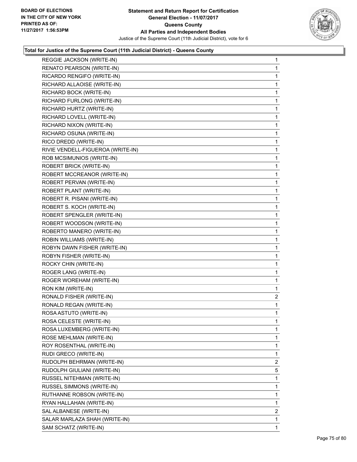

| REGGIE JACKSON (WRITE-IN)         | 1            |
|-----------------------------------|--------------|
| RENATO PEARSON (WRITE-IN)         | 1            |
| RICARDO RENGIFO (WRITE-IN)        | 1            |
| RICHARD ALLAOISE (WRITE-IN)       | 1            |
| RICHARD BOCK (WRITE-IN)           | 1            |
| RICHARD FURLONG (WRITE-IN)        | 1            |
| RICHARD HURTZ (WRITE-IN)          | 1            |
| RICHARD LOVELL (WRITE-IN)         | 1            |
| RICHARD NIXON (WRITE-IN)          | 1            |
| RICHARD OSUNA (WRITE-IN)          | 1            |
| RICO DREDD (WRITE-IN)             | 1            |
| RIVIE VENDELL-FIGUEROA (WRITE-IN) | 1            |
| ROB MCSIMUNIOS (WRITE-IN)         | 1            |
| ROBERT BRICK (WRITE-IN)           | 1            |
| ROBERT MCCREANOR (WRITE-IN)       | 1            |
| ROBERT PERVAN (WRITE-IN)          | 1            |
| ROBERT PLANT (WRITE-IN)           | 1            |
| ROBERT R. PISANI (WRITE-IN)       | 1            |
| ROBERT S. KOCH (WRITE-IN)         | 1            |
| ROBERT SPENGLER (WRITE-IN)        | 1            |
| ROBERT WOODSON (WRITE-IN)         | 1            |
| ROBERTO MANERO (WRITE-IN)         | 1            |
| ROBIN WILLIAMS (WRITE-IN)         | 1            |
| ROBYN DAWN FISHER (WRITE-IN)      | 1            |
| ROBYN FISHER (WRITE-IN)           | 1            |
| ROCKY CHIN (WRITE-IN)             | 1            |
| ROGER LANG (WRITE-IN)             | 1            |
| ROGER WOREHAM (WRITE-IN)          | 1            |
| RON KIM (WRITE-IN)                | 1            |
| RONALD FISHER (WRITE-IN)          | $\mathbf{2}$ |
| RONALD REGAN (WRITE-IN)           | 1            |
| ROSA ASTUTO (WRITE-IN)            | 1            |
| ROSA CELESTE (WRITE-IN)           | 1            |
| ROSA LUXEMBERG (WRITE-IN)         | 1            |
| ROSE MEHLMAN (WRITE-IN)           | 1            |
| ROY ROSENTHAL (WRITE-IN)          | 1            |
| RUDI GRECO (WRITE-IN)             | 1            |
| RUDOLPH BEHRMAN (WRITE-IN)        | 2            |
| RUDOLPH GIULIANI (WRITE-IN)       | 5            |
| RUSSEL NITEHMAN (WRITE-IN)        | 1            |
| RUSSEL SIMMONS (WRITE-IN)         | 1            |
| RUTHANNE ROBSON (WRITE-IN)        | 1            |
| RYAN HALLAHAN (WRITE-IN)          | 1            |
| SAL ALBANESE (WRITE-IN)           | 2            |
| SALAR MARLAZA SHAH (WRITE-IN)     | 1            |
| SAM SCHATZ (WRITE-IN)             | 1            |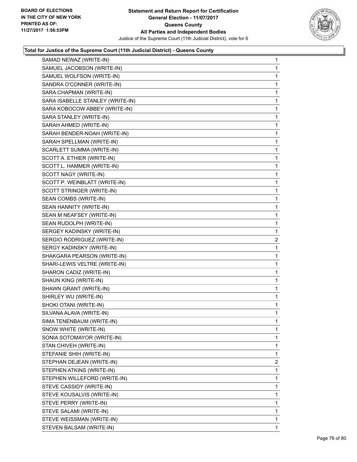

| SAMAD NEWAZ (WRITE-IN)           | 1  |
|----------------------------------|----|
| SAMUEL JACOBSON (WRITE-IN)       | 1  |
| SAMUEL WOLFSON (WRITE-IN)        | 1  |
| SANDRA O'CONNER (WRITE-IN)       | 1  |
| SARA CHAPMAN (WRITE-IN)          | 1  |
| SARA ISABELLE STANLEY (WRITE-IN) | 1  |
| SARA KOBOCOW ABBEY (WRITE-IN)    | 1  |
| SARA STANLEY (WRITE-IN)          | 1  |
| SARAH AHMED (WRITE-IN)           | 1  |
| SARAH BENDER-NOAH (WRITE-IN)     | 1  |
| SARAH SPELLMAN (WRITE-IN)        | 1  |
| SCARLETT SUMMA (WRITE-IN)        | 1  |
| SCOTT A. ETHIER (WRITE-IN)       | 1  |
| SCOTT L. HAMMER (WRITE-IN)       | 1  |
| SCOTT NAGY (WRITE-IN)            | 1  |
| SCOTT P. WEINBLATT (WRITE-IN)    | 1  |
| SCOTT STRINGER (WRITE-IN)        | 1  |
| SEAN COMBS (WRITE-IN)            | 1  |
| SEAN HANNITY (WRITE-IN)          | 1  |
| SEAN M NEAFSEY (WRITE-IN)        | 1  |
| SEAN RUDOLPH (WRITE-IN)          | 1  |
| SERGEY KADINSKY (WRITE-IN)       | 1  |
| SERGIO RODRIGUEZ (WRITE-IN)      | 2  |
| SERGY KADINSKY (WRITE-IN)        | 1  |
| SHAKGARA PEARSON (WRITE-IN)      | 1  |
| SHARI-LEWIS VELTRE (WRITE-IN)    | 1  |
| SHARON CADIZ (WRITE-IN)          | 1  |
| SHAUN KING (WRITE-IN)            | 1  |
| SHAWN GRANT (WRITE-IN)           | 1  |
| SHIRLEY WU (WRITE-IN)            | 1  |
| SHOKI OTANI (WRITE-IN)           | 1  |
| SILVANA ALAVA (WRITE-IN)         | 1  |
| SIMA TENENBAUM (WRITE-IN)        | 1  |
| SNOW WHITE (WRITE-IN)            | 1  |
| SONIA SOTOMAYOR (WRITE-IN)       | 1  |
| STAN CHIVEH (WRITE-IN)           | 1  |
| STEFANIE SHIH (WRITE-IN)         | 1  |
| STEPHAN DEJEAN (WRITE-IN)        | 2  |
| STEPHEN ATKINS (WRITE-IN)        | 1  |
| STEPHEN WILLEFORD (WRITE-IN)     | 1  |
| STEVE CASSIDY (WRITE-IN)         | 1  |
| STEVE KOUSALVIS (WRITE-IN)       | 1  |
| STEVE PERRY (WRITE-IN)           | 1  |
| STEVE SALAMI (WRITE-IN)          | 1  |
| STEVE WEISSMAN (WRITE-IN)        | 1  |
| STEVEN BALSAM (WRITE-IN)         | 1. |
|                                  |    |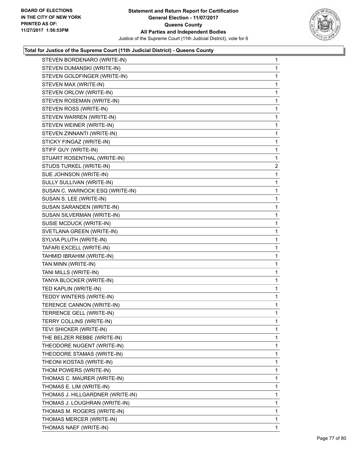

| STEVEN BORDENARO (WRITE-IN)      | 1              |
|----------------------------------|----------------|
| STEVEN DUMANSKI (WRITE-IN)       | 1              |
| STEVEN GOLDFINGER (WRITE-IN)     | 1              |
| STEVEN MAX (WRITE-IN)            | $\mathbf{1}$   |
| STEVEN ORLOW (WRITE-IN)          | 1              |
| STEVEN ROSEMAN (WRITE-IN)        | 1              |
| STEVEN ROSS (WRITE-IN)           | 1              |
| STEVEN WARREN (WRITE-IN)         | 1              |
| STEVEN WEINER (WRITE-IN)         | 1              |
| STEVEN ZINNANTI (WRITE-IN)       | 1              |
| STICKY FINGAZ (WRITE-IN)         | 1              |
| STIFF GUY (WRITE-IN)             | 1              |
| STUART ROSENTHAL (WRITE-IN)      | 1              |
| STUDS TURKEL (WRITE-IN)          | $\overline{c}$ |
| SUE JOHNSON (WRITE-IN)           | 1              |
| SULLY SULLIVAN (WRITE-IN)        | 1              |
| SUSAN C. WARNOCK ESQ (WRITE-IN)  | 1              |
| SUSAN S. LEE (WRITE-IN)          | 1              |
| SUSAN SARANDEN (WRITE-IN)        | 1              |
| SUSAN SILVERMAN (WRITE-IN)       | 1              |
| SUSIE MCDUCK (WRITE-IN)          | 1              |
| SVETLANA GREEN (WRITE-IN)        | $\mathbf{1}$   |
| SYLVIA PLUTH (WRITE-IN)          | 1              |
| TAFARI EXCELL (WRITE-IN)         | 1              |
| TAHMID IBRAHIM (WRITE-IN)        | 1              |
| TAN MINN (WRITE-IN)              | 1              |
| TANI MILLS (WRITE-IN)            | 1              |
| TANYA BLOCKER (WRITE-IN)         | 1              |
| TED KAPLIN (WRITE-IN)            | 1              |
| TEDDY WINTERS (WRITE-IN)         | 1              |
| TERENCE CANNON (WRITE-IN)        | 1              |
| <b>TERRENCE GELL (WRITE-IN)</b>  | 1              |
| TERRY COLLINS (WRITE-IN)         | 1              |
| TEVI SHICKER (WRITE-IN)          | 1              |
| THE BELZER REBBE (WRITE-IN)      | 1              |
| THEODORE NUGENT (WRITE-IN)       | 1              |
| THEODORE STAMAS (WRITE-IN)       | 1              |
| THEONI KOSTAS (WRITE-IN)         | 1              |
| THOM POWERS (WRITE-IN)           | 1              |
| THOMAS C. MAURER (WRITE-IN)      | 1              |
| THOMAS E. LIM (WRITE-IN)         | 1              |
| THOMAS J. HILLGARDNER (WRITE-IN) | 1              |
| THOMAS J. LOUGHRAN (WRITE-IN)    | 1              |
| THOMAS M. ROGERS (WRITE-IN)      | 1              |
| THOMAS MERCER (WRITE-IN)         | 1              |
| THOMAS NAEF (WRITE-IN)           | 1.             |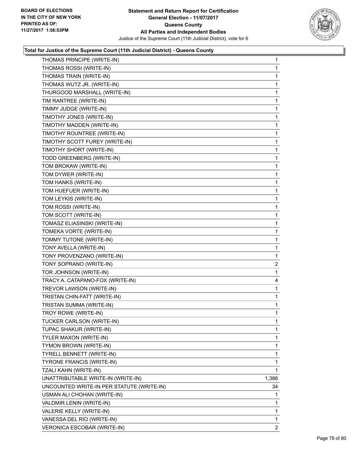

| THOMAS PRINCIPE (WRITE-IN)                | 1              |
|-------------------------------------------|----------------|
| THOMAS ROSSI (WRITE-IN)                   | 1              |
| THOMAS TRAIN (WRITE-IN)                   | 1              |
| THOMAS WUTZ JR. (WRITE-IN)                | 1              |
| THURGOOD MARSHALL (WRITE-IN)              | 1              |
| TIM RANTREE (WRITE-IN)                    | 1              |
| TIMMY JUDGE (WRITE-IN)                    | 1              |
| TIMOTHY JONES (WRITE-IN)                  | 1              |
| TIMOTHY MADDEN (WRITE-IN)                 | 1              |
| TIMOTHY ROUNTREE (WRITE-IN)               | 1              |
| TIMOTHY SCOTT FUREY (WRITE-IN)            | 1              |
| TIMOTHY SHORT (WRITE-IN)                  | 1              |
| TODD GREENBERG (WRITE-IN)                 | 1              |
| TOM BROKAW (WRITE-IN)                     | 1              |
| TOM DYWER (WRITE-IN)                      | 1              |
| TOM HANKS (WRITE-IN)                      | 1              |
| TOM HUEFUER (WRITE-IN)                    | 1              |
| TOM LEYKIS (WRITE-IN)                     | 1              |
| TOM ROSSI (WRITE-IN)                      | 1              |
| TOM SCOTT (WRITE-IN)                      | 1              |
| TOMASZ ELIASINSKI (WRITE-IN)              | 1              |
| TOMEKA VORTE (WRITE-IN)                   | 1              |
| TOMMY TUTONE (WRITE-IN)                   | 1              |
| TONY AVELLA (WRITE-IN)                    | 1              |
| TONY PROVENZANO (WRITE-IN)                | 1              |
| TONY SOPRANO (WRITE-IN)                   | $\overline{c}$ |
| TOR JOHNSON (WRITE-IN)                    | 1              |
| TRACY A. CATAPANO-FOX (WRITE-IN)          | 4              |
| TREVOR LAWSON (WRITE-IN)                  | 1              |
| TRISTAN CHIN-FATT (WRITE-IN)              | 1              |
| TRISTAN SUMMA (WRITE-IN)                  | 1              |
| TROY ROWE (WRITE-IN)                      | 1              |
| TUCKER CARLSON (WRITE-IN)                 | 1              |
| TUPAC SHAKUR (WRITE-IN)                   | 1              |
| TYLER MAXON (WRITE-IN)                    | 1              |
| TYMON BROWN (WRITE-IN)                    | 1              |
| <b>TYRELL BENNETT (WRITE-IN)</b>          | 1              |
| <b>TYRONE FRANCIS (WRITE-IN)</b>          | 1              |
| TZALI KAHN (WRITE-IN)                     | 1              |
| UNATTRIBUTABLE WRITE-IN (WRITE-IN)        | 1,386          |
| UNCOUNTED WRITE-IN PER STATUTE (WRITE-IN) | 34             |
| USMAN ALI CHOHAN (WRITE-IN)               | 1              |
| VALDMIR LENIN (WRITE-IN)                  | 1              |
| VALERIE KELLY (WRITE-IN)                  | 1              |
| VANESSA DEL RIO (WRITE-IN)                | 1              |
| VERONICA ESCOBAR (WRITE-IN)               | $\overline{2}$ |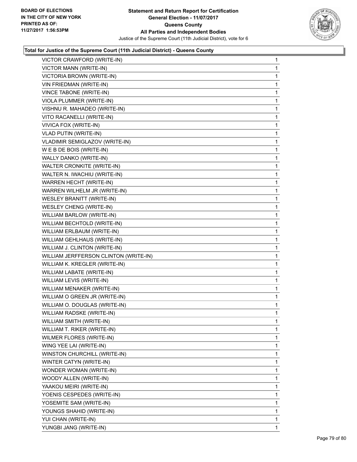

| VICTOR CRAWFORD (WRITE-IN)            | $\mathbf{1}$ |
|---------------------------------------|--------------|
| <b>VICTOR MANN (WRITE-IN)</b>         | 1            |
| VICTORIA BROWN (WRITE-IN)             | 1            |
| VIN FRIEDMAN (WRITE-IN)               | 1            |
| VINCE TABONE (WRITE-IN)               | 1            |
| VIOLA PLUMMER (WRITE-IN)              | 1            |
| VISHNU R. MAHADEO (WRITE-IN)          | 1            |
| VITO RACANELLI (WRITE-IN)             | 1            |
| VIVICA FOX (WRITE-IN)                 | 1            |
| VLAD PUTIN (WRITE-IN)                 | 1            |
| VLADIMIR SEMIGLAZOV (WRITE-IN)        | 1            |
| WE B DE BOIS (WRITE-IN)               | 1            |
| WALLY DANKO (WRITE-IN)                | 1            |
| WALTER CRONKITE (WRITE-IN)            | 1            |
| WALTER N. IWACHIU (WRITE-IN)          | 1            |
| WARREN HECHT (WRITE-IN)               | 1            |
| WARREN WILHELM JR (WRITE-IN)          | 1            |
| <b>WESLEY BRANITT (WRITE-IN)</b>      | 1            |
| <b>WESLEY CHENG (WRITE-IN)</b>        | 1            |
| WILLIAM BARLOW (WRITE-IN)             | 1            |
| WILLIAM BECHTOLD (WRITE-IN)           | 1            |
| WILLIAM ERLBAUM (WRITE-IN)            | 1            |
| WILLIAM GEHLHAUS (WRITE-IN)           | 1            |
| WILLIAM J. CLINTON (WRITE-IN)         | 1            |
| WILLIAM JERFFERSON CLINTON (WRITE-IN) | 1            |
| WILLIAM K. KREGLER (WRITE-IN)         | 1            |
| WILLIAM LABATE (WRITE-IN)             | 1            |
| WILLIAM LEVIS (WRITE-IN)              | 1            |
| WILLIAM MENAKER (WRITE-IN)            | 1            |
| WILLIAM O GREEN JR (WRITE-IN)         | $\mathbf{1}$ |
| WILLIAM O. DOUGLAS (WRITE-IN)         | 1            |
| <b>WILLIAM RADSKE (WRITE-IN)</b>      | 1            |
| WILLIAM SMITH (WRITE-IN)              | 1            |
| WILLIAM T. RIKER (WRITE-IN)           | 1            |
| WILMER FLORES (WRITE-IN)              | 1            |
| WING YEE LAI (WRITE-IN)               | 1            |
| WINSTON CHURCHILL (WRITE-IN)          | 1            |
| WINTER CATYN (WRITE-IN)               | 1            |
| WONDER WOMAN (WRITE-IN)               | 1            |
| WOODY ALLEN (WRITE-IN)                | 1            |
| YAAKOU MEIRI (WRITE-IN)               | 1            |
| YOENIS CESPEDES (WRITE-IN)            | 1            |
| YOSEMITE SAM (WRITE-IN)               | 1            |
| YOUNGS SHAHID (WRITE-IN)              | 1            |
| YUI CHAN (WRITE-IN)                   | 1            |
| YUNGBI JANG (WRITE-IN)                | 1            |
|                                       |              |